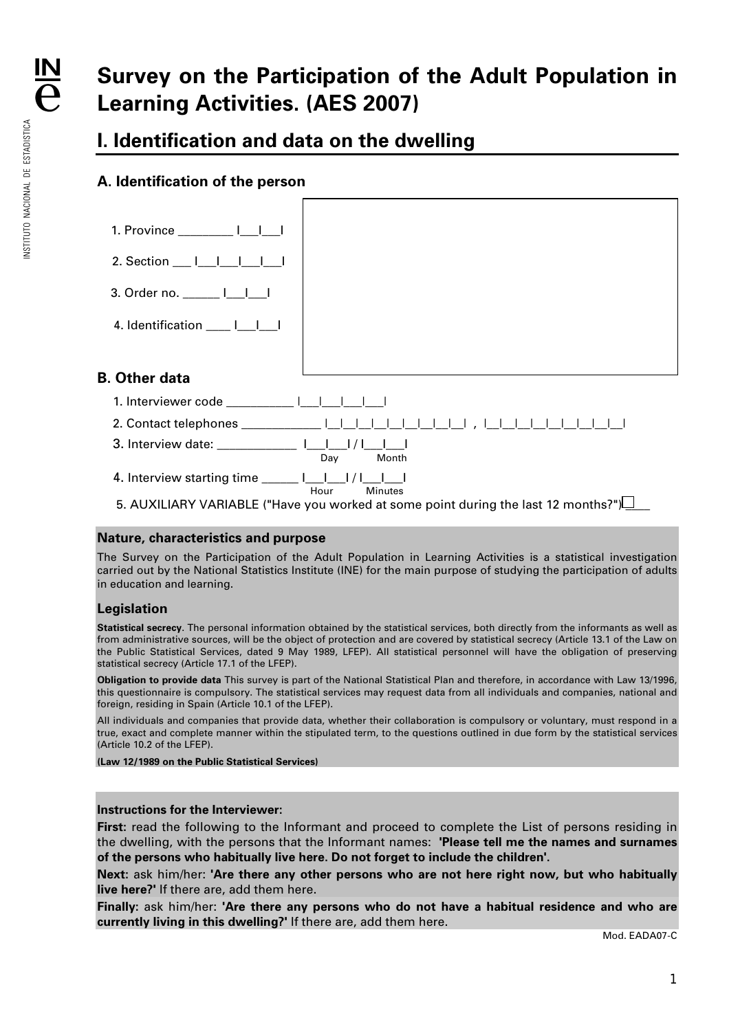# **Survey on the Participation of the Adult Population in Learning Activities. (AES 2007)**

# **I. Identification and data on the dwelling**

# **A. Identification of the person**



#### **Nature, characteristics and purpose**

The Survey on the Participation of the Adult Population in Learning Activities is a statistical investigation carried out by the National Statistics Institute (INE) for the main purpose of studying the participation of adults in education and learning.

### **Legislation**

**Statistical secrecy**. The personal information obtained by the statistical services, both directly from the informants as well as from administrative sources, will be the object of protection and are covered by statistical secrecy (Article 13.1 of the Law on the Public Statistical Services, dated 9 May 1989, LFEP). All statistical personnel will have the obligation of preserving statistical secrecy (Article 17.1 of the LFEP).

**Obligation to provide data** This survey is part of the National Statistical Plan and therefore, in accordance with Law 13/1996, this questionnaire is compulsory. The statistical services may request data from all individuals and companies, national and foreign, residing in Spain (Article 10.1 of the LFEP).

All individuals and companies that provide data, whether their collaboration is compulsory or voluntary, must respond in a true, exact and complete manner within the stipulated term, to the questions outlined in due form by the statistical services (Article 10.2 of the LFEP).

**(Law 12/1989 on the Public Statistical Services)** 

#### **Instructions for the Interviewer:**

**First:** read the following to the Informant and proceed to complete the List of persons residing in the dwelling, with the persons that the Informant names: **'Please tell me the names and surnames of the persons who habitually live here. Do not forget to include the children'.** 

**Next:** ask him/her: **'Are there any other persons who are not here right now, but who habitually live here?'** If there are, add them here.

**Finally:** ask him/her: **'Are there any persons who do not have a habitual residence and who are currently living in this dwelling?'** If there are, add them here.

Mod. EADA07-C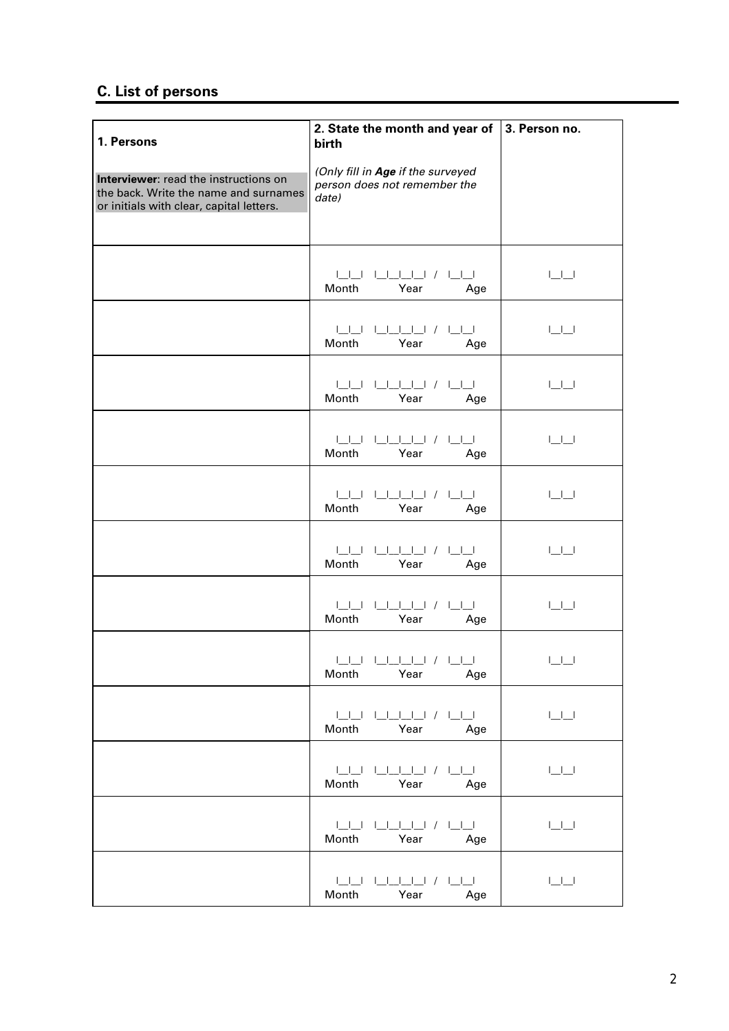# **C. List of persons**

| 1. Persons                                                                                                                 | 2. State the month and year of<br>birth                                    | 3. Person no.                                                                               |
|----------------------------------------------------------------------------------------------------------------------------|----------------------------------------------------------------------------|---------------------------------------------------------------------------------------------|
| Interviewer: read the instructions on<br>the back. Write the name and surnames<br>or initials with clear, capital letters. | (Only fill in Age if the surveyed<br>person does not remember the<br>date) |                                                                                             |
|                                                                                                                            | Month<br>Year<br>Age                                                       | $\sqcup \sqcup$                                                                             |
|                                                                                                                            | Month<br>Year<br>Age                                                       | $\begin{array}{c} \square \square \end{array}$                                              |
|                                                                                                                            | Month<br>Year<br>Age                                                       | $\begin{array}{c} \begin{array}{c} \begin{array}{c} \end{array} \\ \end{array} \end{array}$ |
|                                                                                                                            | Month<br>Year<br>Age                                                       | $\Box\Box$                                                                                  |
|                                                                                                                            | Month<br>Year<br>Age                                                       | $\begin{array}{c} \square \square \end{array}$                                              |
|                                                                                                                            | Month<br>Year<br>Age                                                       | $\begin{tabular}{c} \textbf{1} & \textbf{1} & \textbf{1} \\ \hline \end{tabular}$           |
|                                                                                                                            | Month<br>Year<br>Age                                                       | $\begin{array}{c} \begin{array}{c} \begin{array}{c} \end{array} \\ \end{array} \end{array}$ |
|                                                                                                                            | الباليان / البالباليان الباليا<br>Month<br>Year<br>Age                     | $\begin{array}{c} \square \square \end{array}$                                              |
|                                                                                                                            | Year<br>Month<br>Age                                                       | $\sqcup\sqcup$                                                                              |
|                                                                                                                            | Month<br>Year<br>Age                                                       | $\lfloor \underline{\qquad} \rfloor \underline{\qquad} \rfloor$                             |
|                                                                                                                            | Month<br>Year<br>Age                                                       | $\sqcup \sqcup$                                                                             |
|                                                                                                                            | Month<br>Year<br>Age                                                       | $\sqcup \sqcup$                                                                             |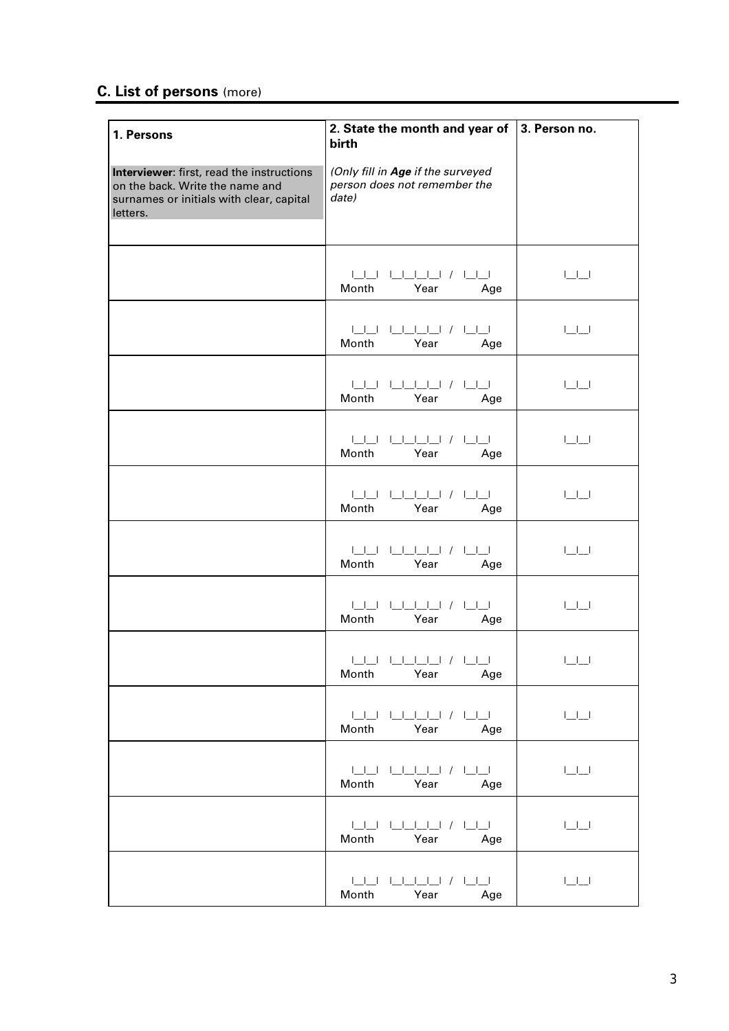# **C. List of persons** (more)

| 1. Persons                                                                                                                           | 2. State the month and year of<br>birth                                    | 3. Person no.                                                     |
|--------------------------------------------------------------------------------------------------------------------------------------|----------------------------------------------------------------------------|-------------------------------------------------------------------|
| Interviewer: first, read the instructions<br>on the back. Write the name and<br>surnames or initials with clear, capital<br>letters. | (Only fill in Age if the surveyed<br>person does not remember the<br>date) |                                                                   |
|                                                                                                                                      | Month<br>Year<br>Age                                                       | $\sqcup\sqcup$                                                    |
|                                                                                                                                      | 1 1 1 1 1 1 1 1 / 1 1 1<br>Month<br>Year<br>Age                            | $\begin{array}{c} \square \square \end{array}$                    |
|                                                                                                                                      | Month<br>Year<br>Age                                                       | $\Box\Box$                                                        |
|                                                                                                                                      | 1 1 1 1 1 1 1 1 / 1 1 1<br>Month<br>Year<br>Age                            | $\Box\Box$                                                        |
|                                                                                                                                      | Month<br>Year<br>Age                                                       | $\Box\Box$                                                        |
|                                                                                                                                      | 1 1 1 1 1 1 1 1 / 1 1 1<br>Month<br>Year<br>Age                            | $\Box\Box$                                                        |
|                                                                                                                                      | 1 1 1 1 1 / 1 1 1<br>Month<br>Year<br>Age                                  | $\begin{array}{c} \square \square \end{array}$                    |
|                                                                                                                                      | Month<br>Year<br>Age                                                       | $\begin{array}{ccc} \end{array}$ $\begin{array}{ccc} \end{array}$ |
|                                                                                                                                      | Month<br>Year<br>Age                                                       | $\sqcup\sqcup$                                                    |
|                                                                                                                                      | Month<br>Year<br>Age                                                       | $\Box\Box$                                                        |
|                                                                                                                                      | Month<br>Year<br>Age                                                       | $\sqcup \sqcup \sqcup$                                            |
|                                                                                                                                      | Month<br>Year<br>Age                                                       | $\Box\Box$                                                        |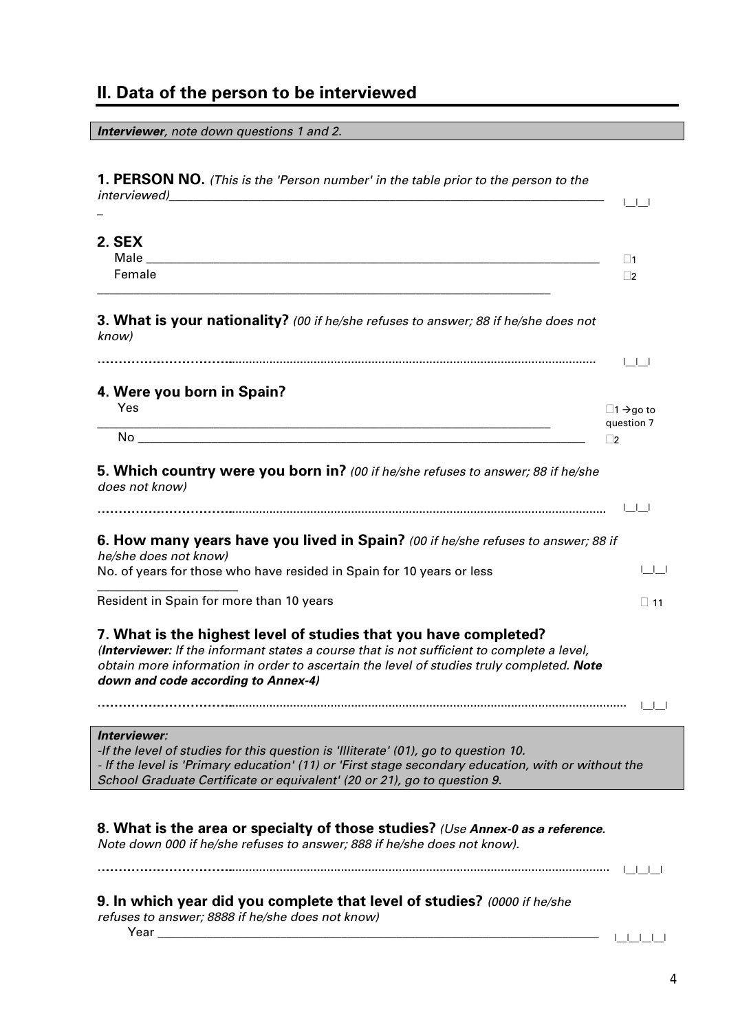# **II. Data of the person to be interviewed**

| <b>Interviewer</b> , note down questions 1 and 2.                                                                                                                                                                                                                                                 |                                             |
|---------------------------------------------------------------------------------------------------------------------------------------------------------------------------------------------------------------------------------------------------------------------------------------------------|---------------------------------------------|
| 1. PERSON NO. (This is the 'Person number' in the table prior to the person to the<br>interviewed)<br><u> 2000 - 2000 - 2000 - 2000 - 2000 - 2000 - 2000 - 2000 - 2000 - 2000 - 2000 - 2000 - 2000 - 2000 - 2000 - 200</u>                                                                        |                                             |
|                                                                                                                                                                                                                                                                                                   | لطاطا                                       |
| <b>2. SEX</b>                                                                                                                                                                                                                                                                                     | $\Box$ 1                                    |
| Female<br>and the control of the control of the control of the control of the control of the control of the control of the                                                                                                                                                                        | $\Box$ 2                                    |
| 3. What is your nationality? (00 if he/she refuses to answer; 88 if he/she does not<br>know)                                                                                                                                                                                                      |                                             |
|                                                                                                                                                                                                                                                                                                   | اكاكا                                       |
| 4. Were you born in Spain?<br>Yes<br><u> 2000 - 2000 - 2000 - 2000 - 2000 - 2000 - 2000 - 2000 - 2000 - 2000 - 2000 - 2000 - 2000 - 2000 - 2000 - 200</u>                                                                                                                                         | $\Box$ 1 $\rightarrow$ go to<br>question 7  |
|                                                                                                                                                                                                                                                                                                   | $\square$ 2                                 |
| 5. Which country were you born in? (00 if he/she refuses to answer; 88 if he/she<br>does not know)                                                                                                                                                                                                |                                             |
|                                                                                                                                                                                                                                                                                                   | الطاطا                                      |
| 6. How many years have you lived in Spain? (00 if he/she refuses to answer; 88 if<br>he/she does not know)                                                                                                                                                                                        |                                             |
| No. of years for those who have resided in Spain for 10 years or less                                                                                                                                                                                                                             | $\begin{array}{ccc} & & & & \\ \end{array}$ |
| Resident in Spain for more than 10 years                                                                                                                                                                                                                                                          | $\Box$ 11                                   |
| 7. What is the highest level of studies that you have completed?<br>(Interviewer: If the informant states a course that is not sufficient to complete a level,<br>obtain more information in order to ascertain the level of studies truly completed. Note<br>down and code according to Annex-4) |                                             |
|                                                                                                                                                                                                                                                                                                   |                                             |
| Interviewer:<br>-If the level of studies for this question is 'Illiterate' $(01)$ , go to question 10.<br>- If the level is 'Primary education' (11) or 'First stage secondary education, with or without the<br>School Graduate Certificate or equivalent' (20 or 21), go to question 9.         |                                             |
|                                                                                                                                                                                                                                                                                                   |                                             |
| 8. What is the area or specialty of those studies? (Use Annex-0 as a reference.<br>Note down 000 if he/she refuses to answer; 888 if he/she does not know).                                                                                                                                       |                                             |
|                                                                                                                                                                                                                                                                                                   | 1111                                        |
| 9. In which year did you complete that level of studies? (0000 if he/she<br>refuses to answer; 8888 if he/she does not know)                                                                                                                                                                      |                                             |
|                                                                                                                                                                                                                                                                                                   |                                             |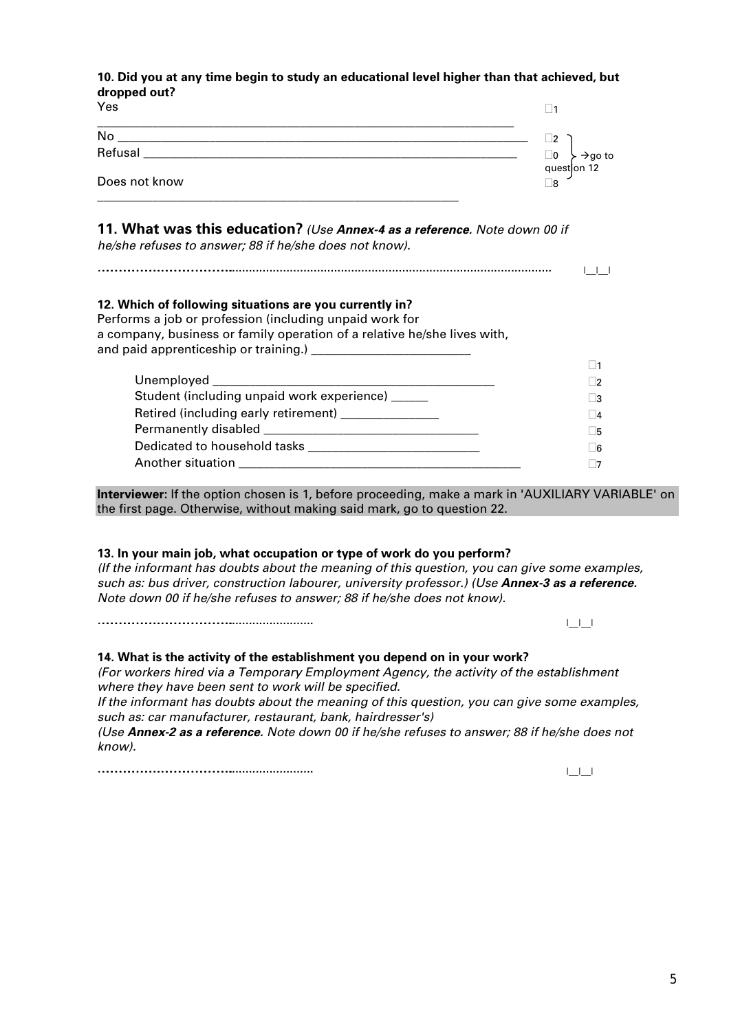#### **10. Did you at any time begin to study an educational level higher than that achieved, but dropped out?**

| uruppeu vulli<br>Yes                                                                                                                                                                           | ∣ 1                             |
|------------------------------------------------------------------------------------------------------------------------------------------------------------------------------------------------|---------------------------------|
|                                                                                                                                                                                                | $\Box$ 2                        |
|                                                                                                                                                                                                | $\Box$ 0<br>$\rightarrow$ go to |
| Does not know                                                                                                                                                                                  | queston 12<br>Γ8                |
| 11. What was this education? (Use Annex-4 as a reference. Note down 00 if<br>he/she refuses to answer; 88 if he/she does not know).                                                            |                                 |
| 12. Which of following situations are you currently in?<br>Performs a job or profession (including unpaid work for<br>a company, business or family operation of a relative he/she lives with, |                                 |
|                                                                                                                                                                                                | ∣ ∣1                            |
|                                                                                                                                                                                                | $\Box$                          |
| Student (including unpaid work experience) _____                                                                                                                                               | $\vert$ 3                       |
| Retired (including early retirement) _______________                                                                                                                                           | 4                               |
|                                                                                                                                                                                                | l 5                             |
|                                                                                                                                                                                                | 6                               |
|                                                                                                                                                                                                | 7                               |
|                                                                                                                                                                                                |                                 |

**Interviewer:** If the option chosen is 1, before proceeding, make a mark in 'AUXILIARY VARIABLE' on the first page. Otherwise, without making said mark, go to question 22.

#### **13. In your main job, what occupation or type of work do you perform?**

*(If the informant has doubts about the meaning of this question, you can give some examples, such as: bus driver, construction labourer, university professor.) (Use Annex-3 as a reference. Note down 00 if he/she refuses to answer; 88 if he/she does not know).*

………………………………….………………………………………….......................... |\_\_|\_\_|

#### **14. What is the activity of the establishment you depend on in your work?**

*(For workers hired via a Temporary Employment Agency, the activity of the establishment where they have been sent to work will be specified.* 

*If the informant has doubts about the meaning of this question, you can give some examples, such as: car manufacturer, restaurant, bank, hairdresser's)* 

*(Use Annex-2 as a reference. Note down 00 if he/she refuses to answer; 88 if he/she does not know).*

………………………………….………………………………………….......................... |\_\_|\_\_|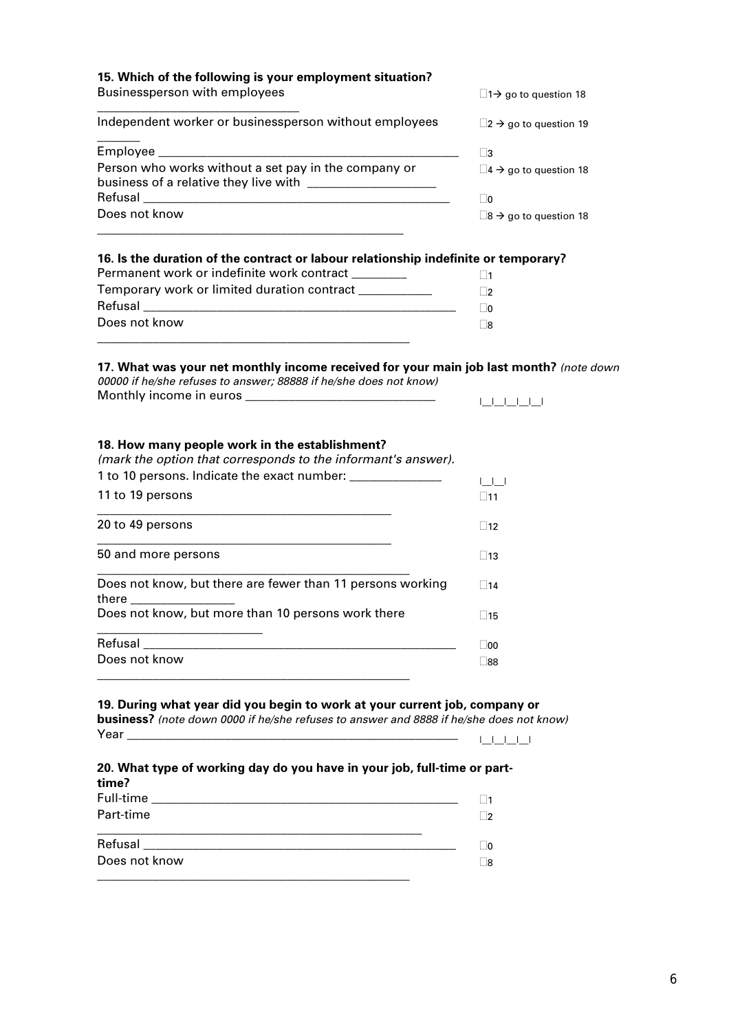| 15. Which of the following is your employment situation?<br>Businessperson with employees                                                                                                                                                                                            |                                                                                             |  |
|--------------------------------------------------------------------------------------------------------------------------------------------------------------------------------------------------------------------------------------------------------------------------------------|---------------------------------------------------------------------------------------------|--|
|                                                                                                                                                                                                                                                                                      | $\Box$ 1 $\rightarrow$ go to question 18                                                    |  |
| Independent worker or businessperson without employees                                                                                                                                                                                                                               | $\square$ 2 $\rightarrow$ go to question 19                                                 |  |
|                                                                                                                                                                                                                                                                                      | $\square$ 3                                                                                 |  |
| Person who works without a set pay in the company or                                                                                                                                                                                                                                 | $\square$ 4 $\rightarrow$ go to question 18                                                 |  |
|                                                                                                                                                                                                                                                                                      | $\Box$ 0                                                                                    |  |
| Does not know<br><u> 1980 - Johann Barbara, martin amerikan basal dan berasal dalam basal dalam basal dalam basal dalam basal dala</u>                                                                                                                                               | $\square$ 8 $\rightarrow$ go to question 18                                                 |  |
| 16. Is the duration of the contract or labour relationship indefinite or temporary?                                                                                                                                                                                                  |                                                                                             |  |
| Permanent work or indefinite work contract ________                                                                                                                                                                                                                                  | $\square$ 1                                                                                 |  |
| Temporary work or limited duration contract ___________                                                                                                                                                                                                                              | $\Box$ 2                                                                                    |  |
|                                                                                                                                                                                                                                                                                      | $\Box$ 0                                                                                    |  |
| Does not know                                                                                                                                                                                                                                                                        | Γ8                                                                                          |  |
| 17. What was your net monthly income received for your main job last month? (note down                                                                                                                                                                                               |                                                                                             |  |
| 00000 if he/she refuses to answer; 88888 if he/she does not know)                                                                                                                                                                                                                    |                                                                                             |  |
|                                                                                                                                                                                                                                                                                      | البالبالياليا                                                                               |  |
|                                                                                                                                                                                                                                                                                      |                                                                                             |  |
| 18. How many people work in the establishment?<br>(mark the option that corresponds to the informant's answer).                                                                                                                                                                      |                                                                                             |  |
| 1 to 10 persons. Indicate the exact number: _______________                                                                                                                                                                                                                          |                                                                                             |  |
| 11 to 19 persons                                                                                                                                                                                                                                                                     | $\begin{array}{c} \begin{array}{c} \begin{array}{c} \end{array} \\ \end{array} \end{array}$ |  |
|                                                                                                                                                                                                                                                                                      | $\square$ 11                                                                                |  |
| 20 to 49 persons                                                                                                                                                                                                                                                                     | $\Box$ 12                                                                                   |  |
| 50 and more persons                                                                                                                                                                                                                                                                  | $\Box$ 13                                                                                   |  |
| Does not know, but there are fewer than 11 persons working                                                                                                                                                                                                                           | $\square$ 14                                                                                |  |
| there the state of the state of the state of the state of the state of the state of the state of the state of the state of the state of the state of the state of the state of the state of the state of the state of the stat<br>Does not know, but more than 10 persons work there | $\square$ 15                                                                                |  |
|                                                                                                                                                                                                                                                                                      |                                                                                             |  |
|                                                                                                                                                                                                                                                                                      | $\Box$ 00                                                                                   |  |
| Does not know                                                                                                                                                                                                                                                                        | $\square$ 88                                                                                |  |
| 19. During what year did you begin to work at your current job, company or                                                                                                                                                                                                           |                                                                                             |  |
| <b>business?</b> (note down 0000 if he/she refuses to answer and 8888 if he/she does not know)                                                                                                                                                                                       |                                                                                             |  |
|                                                                                                                                                                                                                                                                                      | 1 1 1 1 1                                                                                   |  |
| 20. What type of working day do you have in your job, full-time or part-                                                                                                                                                                                                             |                                                                                             |  |
| time?                                                                                                                                                                                                                                                                                |                                                                                             |  |
|                                                                                                                                                                                                                                                                                      | $\square$ 1                                                                                 |  |
| Part-time<br><u> 1989 - Johann Harry Harry Harry Harry Harry Harry Harry Harry Harry Harry Harry Harry Harry Harry Harry Harry</u>                                                                                                                                                   | $\Box$ 2                                                                                    |  |
|                                                                                                                                                                                                                                                                                      | $\Box$ 0                                                                                    |  |
| Does not know                                                                                                                                                                                                                                                                        | $\Box$ 8                                                                                    |  |
|                                                                                                                                                                                                                                                                                      |                                                                                             |  |

6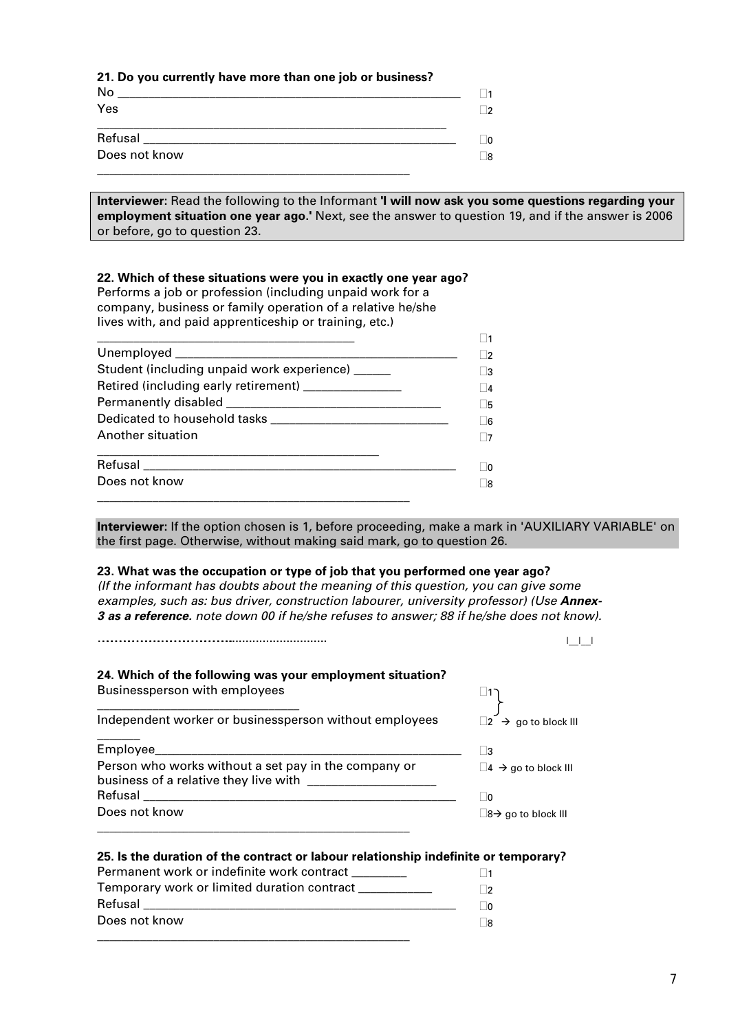#### **21. Do you currently have more than one job or business?**

| No            | 11  |
|---------------|-----|
| Yes           | 2   |
| Refusal       | JO. |
| Does not know | _8  |

**Interviewer:** Read the following to the Informant **'I will now ask you some questions regarding your employment situation one year ago.'** Next, see the answer to question 19, and if the answer is 2006 or before, go to question 23.

#### **22. Which of these situations were you in exactly one year ago?**

Performs a job or profession (including unpaid work for a company, business or family operation of a relative he/she lives with, and paid apprenticeship or training, etc.)

| Student (including unpaid work experience) _____    |  |
|-----------------------------------------------------|--|
| Retired (including early retirement) ______________ |  |
|                                                     |  |
|                                                     |  |
| Another situation                                   |  |
|                                                     |  |
| Does not know                                       |  |
|                                                     |  |

**Interviewer:** If the option chosen is 1, before proceeding, make a mark in 'AUXILIARY VARIABLE' on the first page. Otherwise, without making said mark, go to question 26.

#### **23. What was the occupation or type of job that you performed one year ago?**

*(If the informant has doubts about the meaning of this question, you can give some examples, such as: bus driver, construction labourer, university professor) (Use Annex-3 as a reference. note down 00 if he/she refuses to answer; 88 if he/she does not know).*

| 24. Which of the following was your employment situation?                                     |                                           |
|-----------------------------------------------------------------------------------------------|-------------------------------------------|
| Businessperson with employees                                                                 |                                           |
| Independent worker or businessperson without employees                                        | $\square$ 2 $\rightarrow$ go to block III |
| Employee                                                                                      | $\vert$ 3                                 |
| Person who works without a set pay in the company or<br>business of a relative they live with | $\Box$ 4 $\rightarrow$ go to block III    |
|                                                                                               | ∣∣∩                                       |
| Does not know                                                                                 | $\Box$ 8 $\rightarrow$ go to block III    |

| Permanent work or indefinite work contract  |  |
|---------------------------------------------|--|
| Temporary work or limited duration contract |  |
| Refusal                                     |  |
| Does not know                               |  |
|                                             |  |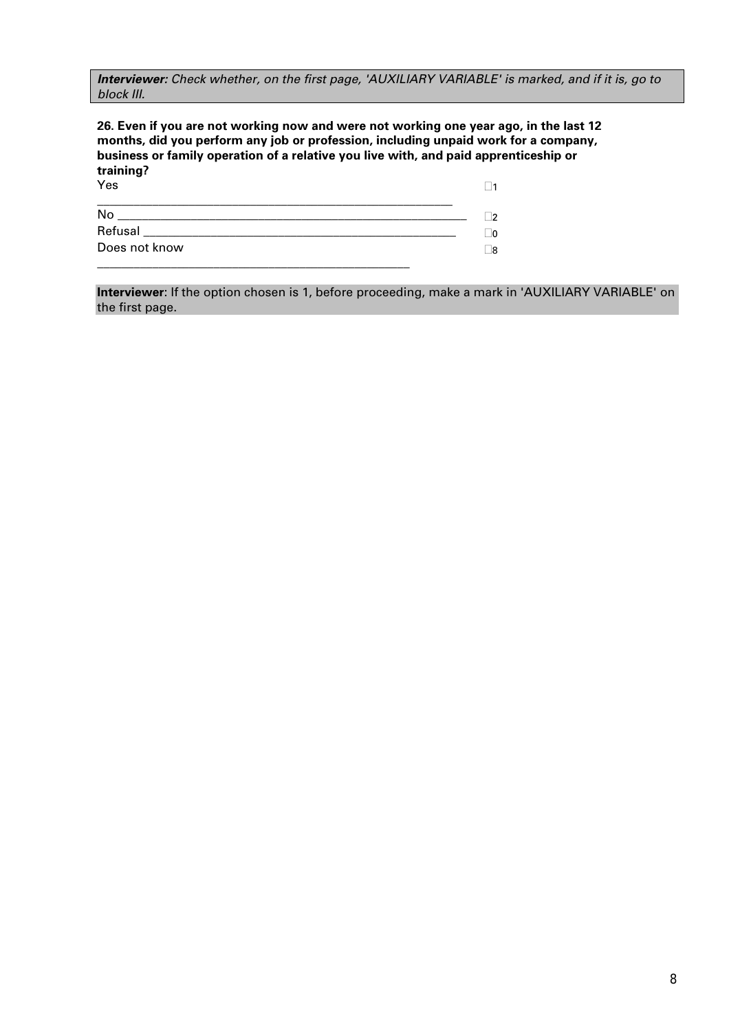*Interviewer: Check whether, on the first page, 'AUXILIARY VARIABLE' is marked, and if it is, go to block III.* 

**26. Even if you are not working now and were not working one year ago, in the last 12 months, did you perform any job or profession, including unpaid work for a company, business or family operation of a relative you live with, and paid apprenticeship or training? Vec**  $\Box$ 1

| 155                                                                                                             |  |
|-----------------------------------------------------------------------------------------------------------------|--|
| No                                                                                                              |  |
| Refusal and the contract of the contract of the contract of the contract of the contract of the contract of the |  |
| Does not know                                                                                                   |  |
|                                                                                                                 |  |

**Interviewer**: If the option chosen is 1, before proceeding, make a mark in 'AUXILIARY VARIABLE' on the first page.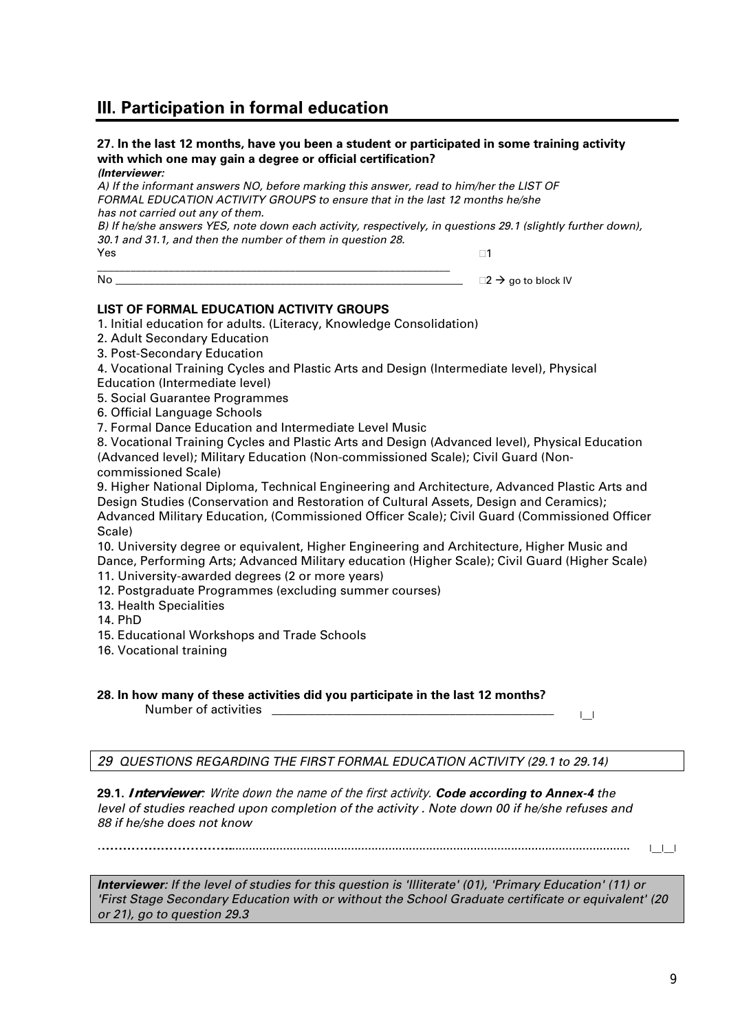# **III. Participation in formal education**

# **27. In the last 12 months, have you been a student or participated in some training activity with which one may gain a degree or official certification?**

*(Interviewer:* 

*A) If the informant answers NO, before marking this answer, read to him/her the LIST OF FORMAL EDUCATION ACTIVITY GROUPS to ensure that in the last 12 months he/she has not carried out any of them.* 

*B)* If he/she answers YES, note down each activity, respectively, in questions 29.1 (slightly further down), *30.1 and 31.1, and then the number of them in question 28.* 

Yes \_\_\_\_\_\_\_\_\_\_\_\_\_\_\_\_\_\_\_\_\_\_\_\_\_\_\_\_\_\_\_\_\_\_\_\_\_\_\_\_\_\_\_\_\_\_\_\_\_\_\_\_\_\_\_\_\_\_\_\_\_\_\_\_ □1

No  $\Box$ 

#### **LIST OF FORMAL EDUCATION ACTIVITY GROUPS**

1. Initial education for adults. (Literacy, Knowledge Consolidation)

2. Adult Secondary Education

3. Post-Secondary Education

4. Vocational Training Cycles and Plastic Arts and Design (Intermediate level), Physical

Education (Intermediate level)

5. Social Guarantee Programmes

6. Official Language Schools

7. Formal Dance Education and Intermediate Level Music

8. Vocational Training Cycles and Plastic Arts and Design (Advanced level), Physical Education (Advanced level); Military Education (Non-commissioned Scale); Civil Guard (Noncommissioned Scale)

9. Higher National Diploma, Technical Engineering and Architecture, Advanced Plastic Arts and Design Studies (Conservation and Restoration of Cultural Assets, Design and Ceramics); Advanced Military Education, (Commissioned Officer Scale); Civil Guard (Commissioned Officer Scale)

10. University degree or equivalent, Higher Engineering and Architecture, Higher Music and Dance, Performing Arts; Advanced Military education (Higher Scale); Civil Guard (Higher Scale) 11. University-awarded degrees (2 or more years)

12. Postgraduate Programmes (excluding summer courses)

13. Health Specialities

14. PhD

15. Educational Workshops and Trade Schools

16. Vocational training

**28. In how many of these activities did you participate in the last 12 months?**  Number of activities \_\_\_\_\_\_\_\_\_\_\_\_\_\_\_\_\_\_\_\_\_\_\_\_\_\_\_\_\_\_\_\_\_\_\_\_\_\_\_\_\_\_\_\_\_\_ |\_\_|

*29 QUESTIONS REGARDING THE FIRST FORMAL EDUCATION ACTIVITY (29.1 to 29.14)* 

**29.1. Interviewer**: Write down the name of the first activity. *Code according to Annex-4 the level of studies reached upon completion of the activity . Note down 00 if he/she refuses and 88 if he/she does not know*

………………………………….…………………………………………....................................................................................................................... |\_\_|\_\_|

*Interviewer: If the level of studies for this question is 'Illiterate' (01), 'Primary Education' (11) or 'First Stage Secondary Education with or without the School Graduate certificate or equivalent' (20 or 21), go to question 29.3*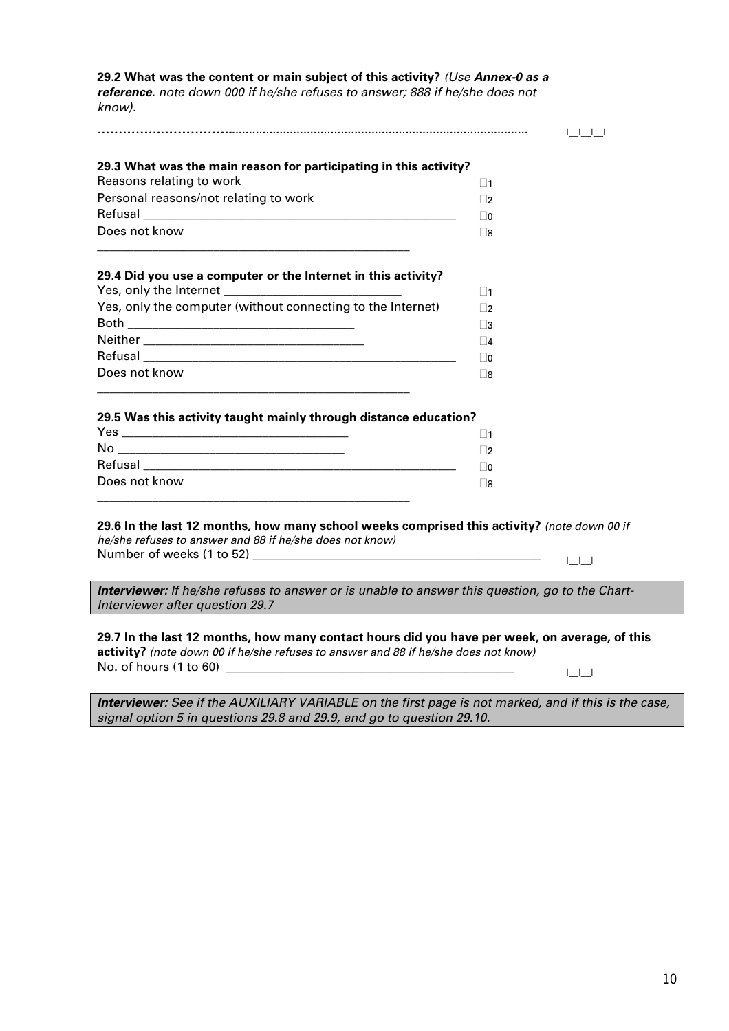#### **29.2 What was the content or main subject of this activity?** *(Use Annex-0 as a*

*reference. note down 000 if he/she refuses to answer; 888 if he/she does not know).*

| 29.3 What was the main reason for participating in this activity?                                                                 |             |
|-----------------------------------------------------------------------------------------------------------------------------------|-------------|
| Reasons relating to work                                                                                                          | $\square$ 1 |
| Personal reasons/not relating to work                                                                                             | $\Box$      |
|                                                                                                                                   | $\Box$ 0    |
| Does not know                                                                                                                     | $\Box$ 8    |
| 29.4 Did you use a computer or the Internet in this activity?                                                                     | $\Box$ 1    |
| Yes, only the computer (without connecting to the Internet)                                                                       | $\Box$      |
|                                                                                                                                   | $\Box$ 3    |
|                                                                                                                                   | $\Box$ 4    |
|                                                                                                                                   | $\Box$ 0    |
| Does not know<br>and the control of the control of the control of the control of the control of the control of the control of the | $\Box$ 8    |
|                                                                                                                                   |             |
| 29.5 Was this activity taught mainly through distance education?                                                                  |             |
|                                                                                                                                   | $\Box$ 1    |
|                                                                                                                                   | $\Box$ 2    |
|                                                                                                                                   | $\Box$ 0    |

*Interviewer: If he/she refuses to answer or is unable to answer this question, go to the Chart-Interviewer after question 29.7* 

#### **29.7 In the last 12 months, how many contact hours did you have per week, on average, of this**

**activity?** *(note down 00 if he/she refuses to answer and 88 if he/she does not know)* No. of hours (1 to 60) \_\_\_\_\_\_\_\_\_\_\_\_\_\_\_\_\_\_\_\_\_\_\_\_\_\_\_\_\_\_\_\_\_\_\_\_\_\_\_\_\_\_\_\_\_\_\_ |\_\_|\_\_|

*Interviewer: See if the AUXILIARY VARIABLE on the first page is not marked, and if this is the case, signal option 5 in questions 29.8 and 29.9, and go to question 29.10.*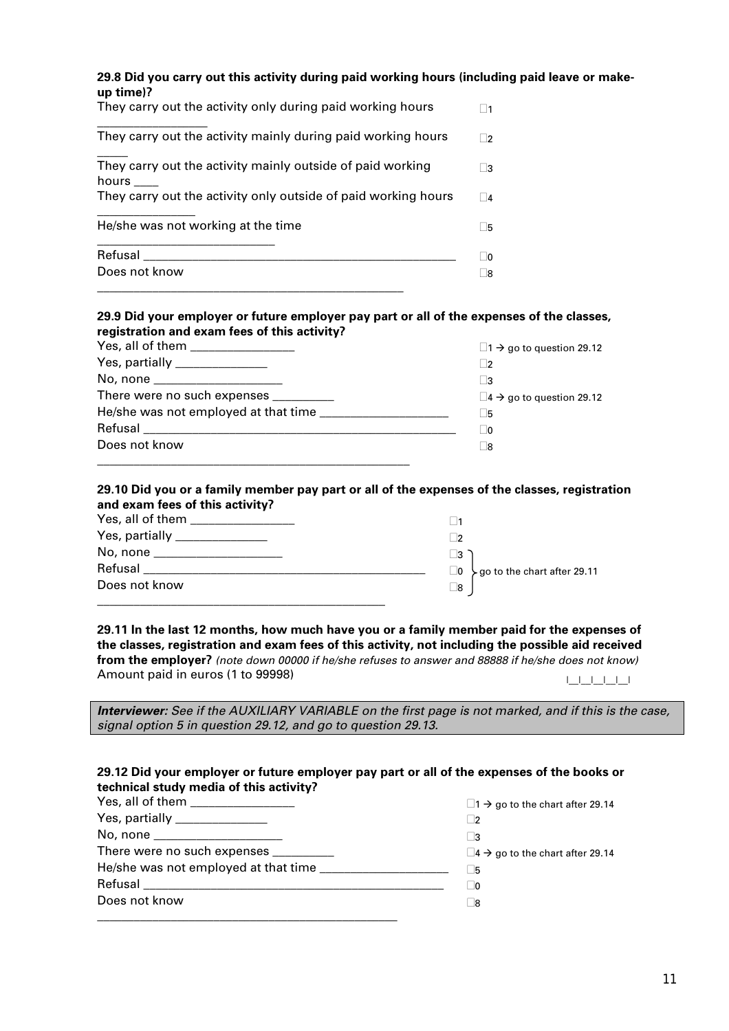| 29.8 Did you carry out this activity during paid working hours (including paid leave or make- |  |
|-----------------------------------------------------------------------------------------------|--|
| up time)?                                                                                     |  |

| They carry out the activity only during paid working hours          |               |
|---------------------------------------------------------------------|---------------|
| They carry out the activity mainly during paid working hours        | $\mathcal{P}$ |
| They carry out the activity mainly outside of paid working<br>hours | -3            |
| They carry out the activity only outside of paid working hours      | 4             |
| He/she was not working at the time                                  | .5            |
| Refusal<br>Does not know                                            | <b>O</b>      |
|                                                                     | 8             |

#### **29.9 Did your employer or future employer pay part or all of the expenses of the classes, registration and exam fees of this activity?**

| Yes, all of them ________________      | $\Box$ 1 $\rightarrow$ go to question 29.12    |
|----------------------------------------|------------------------------------------------|
| Yes, partially _______________         | $\overline{2}$                                 |
| No, none ______________________        | - 13                                           |
| There were no such expenses __________ | $\square$ 4 $\rightarrow$ go to question 29.12 |
|                                        | - 15                                           |
|                                        | - 10                                           |
| Does not know                          | - 18                                           |
|                                        |                                                |

#### **29.10 Did you or a family member pay part or all of the expenses of the classes, registration and exam fees of this activity?**

| Yes, partially _______________ | - 12                                                     |
|--------------------------------|----------------------------------------------------------|
| No, none                       | 3                                                        |
| Refusal                        | $\searrow$ go to the chart after 29.11<br>$\overline{0}$ |
| Does not know                  | 8                                                        |
|                                |                                                          |

**29.11 In the last 12 months, how much have you or a family member paid for the expenses of the classes, registration and exam fees of this activity, not including the possible aid received from the employer?** *(note down 00000 if he/she refuses to answer and 88888 if he/she does not know)* Amount paid in euros (1 to 99998) and the set of the set of the set of the set of the set of the set of the set o

*Interviewer: See if the AUXILIARY VARIABLE on the first page is not marked, and if this is the case, signal option 5 in question 29.12, and go to question 29.13.* 

#### **29.12 Did your employer or future employer pay part or all of the expenses of the books or technical study media of this activity?**

| Yes, all of them _________________    | $\Box$ 1 $\rightarrow$ go to the chart after 29.14 |
|---------------------------------------|----------------------------------------------------|
| Yes, partially _______________        | $\overline{2}$                                     |
| No, none ______________________       | ∣ 3                                                |
| There were no such expenses _________ | $\Box$ 4 $\rightarrow$ go to the chart after 29.14 |
|                                       | l 5                                                |
|                                       | - 10                                               |
| Does not know                         | - 18                                               |
|                                       |                                                    |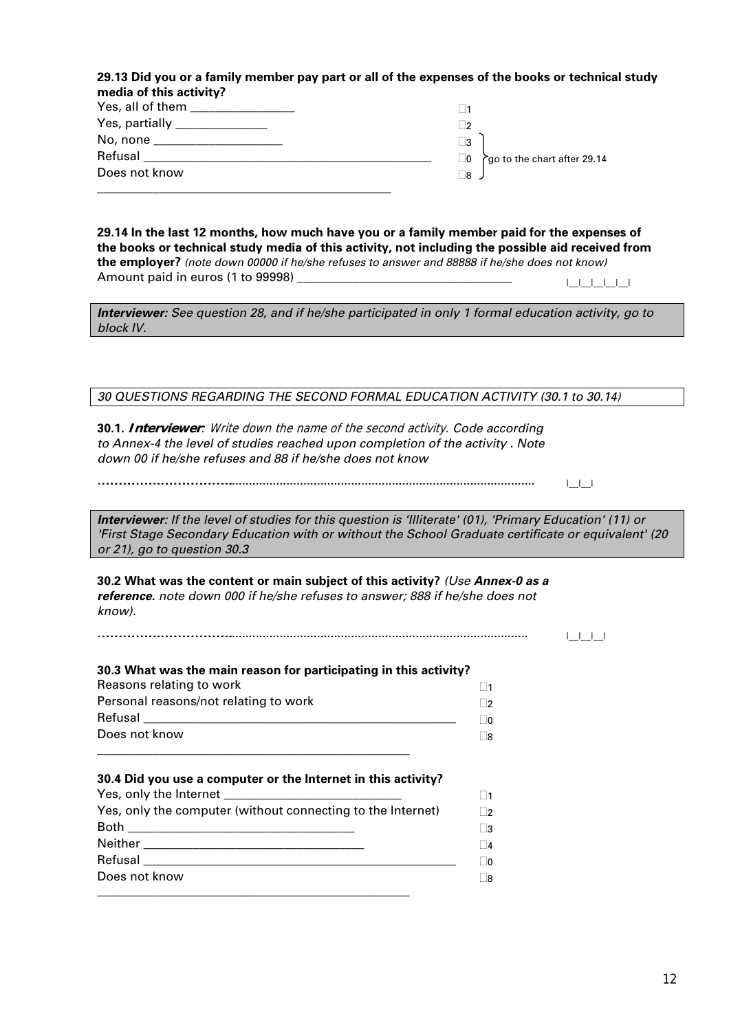| 29.13 Did you or a family member pay part or all of the expenses of the books or technical study |  |
|--------------------------------------------------------------------------------------------------|--|
| media of this activity?                                                                          |  |

| Yes, all of them _______________ |                                      |
|----------------------------------|--------------------------------------|
| Yes, partially _______________   | ∣?                                   |
| No, none _____________________   | $\vert$ 3                            |
| Refusal                          | rgo to the chart after 29.14<br>⊢IO. |
| Does not know                    | ි8                                   |
|                                  |                                      |

**29.14 In the last 12 months, how much have you or a family member paid for the expenses of the books or technical study media of this activity, not including the possible aid received from the employer?** *(note down 00000 if he/she refuses to answer and 88888 if he/she does not know)* Amount paid in euros (1 to 99998) \_\_\_\_\_\_\_\_\_\_\_\_\_\_\_\_\_\_\_\_\_\_\_\_\_\_\_\_\_\_\_\_\_\_\_ |\_\_|\_\_|\_\_|\_\_|\_\_|

*Interviewer: See question 28, and if he/she participated in only 1 formal education activity, go to block IV.* 

#### *30 QUESTIONS REGARDING THE SECOND FORMAL EDUCATION ACTIVITY (30.1 to 30.14)*

**30.1. Interviewer**: Write down the name of the second activity. *Code according to Annex-4 the level of studies reached upon completion of the activity . Note down 00 if he/she refuses and 88 if he/she does not know*

………………………………….…………………………………………........................................................................................... |\_\_|\_\_|

*Interviewer: If the level of studies for this question is 'Illiterate' (01), 'Primary Education' (11) or 'First Stage Secondary Education with or without the School Graduate certificate or equivalent' (20 or 21), go to question 30.3* 

**30.2 What was the content or main subject of this activity?** *(Use Annex-0 as a reference. note down 000 if he/she refuses to answer; 888 if he/she does not know).*

………………………………….…………………………………………......................................................................................... |\_\_|\_\_|\_\_|

| 30.3 What was the main reason for participating in this activity? |                |  |
|-------------------------------------------------------------------|----------------|--|
| Reasons relating to work                                          | ∣ ∣1           |  |
| Personal reasons/not relating to work                             | $\vert$ 2      |  |
|                                                                   | $\overline{0}$ |  |
| Does not know                                                     | 8              |  |
| 30.4 Did you use a computer or the Internet in this activity?     | $\vert$ 1      |  |
| Yes, only the computer (without connecting to the Internet)       | $\Box$         |  |
|                                                                   | $\Box$ 3       |  |
|                                                                   | $\Box$         |  |
|                                                                   |                |  |

\_\_\_\_\_\_\_\_\_\_\_\_\_\_\_\_\_\_\_\_\_\_\_\_\_\_\_\_\_\_\_\_\_\_\_\_\_\_\_\_\_\_\_\_\_\_\_\_\_\_\_

Does not know

 $\Box$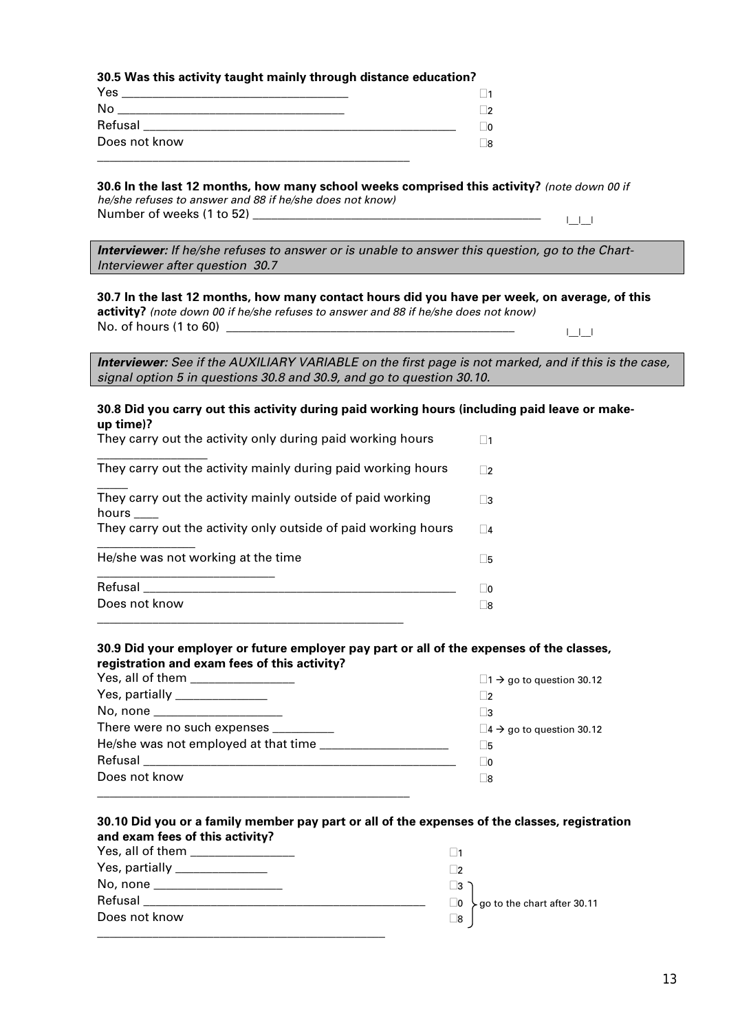#### **30.5 Was this activity taught mainly through distance education?**

| Yes           |   |
|---------------|---|
| No            | n |
| Refusal       |   |
| Does not know | 8 |
|               |   |

#### **30.6 In the last 12 months, how many school weeks comprised this activity?** *(note down 00 if*

*he/she refuses to answer and 88 if he/she does not know)* Number of weeks (1 to 52) \_\_\_\_\_\_\_\_\_\_\_\_\_\_\_\_\_\_\_\_\_\_\_\_\_\_\_\_\_\_\_\_\_\_\_\_\_\_\_\_\_\_\_\_\_\_\_ |\_\_|\_\_|

*Interviewer: If he/she refuses to answer or is unable to answer this question, go to the Chart-Interviewer after question 30.7* 

#### **30.7 In the last 12 months, how many contact hours did you have per week, on average, of this activity?** *(note down 00 if he/she refuses to answer and 88 if he/she does not know)*

| <b>activity?</b> (note down 00 if he/she refuses to answer and 88 if he/she does not know) |  |
|--------------------------------------------------------------------------------------------|--|
| No. of hours (1 to 60)                                                                     |  |

*Interviewer: See if the AUXILIARY VARIABLE on the first page is not marked, and if this is the case, signal option 5 in questions 30.8 and 30.9, and go to question 30.10.* 

#### **30.8 Did you carry out this activity during paid working hours (including paid leave or makeup time)?**

| They carry out the activity only during paid working hours          |                |
|---------------------------------------------------------------------|----------------|
| They carry out the activity mainly during paid working hours        | $\overline{2}$ |
| They carry out the activity mainly outside of paid working<br>hours | $\mathbf{R}$   |
| They carry out the activity only outside of paid working hours      | $\overline{A}$ |
| He/she was not working at the time                                  | - 15           |
| Refusal                                                             |                |
| Does not know                                                       |                |

\_\_\_\_\_\_\_\_\_\_\_\_\_\_\_\_\_\_\_\_\_\_\_\_\_\_\_\_\_\_\_\_\_\_\_\_\_\_\_\_\_\_\_\_\_\_\_\_\_\_

#### **30.9 Did your employer or future employer pay part or all of the expenses of the classes, registration and exam fees of this activity?**

| Yes, all of them _________________    | $\Box$ 1 $\rightarrow$ go to question 30.12    |
|---------------------------------------|------------------------------------------------|
| Yes, partially _______________        | $\mathcal{P}$                                  |
| No, none ______________________       |                                                |
| There were no such expenses _________ | $\square$ 4 $\rightarrow$ go to question 30.12 |
|                                       | . 5                                            |
|                                       | - 10                                           |
| Does not know                         | -18                                            |
|                                       |                                                |

#### **30.10 Did you or a family member pay part or all of the expenses of the classes, registration and exam fees of this activity?**

| Yes, all of them ____________  |                                    |
|--------------------------------|------------------------------------|
| Yes, partially _______________ |                                    |
| No, none                       | I3                                 |
| Refusal                        | yo to the chart after 30.11<br>  O |
| Does not know                  | _8                                 |
|                                |                                    |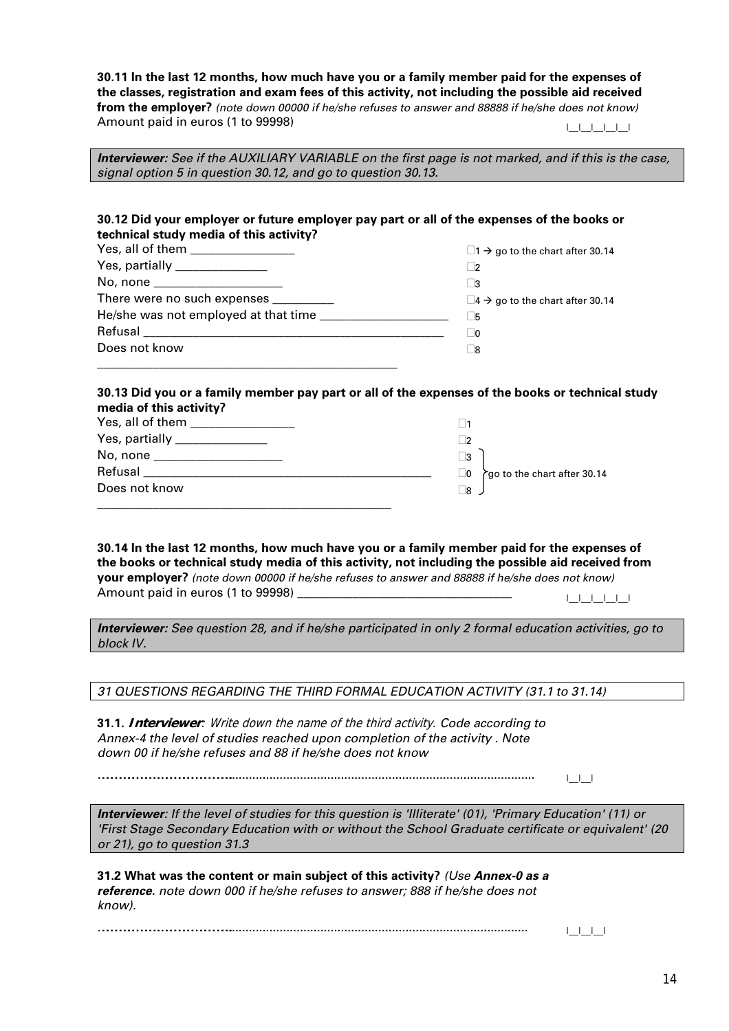**30.11 In the last 12 months, how much have you or a family member paid for the expenses of the classes, registration and exam fees of this activity, not including the possible aid received from the employer?** *(note down 00000 if he/she refuses to answer and 88888 if he/she does not know)* Amount paid in euros (1 to 99998) and the set of the set of the set of the set of the set of the set of the set o

*Interviewer: See if the AUXILIARY VARIABLE on the first page is not marked, and if this is the case, signal option 5 in question 30.12, and go to question 30.13.* 

#### **30.12 Did your employer or future employer pay part or all of the expenses of the books or technical study media of this activity?**

| Yes, all of them _________________    | $\Box$ 1 $\rightarrow$ go to the chart after 30.14 |
|---------------------------------------|----------------------------------------------------|
| Yes, partially _______________        | - 12                                               |
| No, none _______________________      | ∣ ¦3                                               |
| There were no such expenses _________ | $\Box$ 4 $\rightarrow$ go to the chart after 30.14 |
| He/she was not employed at that time  | l 5                                                |
|                                       | - 10                                               |
| Does not know                         | - 18                                               |
|                                       |                                                    |

#### **30.13 Did you or a family member pay part or all of the expenses of the books or technical study media of this activity?**

| Yes, all of them ________________ |                                               |
|-----------------------------------|-----------------------------------------------|
| Yes, partially ________________   |                                               |
| No, none _______________________  | $\vert$ 3                                     |
| Refusal                           | go to the chart after 30.14<br>$\overline{0}$ |
| Does not know                     | - 18                                          |
|                                   |                                               |

#### **30.14 In the last 12 months, how much have you or a family member paid for the expenses of the books or technical study media of this activity, not including the possible aid received from your employer?** *(note down 00000 if he/she refuses to answer and 88888 if he/she does not know)* Amount paid in euros (1 to 99998) \_\_\_\_\_\_\_\_\_\_\_\_\_\_\_\_\_\_\_\_\_\_\_\_\_\_\_\_\_\_\_\_\_\_\_ |\_\_|\_\_|\_\_|\_\_|\_\_|

*Interviewer: See question 28, and if he/she participated in only 2 formal education activities, go to block IV.* 

*31 QUESTIONS REGARDING THE THIRD FORMAL EDUCATION ACTIVITY (31.1 to 31.14)* 

**31.1. Interviewer**: Write down the name of the third activity. *Code according to Annex-4 the level of studies reached upon completion of the activity . Note down 00 if he/she refuses and 88 if he/she does not know*

………………………………….…………………………………………........................................................................................... |\_\_|\_\_|

*Interviewer: If the level of studies for this question is 'Illiterate' (01), 'Primary Education' (11) or 'First Stage Secondary Education with or without the School Graduate certificate or equivalent' (20 or 21), go to question 31.3* 

**31.2 What was the content or main subject of this activity?** *(Use Annex-0 as a reference. note down 000 if he/she refuses to answer; 888 if he/she does not know).*

………………………………….…………………………………………......................................................................................... |\_\_|\_\_|\_\_|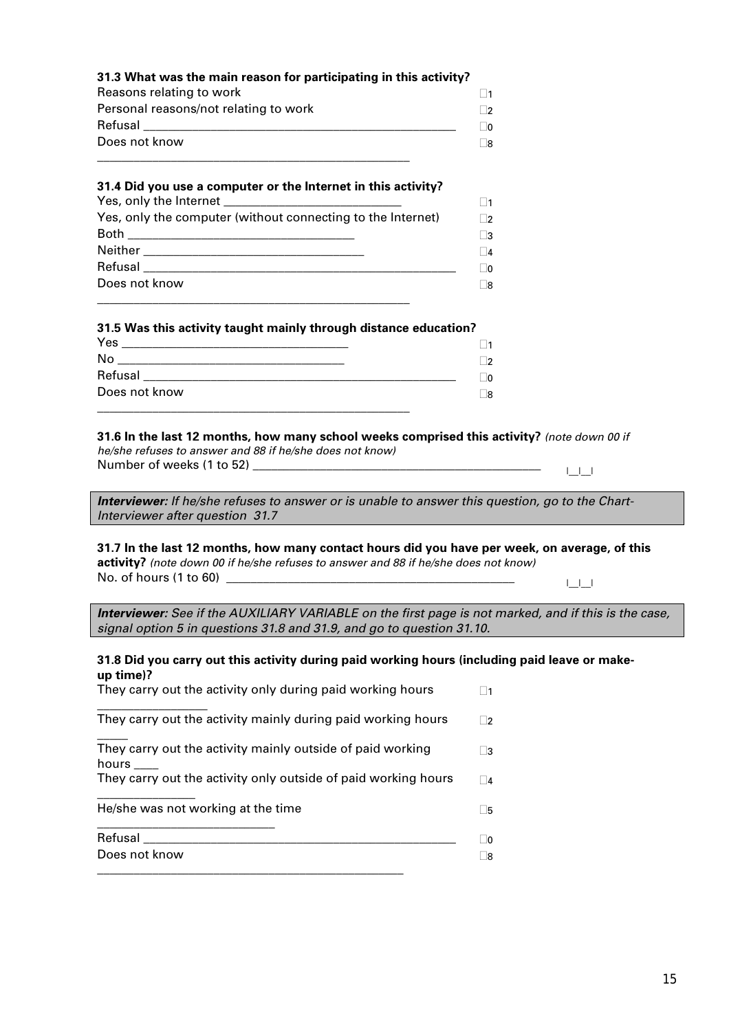| 31.3 What was the main reason for participating in this activity? |                |
|-------------------------------------------------------------------|----------------|
| Reasons relating to work                                          | $\vert$ 1      |
| Personal reasons/not relating to work                             | $\overline{2}$ |
| Refusal                                                           | $\sqrt{2}$     |
| Does not know                                                     | - 18           |
|                                                                   |                |

#### **31.4 Did you use a computer or the Internet in this activity?**

|                                                             | $\blacksquare$ 1 |
|-------------------------------------------------------------|------------------|
| Yes, only the computer (without connecting to the Internet) | ר⊏               |
|                                                             | Π3               |
|                                                             | $\Box$           |
|                                                             | Γ0               |
| Does not know                                               | Γ8               |
|                                                             |                  |

#### **31.5 Was this activity taught mainly through distance education?**

| Yes           |                |
|---------------|----------------|
| No            | ່າ             |
| Refusal       | $\overline{0}$ |
| Does not know | 8              |
|               |                |

#### **31.6 In the last 12 months, how many school weeks comprised this activity?** *(note down 00 if he/she refuses to answer and 88 if he/she does not know)*

Number of weeks (1 to 52) \_\_\_\_\_\_\_\_\_\_\_\_\_\_\_\_\_\_\_\_\_\_\_\_\_\_\_\_\_\_\_\_\_\_\_\_\_\_\_\_\_\_\_\_\_\_\_ |\_\_|\_\_|

*Interviewer: If he/she refuses to answer or is unable to answer this question, go to the Chart-Interviewer after question 31.7* 

#### **31.7 In the last 12 months, how many contact hours did you have per week, on average, of this activity?** *(note down 00 if he/she refuses to answer and 88 if he/she does not know)* No. of hours (1 to 60) \_\_\_\_\_\_\_\_\_\_\_\_\_\_\_\_\_\_\_\_\_\_\_\_\_\_\_\_\_\_\_\_\_\_\_\_\_\_\_\_\_\_\_\_\_\_\_ |\_\_|\_\_|

*Interviewer: See if the AUXILIARY VARIABLE on the first page is not marked, and if this is the case, signal option 5 in questions 31.8 and 31.9, and go to question 31.10.* 

#### **31.8 Did you carry out this activity during paid working hours (including paid leave or makeup time)?**

| They carry out the activity only during paid working hours          |                 |
|---------------------------------------------------------------------|-----------------|
| They carry out the activity mainly during paid working hours        | $\mathcal{D}$   |
| They carry out the activity mainly outside of paid working<br>hours | $\vert 3 \vert$ |
| They carry out the activity only outside of paid working hours      | $\vert$ 4       |
| He/she was not working at the time                                  | -5              |
| Refusal                                                             | m               |
| Does not know                                                       |                 |

\_\_\_\_\_\_\_\_\_\_\_\_\_\_\_\_\_\_\_\_\_\_\_\_\_\_\_\_\_\_\_\_\_\_\_\_\_\_\_\_\_\_\_\_\_\_\_\_\_\_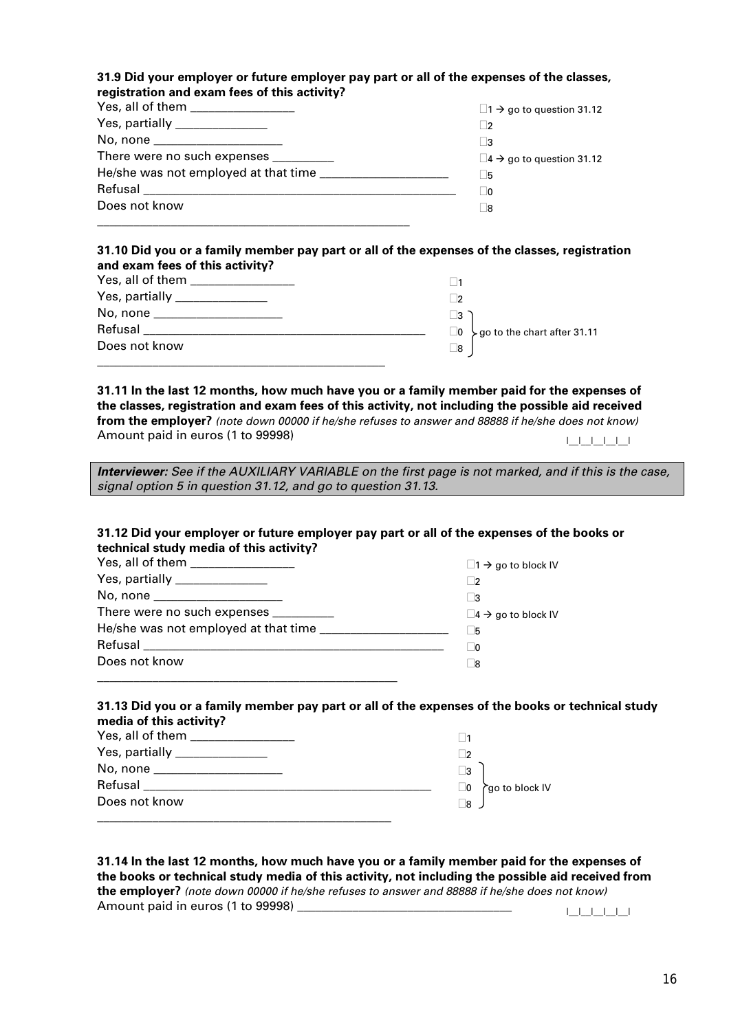#### **31.9 Did your employer or future employer pay part or all of the expenses of the classes, registration and exam fees of this activity?**

| Yes, all of them __________________    | $\Box$ 1 $\rightarrow$ go to question 31.12 |
|----------------------------------------|---------------------------------------------|
| Yes, partially _______________         | $\overline{2}$                              |
| No, none ____________________          |                                             |
| There were no such expenses __________ | $\Box$ 4 $\rightarrow$ go to question 31.12 |
|                                        | - 15                                        |
|                                        | - 10                                        |
| Does not know                          | -18                                         |
|                                        |                                             |

#### **31.10 Did you or a family member pay part or all of the expenses of the classes, registration and exam fees of this activity?**

| Yes, all of them <b>New York Control</b> |                                                 |
|------------------------------------------|-------------------------------------------------|
| Yes, partially ________________          | - 12                                            |
| No, none ______________________          | $\sqcup$ 3                                      |
| Refusal                                  | $\Box$ 0 $\searrow$ go to the chart after 31.11 |
| Does not know                            | $\_8$                                           |
|                                          |                                                 |

**31.11 In the last 12 months, how much have you or a family member paid for the expenses of the classes, registration and exam fees of this activity, not including the possible aid received from the employer?** *(note down 00000 if he/she refuses to answer and 88888 if he/she does not know)* Amount paid in euros (1 to 99998) and the set of the set of the set of the set of the set of the set of the set o

*Interviewer: See if the AUXILIARY VARIABLE on the first page is not marked, and if this is the case, signal option 5 in question 31.12, and go to question 31.13.* 

#### **31.12 Did your employer or future employer pay part or all of the expenses of the books or technical study media of this activity?**

| Yes, all of them _________________    | $\Box$ 1 $\rightarrow$ go to block IV    |
|---------------------------------------|------------------------------------------|
| Yes, partially _______________        |                                          |
| No, none ______________________       |                                          |
| There were no such expenses _________ | $\square$ 4 $\rightarrow$ go to block IV |
|                                       | l 5                                      |
|                                       | l 10                                     |
| Does not know                         | - 8                                      |
|                                       |                                          |

#### **31.13 Did you or a family member pay part or all of the expenses of the books or technical study media of this activity?**

| No, none      | _3                    |
|---------------|-----------------------|
| Refusal       | ∟0<br>rgo to block IV |
| Does not know | ∃8                    |
|               |                       |

| 31.14 In the last 12 months, how much have you or a family member paid for the expenses of        |  |
|---------------------------------------------------------------------------------------------------|--|
| the books or technical study media of this activity, not including the possible aid received from |  |
| the employer? (note down 00000 if he/she refuses to answer and 88888 if he/she does not know)     |  |
| Amount paid in euros (1 to 99998)                                                                 |  |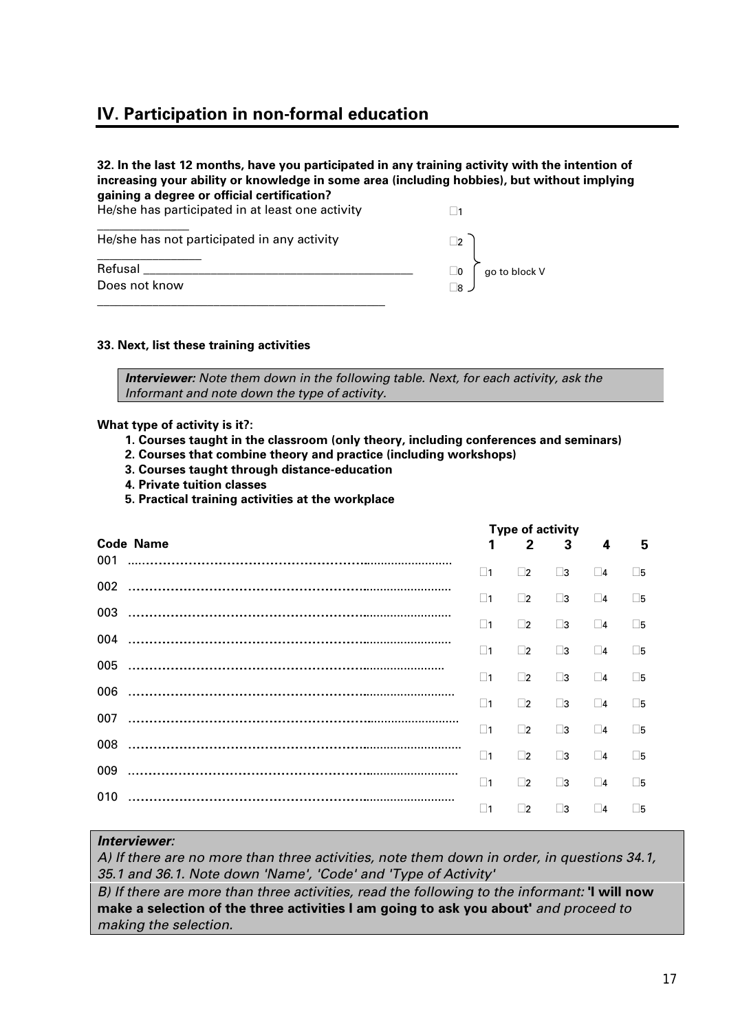# **IV. Participation in non-formal education**

| 32. In the last 12 months, have you participated in any training activity with the intention of<br>increasing your ability or knowledge in some area (including hobbies), but without implying<br>gaining a degree or official certification? |                                     |
|-----------------------------------------------------------------------------------------------------------------------------------------------------------------------------------------------------------------------------------------------|-------------------------------------|
| He/she has participated in at least one activity                                                                                                                                                                                              |                                     |
| He/she has not participated in any activity                                                                                                                                                                                                   | $\vert$ 2                           |
| Refusal<br>Does not know                                                                                                                                                                                                                      | $\Box$ 0 $\int$ go to block V<br>∃8 |
|                                                                                                                                                                                                                                               |                                     |

#### **33. Next, list these training activities**

*Interviewer: Note them down in the following table. Next, for each activity, ask the Informant and note down the type of activity.* 

**What type of activity is it?:** 

- **1. Courses taught in the classroom (only theory, including conferences and seminars)**
- **2. Courses that combine theory and practice (including workshops)**
- **3. Courses taught through distance-education**
- **4. Private tuition classes**
- **5. Practical training activities at the workplace**

|     |                  |          | <b>Type of activity</b> |          |             |             |
|-----|------------------|----------|-------------------------|----------|-------------|-------------|
| 001 | <b>Code Name</b> |          | $\mathfrak{p}$          | 3        | 4           | 5           |
|     |                  | $\Box$ 1 | $\Box$ 2                | $\Box$ 3 | $\Box$ 4    | $\square$ 5 |
|     |                  | $\Box$ 1 | $\Box$ 2                | $\Box$ 3 | $\Box$ 4    | $\square$ 5 |
| 003 |                  | $\Box$ 1 | $\Box$ 2                | $\Box$ 3 | $\Box$ 4    | ∏5          |
| 004 |                  | $\Box$ 1 | $\Box$ 2                | $\Box$ 3 | $\Box$ 4    | $\square$   |
| 005 |                  | $\Box$ 1 | $\Box$ 2                | $\Box$ 3 | $\Box$ 4    | $\square$   |
| 006 |                  | $\Box$ 1 | $\Box$ 2                | $\Box$ 3 | $\Box$ 4    | ∏5          |
| 007 |                  | $\Box$ 1 | $\Box$ 2                | $\Box$ 3 | $\square$ 4 | $\square$ 5 |
| 008 |                  |          |                         |          |             |             |
| 009 |                  | $\Box$ 1 | $\Box$                  | $\Box$ 3 | $\Box$ 4    | $\square$ 5 |
|     |                  | $\Box$ 1 | $\Box$ 2                | $\Box$ 3 | $\Box$ 4    | Γ5          |
| 010 |                  | $\Box$ 1 | 72                      | Π3       | $\Box$ 4    | Π5          |

#### *Interviewer:*

*A) If there are no more than three activities, note them down in order, in questions 34.1, 35.1 and 36.1. Note down 'Name', 'Code' and 'Type of Activity'* 

*B) If there are more than three activities, read the following to the informant:* **'I will now make a selection of the three activities I am going to ask you about'** *and proceed to making the selection.*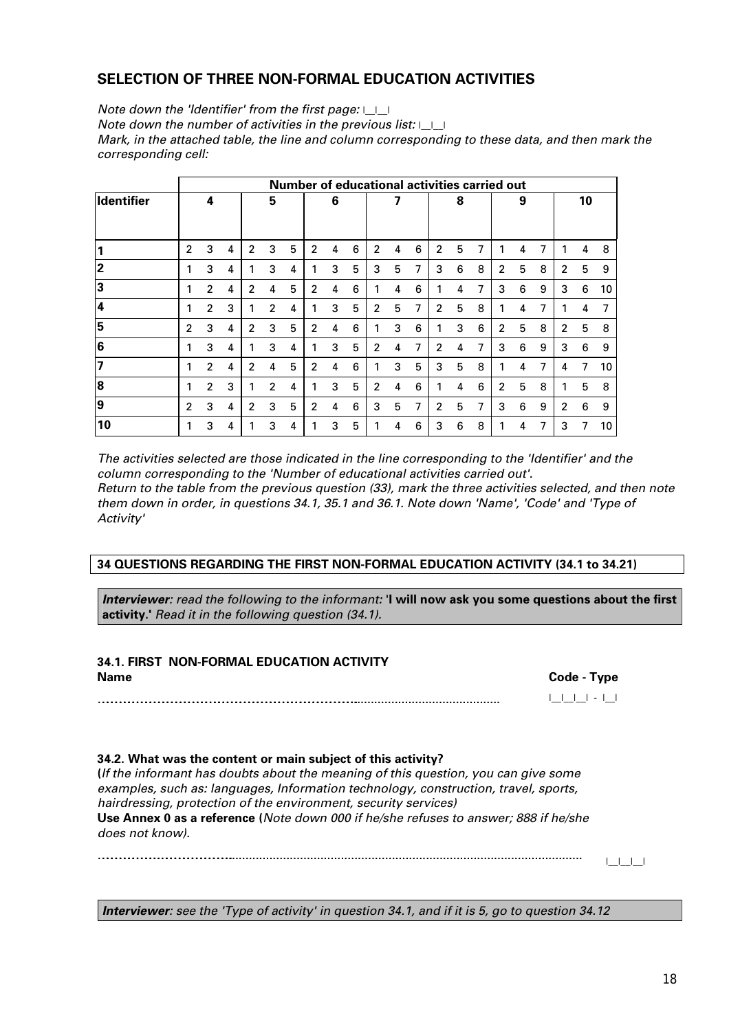## **SELECTION OF THREE NON-FORMAL EDUCATION ACTIVITIES**

*Note down the 'Identifier' from the first page:*  $| \cdot |$ *Note down the number of activities in the previous list:* |\_\_|\_\_| *Mark, in the attached table, the line and column corresponding to these data, and then mark the corresponding cell:* 

|                   |                |                |   |                |                | Number of educational activities carried out |                |   |   |                |   |   |                |   |   |                |   |   |                |    |    |
|-------------------|----------------|----------------|---|----------------|----------------|----------------------------------------------|----------------|---|---|----------------|---|---|----------------|---|---|----------------|---|---|----------------|----|----|
| <b>Identifier</b> |                | 4              |   |                | 5              |                                              |                | 6 |   |                | 7 |   |                | 8 |   |                | 9 |   |                | 10 |    |
|                   |                |                |   |                |                |                                              |                |   |   |                |   |   |                |   |   |                |   |   |                |    |    |
|                   | $\overline{2}$ | 3              | 4 | $\mathbf{2}$   | 3              | 5                                            | $\mathfrak{p}$ | 4 | 6 | $\overline{2}$ | 4 | 6 | $\overline{2}$ | 5 | 7 |                | 4 | 7 |                | 4  | 8  |
| 2                 |                | 3              | 4 |                | 3              | 4                                            |                | 3 | 5 | 3              | 5 | 7 | 3              | 6 | 8 | $\overline{2}$ | 5 | 8 | 2              | 5  | 9  |
| 3                 |                | $\mathfrak{p}$ | 4 | $\mathfrak{p}$ | 4              | 5                                            | 2              | 4 | 6 |                | 4 | 6 |                | 4 | 7 | 3              | 6 | 9 | 3              | 6  | 10 |
| 14                |                | $\overline{2}$ | 3 |                | $\mathfrak{p}$ | 4                                            |                | 3 | 5 | $\overline{2}$ | 5 | 7 | $\overline{2}$ | 5 | 8 |                | 4 | 7 |                | 4  | 7  |
| 15                | $\mathfrak{p}$ | 3              | 4 | $\overline{2}$ | 3              | 5                                            | $\overline{2}$ | 4 | 6 |                | 3 | 6 |                | 3 | 6 | $\overline{2}$ | 5 | 8 | $\overline{2}$ | 5  | 8  |
| 6                 |                | 3              | 4 |                | 3              | 4                                            |                | 3 | 5 | $\overline{2}$ | 4 | 7 | $\overline{2}$ | 4 | 7 | 3              | 6 | 9 | 3              | 6  | 9  |
| 17                |                | $\overline{2}$ | 4 | 2              | 4              | 5                                            | 2              | 4 | 6 |                | 3 | 5 | 3              | 5 | 8 |                | 4 | 7 | 4              | 7  | 10 |
| 8                 |                | $\mathfrak{p}$ | 3 |                | $\mathfrak{p}$ | 4                                            |                | 3 | 5 | 2              | 4 | 6 |                | 4 | 6 | $\overline{2}$ | 5 | 8 | 1              | 5  | 8  |
| 9                 | $\mathfrak{p}$ | 3              | 4 | $\mathfrak{p}$ | 3              | 5                                            | 2              | 4 | 6 | 3              | 5 | 7 | $\overline{2}$ | 5 | 7 | 3              | 6 | 9 | $\overline{2}$ | 6  | 9  |
| 10                |                | 3              | 4 |                | 3              | 4                                            |                | 3 | 5 |                | 4 | 6 | 3              | 6 | 8 |                | 4 | 7 | 3              | 7  | 10 |

*The activities selected are those indicated in the line corresponding to the 'Identifier' and the column corresponding to the 'Number of educational activities carried out'. Return to the table from the previous question (33), mark the three activities selected, and then note them down in order, in questions 34.1, 35.1 and 36.1. Note down 'Name', 'Code' and 'Type of Activity'* 

#### **34 QUESTIONS REGARDING THE FIRST NON-FORMAL EDUCATION ACTIVITY (34.1 to 34.21)**

*Interviewer: read the following to the informant:* '**I will now ask you some questions about the first activity.'** *Read it in the following question (34.1).* 

| <b>34.1. FIRST NON-FORMAL EDUCATION ACTIVITY</b>             |               |
|--------------------------------------------------------------|---------------|
| <b>Name</b>                                                  | Code - Type   |
|                                                              | 1 1 1 1 - 1 1 |
|                                                              |               |
| 34.2. What was the content or main subject of this activity? |               |

**(***If the informant has doubts about the meaning of this question, you can give some examples, such as: languages, Information technology, construction, travel, sports, hairdressing, protection of the environment, security services)* **Use Annex 0 as a reference (***Note down 000 if he/she refuses to answer; 888 if he/she does not know).*

………………………………….…………………………………………......................................................................................................... |\_\_|\_\_|\_\_|

*Interviewer: see the 'Type of activity' in question 34.1, and if it is 5, go to question 34.12*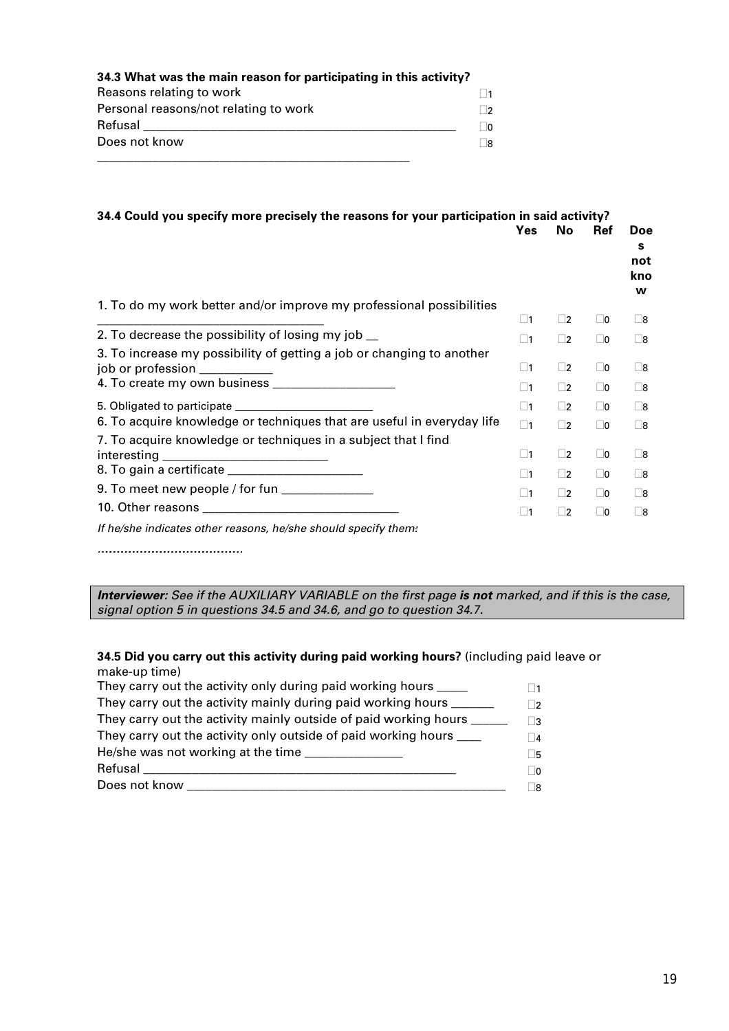| 34.3 What was the main reason for participating in this activity? |            |
|-------------------------------------------------------------------|------------|
| Reasons relating to work                                          |            |
| Personal reasons/not relating to work                             | $\Box$     |
| Refusal                                                           | $\sqrt{2}$ |
| Does not know                                                     | R          |
|                                                                   |            |

| 34.4 Could you specify more precisely the reasons for your participation in said activity?              |             |           |             |                             |
|---------------------------------------------------------------------------------------------------------|-------------|-----------|-------------|-----------------------------|
|                                                                                                         | <b>Yes</b>  | No        | <b>Ref</b>  | Doe<br>s<br>not<br>kno<br>W |
| 1. To do my work better and/or improve my professional possibilities                                    | $\square$ 1 |           |             |                             |
| 2. To decrease the possibility of losing my job __                                                      |             | $\Box$ 2  | $\Box$ 0    | $\square$ 8                 |
|                                                                                                         | $\square$ 1 | $\Box$ 2  | $\square$ 0 | $\square$ 8                 |
| 3. To increase my possibility of getting a job or changing to another<br>$job$ or profession $\sqrt{2}$ | $\square$ 1 | $\Box$ 2  | $\Box$ 0    | $\square$ 8                 |
|                                                                                                         | $\square$ 1 | $\square$ | $\Box$ 0    | $\square$ 8                 |
|                                                                                                         | $\Box$ 1    | $\square$ | $\square$ 0 | $\square$ 8                 |
| 6. To acquire knowledge or techniques that are useful in everyday life                                  | $\square$ 1 | $\Box$ 2  | $\Box$ 0    | Γ8                          |
| 7. To acquire knowledge or techniques in a subject that I find                                          |             |           |             |                             |
| interesting                                                                                             | $\square$ 1 | $\Box$ 2  | $\square$ 0 | $\Box$ 8                    |
|                                                                                                         | $\square$ 1 | $\square$ | $\square$ 0 | $\Box$ 8                    |
| 9. To meet new people / for fun _______________                                                         | $\square$ 1 | $\square$ | $\square$ 0 | $\square$ 8                 |
|                                                                                                         | $\square$ 1 | $\square$ | $\square$ 0 | $\square$ 8                 |
| If he/she indicates other reasons, he/she should specify them:                                          |             |           |             |                             |

*………………………………………………………………………………………………*

*Interviewer: See if the AUXILIARY VARIABLE on the first page is not marked, and if this is the case, signal option 5 in questions 34.5 and 34.6, and go to question 34.7.* 

#### **34.5 Did you carry out this activity during paid working hours?** (including paid leave or make-up time)

| They carry out the activity only during paid working hours _____    | 1        |
|---------------------------------------------------------------------|----------|
| They carry out the activity mainly during paid working hours        | □າ       |
| They carry out the activity mainly outside of paid working hours    | ⊟?       |
| They carry out the activity only outside of paid working hours ____ | $\Box$ 4 |
|                                                                     | Γ5       |
| Refusal                                                             | $\Box$ 0 |
| Does not know                                                       | Πg       |
|                                                                     |          |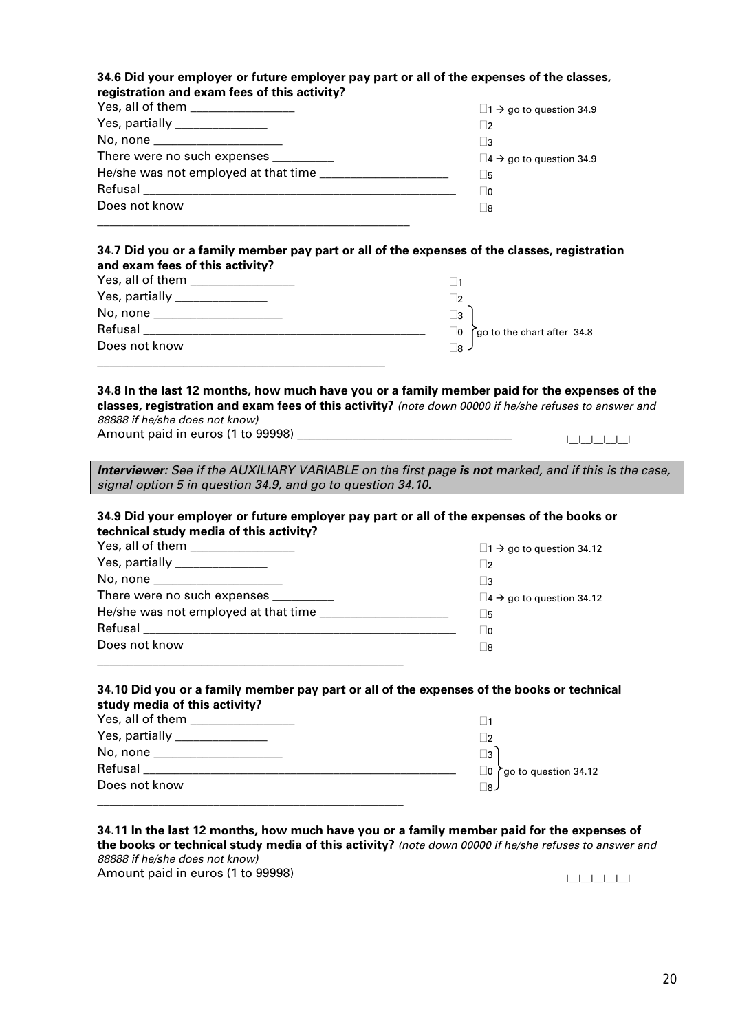#### **34.6 Did your employer or future employer pay part or all of the expenses of the classes, registration and exam fees of this activity?**

| Yes, all of them ________________     | $\Box$ 1 $\rightarrow$ go to question 34.9    |
|---------------------------------------|-----------------------------------------------|
| Yes, partially _______________        | 2                                             |
| No, none ______________________       | ∣ 3                                           |
| There were no such expenses _________ | $\square$ 4 $\rightarrow$ go to question 34.9 |
|                                       | l 5                                           |
|                                       | O                                             |
| Does not know                         | ∣ 8                                           |
|                                       |                                               |

#### **34.7 Did you or a family member pay part or all of the expenses of the classes, registration and exam fees of this activity?**

| Yes, all of them <b>New York Control</b> |                                        |
|------------------------------------------|----------------------------------------|
|                                          |                                        |
| No, none _____________________           | 73                                     |
| Refusal                                  | go to the chart after 34.8<br>$\Box$ 0 |
| Does not know                            | ⊓я.                                    |
|                                          |                                        |

#### **34.8 In the last 12 months, how much have you or a family member paid for the expenses of the classes, registration and exam fees of this activity?** *(note down 00000 if he/she refuses to answer and 88888 if he/she does not know)*

Amount paid in euros (1 to 99998) \_\_\_\_\_\_\_\_\_\_\_\_\_\_\_\_\_\_\_\_\_\_\_\_\_\_\_\_\_\_\_\_\_\_\_ |\_\_|\_\_|\_\_|\_\_|\_\_|

*Interviewer: See if the AUXILIARY VARIABLE on the first page is not marked, and if this is the case, signal option 5 in question 34.9, and go to question 34.10.* 

#### **34.9 Did your employer or future employer pay part or all of the expenses of the books or technical study media of this activity?**

| Yes, all of them _________________     | $\Box$ 1 $\rightarrow$ go to question 34.12    |
|----------------------------------------|------------------------------------------------|
| Yes, partially _______________         | $\overline{2}$                                 |
| No, none _____________________         | - 13                                           |
| There were no such expenses __________ | $\square$ 4 $\rightarrow$ go to question 34.12 |
| He/she was not employed at that time   | - 15                                           |
|                                        | - 10                                           |
| Does not know                          | -18                                            |
|                                        |                                                |

#### **34.10 Did you or a family member pay part or all of the expenses of the books or technical study media of this activity?**

|                               | - 12                                 |
|-------------------------------|--------------------------------------|
| No, none ____________________ | $\mathbf{R}$                         |
| Refusal                       | $\Box$ 0 $\cap$ go to question 34.12 |
| Does not know                 | ∃8∠                                  |
|                               |                                      |

#### **34.11 In the last 12 months, how much have you or a family member paid for the expenses of the books or technical study media of this activity?** *(note down 00000 if he/she refuses to answer and 88888 if he/she does not know)*

Amount paid in euros (1 to 99998) |\_\_|\_\_|\_\_|\_\_|\_\_|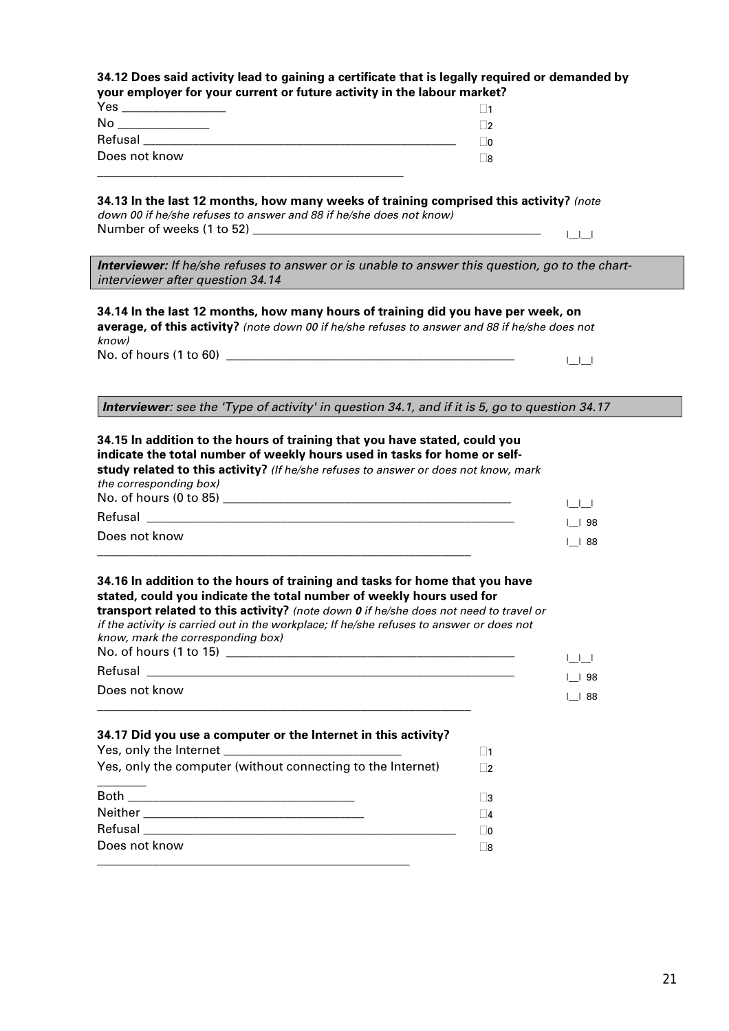| your employer for your current or future activity in the labour market?                                                                                                                                                                                                                                                                                                                        |                          |                                                |
|------------------------------------------------------------------------------------------------------------------------------------------------------------------------------------------------------------------------------------------------------------------------------------------------------------------------------------------------------------------------------------------------|--------------------------|------------------------------------------------|
| Yes _________________                                                                                                                                                                                                                                                                                                                                                                          | $\vert$ 1                |                                                |
| No _______________                                                                                                                                                                                                                                                                                                                                                                             | $\Box$ 2                 |                                                |
|                                                                                                                                                                                                                                                                                                                                                                                                | $\Box$ 0                 |                                                |
| Does not know                                                                                                                                                                                                                                                                                                                                                                                  | $\square$ 8              |                                                |
| 34.13 In the last 12 months, how many weeks of training comprised this activity? (note<br>down 00 if he/she refuses to answer and 88 if he/she does not know)                                                                                                                                                                                                                                  |                          | الطاطا                                         |
| <b>Interviewer:</b> If he/she refuses to answer or is unable to answer this question, go to the chart-<br>interviewer after question 34.14<br>and the control of the control of the control of the control of the control of the control of                                                                                                                                                    |                          |                                                |
| 34.14 In the last 12 months, how many hours of training did you have per week, on<br>average, of this activity? (note down 00 if he/she refuses to answer and 88 if he/she does not<br>know)                                                                                                                                                                                                   |                          |                                                |
|                                                                                                                                                                                                                                                                                                                                                                                                |                          | $\Box \Box$                                    |
|                                                                                                                                                                                                                                                                                                                                                                                                |                          |                                                |
|                                                                                                                                                                                                                                                                                                                                                                                                |                          |                                                |
| <b>Interviewer</b> : see the 'Type of activity' in question 34.1, and if it is 5, go to question 34.17                                                                                                                                                                                                                                                                                         |                          |                                                |
|                                                                                                                                                                                                                                                                                                                                                                                                |                          | $\begin{array}{c} \square \square \end{array}$ |
|                                                                                                                                                                                                                                                                                                                                                                                                |                          | $1$ 198                                        |
| 34.15 In addition to the hours of training that you have stated, could you<br>indicate the total number of weekly hours used in tasks for home or self-<br>study related to this activity? (If he/she refuses to answer or does not know, mark<br>the corresponding box)<br>Does not know                                                                                                      |                          | $\lfloor$ 88                                   |
|                                                                                                                                                                                                                                                                                                                                                                                                |                          | $\begin{array}{c} \square \square \end{array}$ |
|                                                                                                                                                                                                                                                                                                                                                                                                |                          |                                                |
| 34.16 In addition to the hours of training and tasks for home that you have<br>stated, could you indicate the total number of weekly hours used for<br>transport related to this activity? (note down 0 if he/she does not need to travel or<br>if the activity is carried out in the workplace; If he/she refuses to answer or does not<br>know, mark the corresponding box)<br>Does not know |                          | $1$ 198                                        |
| and the control of the control of the control of the control of the control of the control of the control of the                                                                                                                                                                                                                                                                               |                          | $\lfloor$ 88                                   |
|                                                                                                                                                                                                                                                                                                                                                                                                |                          |                                                |
|                                                                                                                                                                                                                                                                                                                                                                                                | $\square$ 1<br>$\square$ |                                                |
|                                                                                                                                                                                                                                                                                                                                                                                                | $\square$ 3              |                                                |
| 34.17 Did you use a computer or the Internet in this activity?<br>Yes, only the computer (without connecting to the Internet)                                                                                                                                                                                                                                                                  | $\Box$ 4                 |                                                |
|                                                                                                                                                                                                                                                                                                                                                                                                | $\Box$ 0                 |                                                |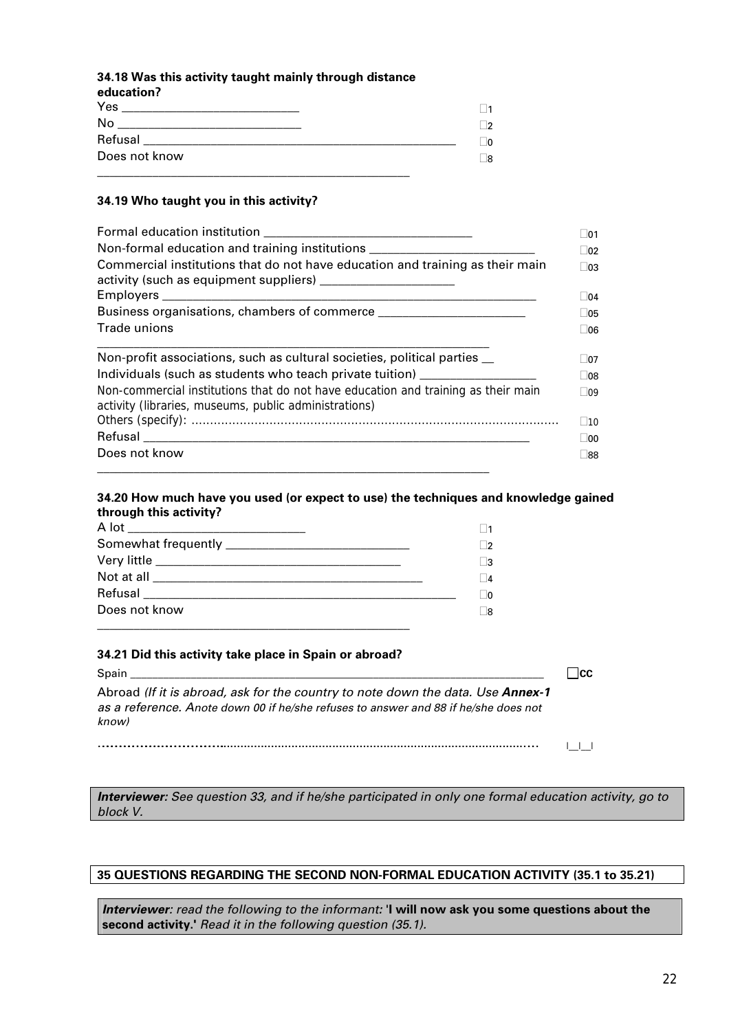#### **34.18 Was this activity taught mainly through distance**

|  | education? |  |  |
|--|------------|--|--|
|  |            |  |  |

| Yes           | 1              |
|---------------|----------------|
| No            | ∣າ             |
| Refusal       | $\overline{0}$ |
| Does not know | _8             |
|               |                |

#### **34.19 Who taught you in this activity?**

| Non-formal education and training institutions _________________________________                                                           | 01<br>$ 02\rangle$<br>03 |  |  |
|--------------------------------------------------------------------------------------------------------------------------------------------|--------------------------|--|--|
| Commercial institutions that do not have education and training as their main<br>activity (such as equipment suppliers)                    |                          |  |  |
| Business organisations, chambers of commerce                                                                                               | 05                       |  |  |
| Trade unions                                                                                                                               | 06                       |  |  |
| Non-profit associations, such as cultural societies, political parties _                                                                   | 07                       |  |  |
| Individuals (such as students who teach private tuition)                                                                                   | 08                       |  |  |
| Non-commercial institutions that do not have education and training as their main<br>activity (libraries, museums, public administrations) | $ 09\rangle$             |  |  |
|                                                                                                                                            | $ 10\rangle$             |  |  |
|                                                                                                                                            | 00                       |  |  |
| Does not know                                                                                                                              | 88                       |  |  |

#### **34.20 How much have you used (or expect to use) the techniques and knowledge gained through this activity?**

| - 12     |
|----------|
|          |
| □3       |
| $\Box$ 4 |
| - 10     |
| - 18     |
|          |

#### **34.21 Did this activity take place in Spain or abroad?**

| Spain                                                                                                                                                                                  |  |
|----------------------------------------------------------------------------------------------------------------------------------------------------------------------------------------|--|
| Abroad (If it is abroad, ask for the country to note down the data. Use <b>Annex-1</b><br>as a reference. Anote down 00 if he/she refuses to answer and 88 if he/she does not<br>know) |  |
|                                                                                                                                                                                        |  |

*Interviewer: See question 33, and if he/she participated in only one formal education activity, go to block V.* 

#### **35 QUESTIONS REGARDING THE SECOND NON-FORMAL EDUCATION ACTIVITY (35.1 to 35.21)**

*Interviewer: read the following to the informant:* '**I will now ask you some questions about the second activity.'** *Read it in the following question (35.1).*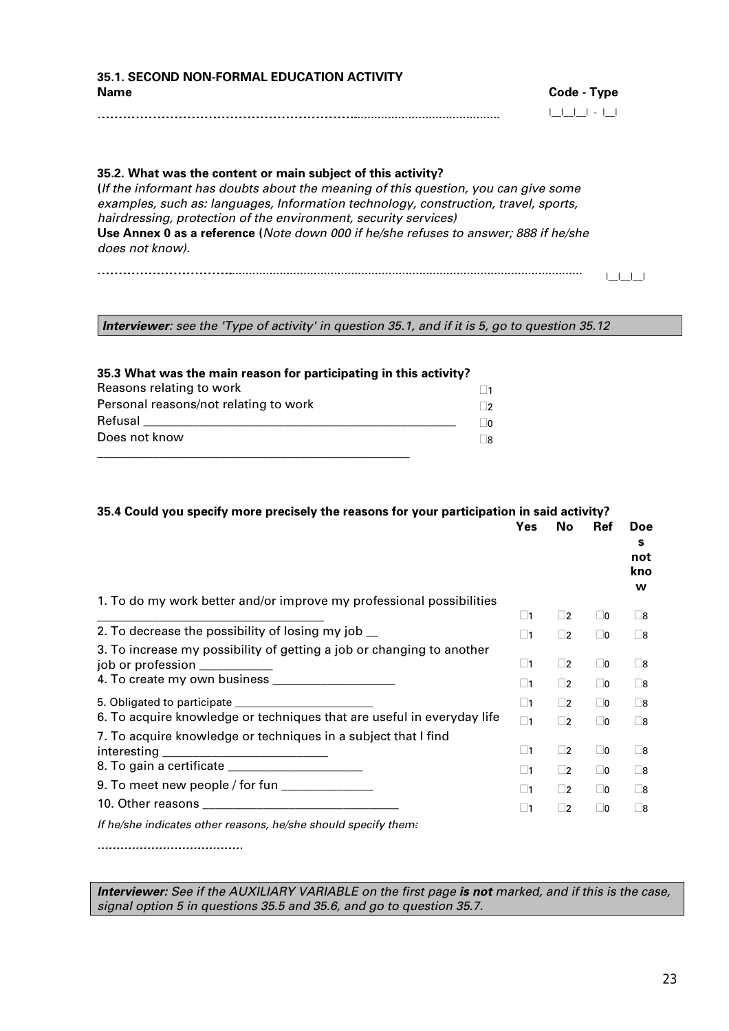**35.1. SECOND NON-FORMAL EDUCATION ACTIVITY Name** Code - Type **Code - Type** ……………………………………………………………………………………………………………………………………………………………............................................ |\_\_|\_\_|\_\_| - |\_\_|

## **35.2. What was the content or main subject of this activity? (***If the informant has doubts about the meaning of this question, you can give some examples, such as: languages, Information technology, construction, travel, sports, hairdressing, protection of the environment, security services)* **Use Annex 0 as a reference (***Note down 000 if he/she refuses to answer; 888 if he/she does not know).* ………………………………….…………………………………………......................................................................................................... |\_\_|\_\_|\_\_|

*Interviewer: see the 'Type of activity' in question 35.1, and if it is 5, go to question 35.12* 

| 35.3 What was the main reason for participating in this activity? |  |
|-------------------------------------------------------------------|--|
| Reasons relating to work                                          |  |
| Personal reasons/not relating to work                             |  |
| Refusal                                                           |  |
| Does not know                                                     |  |

| 35.4 Could you specify more precisely the reasons for your participation in said activity? |             |             |             |                             |
|--------------------------------------------------------------------------------------------|-------------|-------------|-------------|-----------------------------|
|                                                                                            | <b>Yes</b>  | No          | <b>Ref</b>  | Doe<br>s<br>not<br>kno<br>w |
| 1. To do my work better and/or improve my professional possibilities                       |             |             |             |                             |
| 2. To decrease the possibility of losing my job _                                          | $\square$ 1 | $\square$   | $\Box$ 0    | $\square$ 8                 |
| 3. To increase my possibility of getting a job or changing to another                      | $\square$ 1 | $\square$   | $\Box$ 0    | $\square$ 8                 |
|                                                                                            | $\square$ 1 | $\square$   | $\Box$ 0    | $\square$ 8                 |
|                                                                                            | $\square$ 1 | $\square$   | $\square$ 0 | $\square$ 8                 |
|                                                                                            | $\Box$ 1    | $\square$ 2 | $\Box$ 0    | $\square$ 8                 |
| 6. To acquire knowledge or techniques that are useful in everyday life                     | $\square$ 1 | $\square$   | $\Box$ 0    | $\square$ 8                 |
| 7. To acquire knowledge or techniques in a subject that I find                             |             |             |             |                             |
| interesting                                                                                | $\square$ 1 | $\square$   | $\Box$ 0    | $\square$ 8                 |
|                                                                                            | $\square$ 1 | $\square$   | $\Box$ 0    | $\square$ 8                 |
| 9. To meet new people / for fun $\frac{1}{2}$                                              | $\square$ 1 | $\Box$ 2    | $\Box$ 0    | $\square$ 8                 |
|                                                                                            | $\square$ 1 | $\square$   | $\Box$ 0    | $\square$ 8                 |
| If he/she indicates other reasons, he/she should specify them:                             |             |             |             |                             |

*………………………………………………………………………………………………*

*Interviewer: See if the AUXILIARY VARIABLE on the first page is not marked, and if this is the case, signal option 5 in questions 35.5 and 35.6, and go to question 35.7.*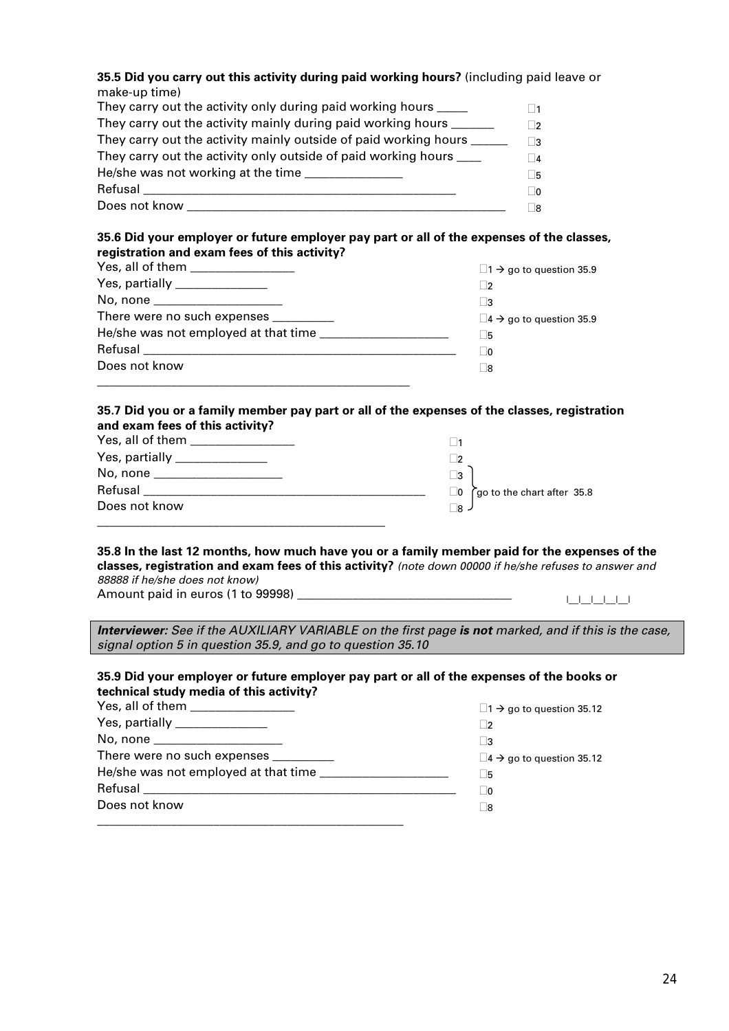#### **35.5 Did you carry out this activity during paid working hours?** (including paid leave or make-up time)

| They carry out the activity only during paid working hours _____    | $\blacksquare$ |
|---------------------------------------------------------------------|----------------|
| They carry out the activity mainly during paid working hours ______ | 72             |
|                                                                     | ∃3             |
| They carry out the activity only outside of paid working hours ____ | $\overline{4}$ |
|                                                                     | Π5             |
| Refusal                                                             | $\Box$ 0       |
| Does not know                                                       | ר 8            |

#### **35.6 Did your employer or future employer pay part or all of the expenses of the classes, registration and exam fees of this activity?**

| Yes, all of them ________________     | $\Box$ 1 $\rightarrow$ go to question 35.9 |
|---------------------------------------|--------------------------------------------|
| Yes, partially _______________        |                                            |
| No, none ______________________       | ∣ 3                                        |
| There were no such expenses _________ | $\Box$ 4 $\rightarrow$ go to question 35.9 |
|                                       | l 5                                        |
|                                       | ∣   0                                      |
| Does not know                         | ∣ 8                                        |
|                                       |                                            |

#### **35.7 Did you or a family member pay part or all of the expenses of the classes, registration and exam fees of this activity?**

| Yes, partially _______________  |                                        |
|---------------------------------|----------------------------------------|
| No, none ______________________ | _3                                     |
| Refusal                         | go to the chart after 35.8<br>$\Box$ 0 |
| Does not know                   | ⊟ล ∠                                   |
|                                 |                                        |

#### **35.8 In the last 12 months, how much have you or a family member paid for the expenses of the classes, registration and exam fees of this activity?** *(note down 00000 if he/she refuses to answer and*

*88888 if he/she does not know)* Amount paid in euros (1 to 99998)

*Interviewer: See if the AUXILIARY VARIABLE on the first page is not marked, and if this is the case, signal option 5 in question 35.9, and go to question 35.10* 

#### **35.9 Did your employer or future employer pay part or all of the expenses of the books or technical study media of this activity?**

| Yes, all of them _______________      | $\Box$ 1 $\rightarrow$ go to question 35.12    |
|---------------------------------------|------------------------------------------------|
| Yes, partially _______________        | - 2                                            |
| No, none ______________________       | ∣ 3                                            |
| There were no such expenses _________ | $\square$ 4 $\rightarrow$ go to question 35.12 |
|                                       | ∣5                                             |
|                                       | - 10                                           |
| Does not know                         | - 18                                           |
|                                       |                                                |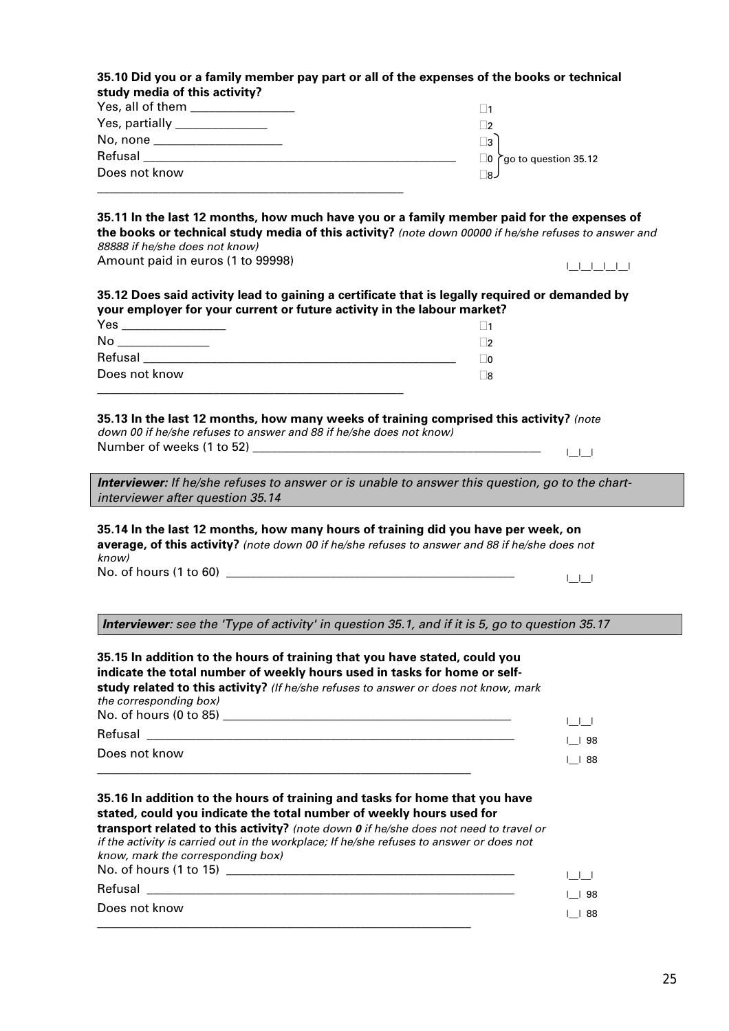| Yes, all of them _________________                                                                                                                                                                                                                                                                                                                                                                                                                                                                                                                                                                                                                                                                                                               | $\Box$ 1                                    |
|--------------------------------------------------------------------------------------------------------------------------------------------------------------------------------------------------------------------------------------------------------------------------------------------------------------------------------------------------------------------------------------------------------------------------------------------------------------------------------------------------------------------------------------------------------------------------------------------------------------------------------------------------------------------------------------------------------------------------------------------------|---------------------------------------------|
| Yes, partially _______________                                                                                                                                                                                                                                                                                                                                                                                                                                                                                                                                                                                                                                                                                                                   | $\Box$                                      |
| No, none _____________________                                                                                                                                                                                                                                                                                                                                                                                                                                                                                                                                                                                                                                                                                                                   | $\square$ 3                                 |
|                                                                                                                                                                                                                                                                                                                                                                                                                                                                                                                                                                                                                                                                                                                                                  | $\Box$ 0 $\bigcap$ go to question 35.12     |
| Does not know                                                                                                                                                                                                                                                                                                                                                                                                                                                                                                                                                                                                                                                                                                                                    | ر8∏                                         |
|                                                                                                                                                                                                                                                                                                                                                                                                                                                                                                                                                                                                                                                                                                                                                  |                                             |
| 35.11 In the last 12 months, how much have you or a family member paid for the expenses of<br>the books or technical study media of this activity? (note down 00000 if he/she refuses to answer and<br>88888 if he/she does not know)                                                                                                                                                                                                                                                                                                                                                                                                                                                                                                            |                                             |
| Amount paid in euros (1 to 99998)                                                                                                                                                                                                                                                                                                                                                                                                                                                                                                                                                                                                                                                                                                                | البالبالياليا                               |
| 35.12 Does said activity lead to gaining a certificate that is legally required or demanded by                                                                                                                                                                                                                                                                                                                                                                                                                                                                                                                                                                                                                                                   |                                             |
| your employer for your current or future activity in the labour market?                                                                                                                                                                                                                                                                                                                                                                                                                                                                                                                                                                                                                                                                          |                                             |
| Yes __________________                                                                                                                                                                                                                                                                                                                                                                                                                                                                                                                                                                                                                                                                                                                           | $\Box$ 1                                    |
|                                                                                                                                                                                                                                                                                                                                                                                                                                                                                                                                                                                                                                                                                                                                                  | $\Box$ 2                                    |
|                                                                                                                                                                                                                                                                                                                                                                                                                                                                                                                                                                                                                                                                                                                                                  | $\Box$ 0                                    |
| Does not know                                                                                                                                                                                                                                                                                                                                                                                                                                                                                                                                                                                                                                                                                                                                    | $\square$ 8                                 |
| <u> 1980 - Johann Barbara, martxa alemaniar arg</u>                                                                                                                                                                                                                                                                                                                                                                                                                                                                                                                                                                                                                                                                                              |                                             |
| 35.13 In the last 12 months, how many weeks of training comprised this activity? (note<br>down 00 if he/she refuses to answer and 88 if he/she does not know)                                                                                                                                                                                                                                                                                                                                                                                                                                                                                                                                                                                    |                                             |
|                                                                                                                                                                                                                                                                                                                                                                                                                                                                                                                                                                                                                                                                                                                                                  | $\begin{array}{ccc} \end{array}$            |
|                                                                                                                                                                                                                                                                                                                                                                                                                                                                                                                                                                                                                                                                                                                                                  |                                             |
|                                                                                                                                                                                                                                                                                                                                                                                                                                                                                                                                                                                                                                                                                                                                                  |                                             |
|                                                                                                                                                                                                                                                                                                                                                                                                                                                                                                                                                                                                                                                                                                                                                  |                                             |
|                                                                                                                                                                                                                                                                                                                                                                                                                                                                                                                                                                                                                                                                                                                                                  | $\begin{array}{ccc} & & & & \\ \end{array}$ |
| Interviewer: see the 'Type of activity' in question 35.1, and if it is 5, go to question 35.17                                                                                                                                                                                                                                                                                                                                                                                                                                                                                                                                                                                                                                                   |                                             |
|                                                                                                                                                                                                                                                                                                                                                                                                                                                                                                                                                                                                                                                                                                                                                  |                                             |
|                                                                                                                                                                                                                                                                                                                                                                                                                                                                                                                                                                                                                                                                                                                                                  |                                             |
|                                                                                                                                                                                                                                                                                                                                                                                                                                                                                                                                                                                                                                                                                                                                                  |                                             |
|                                                                                                                                                                                                                                                                                                                                                                                                                                                                                                                                                                                                                                                                                                                                                  |                                             |
|                                                                                                                                                                                                                                                                                                                                                                                                                                                                                                                                                                                                                                                                                                                                                  |                                             |
|                                                                                                                                                                                                                                                                                                                                                                                                                                                                                                                                                                                                                                                                                                                                                  | $1 + 1$                                     |
|                                                                                                                                                                                                                                                                                                                                                                                                                                                                                                                                                                                                                                                                                                                                                  | $\vert$   98                                |
|                                                                                                                                                                                                                                                                                                                                                                                                                                                                                                                                                                                                                                                                                                                                                  | $ $   88                                    |
|                                                                                                                                                                                                                                                                                                                                                                                                                                                                                                                                                                                                                                                                                                                                                  |                                             |
| <b>Interviewer:</b> If he/she refuses to answer or is unable to answer this question, go to the chart-<br>interviewer after question 35.14<br>35.14 In the last 12 months, how many hours of training did you have per week, on<br>average, of this activity? (note down 00 if he/she refuses to answer and 88 if he/she does not<br>know)<br>No. of hours (1 to 60)<br>35.15 In addition to the hours of training that you have stated, could you<br>indicate the total number of weekly hours used in tasks for home or self-<br>study related to this activity? (If he/she refuses to answer or does not know, mark<br>the corresponding box)<br>Does not know<br>35.16 In addition to the hours of training and tasks for home that you have |                                             |
|                                                                                                                                                                                                                                                                                                                                                                                                                                                                                                                                                                                                                                                                                                                                                  |                                             |
|                                                                                                                                                                                                                                                                                                                                                                                                                                                                                                                                                                                                                                                                                                                                                  |                                             |
|                                                                                                                                                                                                                                                                                                                                                                                                                                                                                                                                                                                                                                                                                                                                                  |                                             |
|                                                                                                                                                                                                                                                                                                                                                                                                                                                                                                                                                                                                                                                                                                                                                  |                                             |
| stated, could you indicate the total number of weekly hours used for<br>transport related to this activity? (note down 0 if he/she does not need to travel or<br>if the activity is carried out in the workplace; If he/she refuses to answer or does not<br>know, mark the corresponding box)                                                                                                                                                                                                                                                                                                                                                                                                                                                   | $\begin{array}{ccc} \end{array}$            |
| Refusal <b>Exercise Contract Contract Contract Contract Contract Contract Contract Contract Contract Contract Contract Contract Contract Contract Contract Contract Contract Contract Contract Contract Contract Contract Contra</b><br>Does not know                                                                                                                                                                                                                                                                                                                                                                                                                                                                                            | $\vert$   98                                |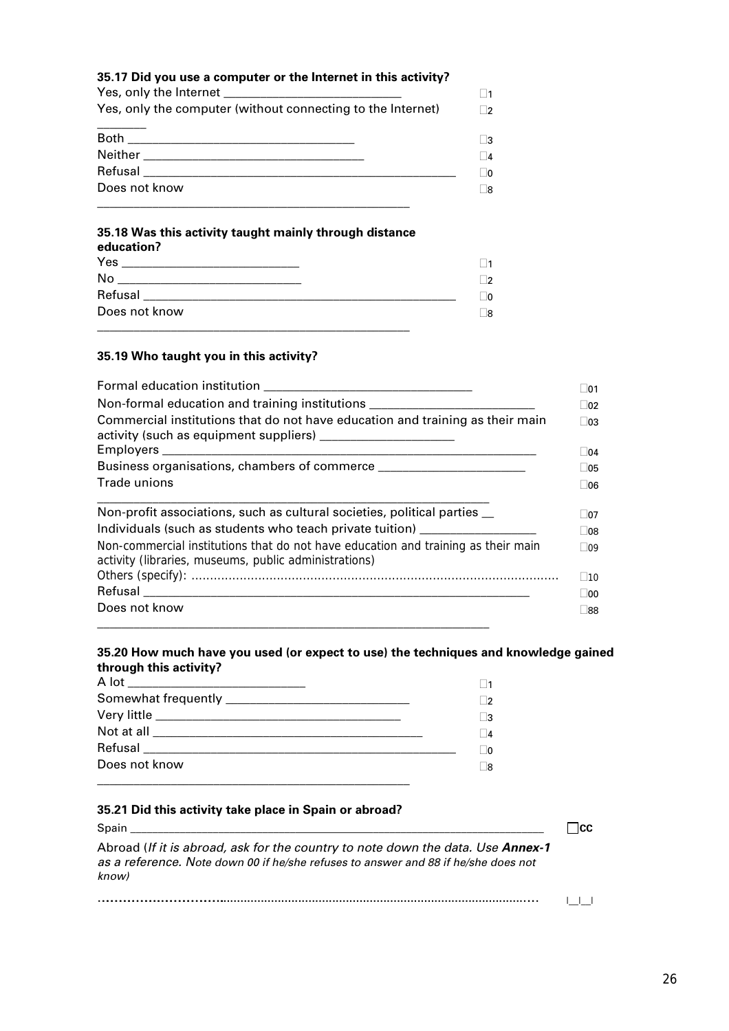| 35.17 Did you use a computer or the Internet in this activity? |           |
|----------------------------------------------------------------|-----------|
|                                                                | $\vert$ 1 |
| Yes, only the computer (without connecting to the Internet)    | $\Box$ 2  |
|                                                                | I3        |
| Neither <b>Executive Structure 1996</b>                        | $\Box$ 4  |
| Refusal                                                        | <b>O</b>  |
| Does not know                                                  | Γ8        |
|                                                                |           |

#### **35.18 Was this activity taught mainly through distance**

| education?                                                                                                     |                |
|----------------------------------------------------------------------------------------------------------------|----------------|
|                                                                                                                | $\vert$ 1      |
| No                                                                                                             | $\overline{2}$ |
| Refusal experiments and the second services of the services of the services of the services of the services of | 70             |
| Does not know                                                                                                  | - 18           |
|                                                                                                                |                |

#### **35.19 Who taught you in this activity?**

| Formal education institution <b>Example 2018</b> To the series of the series of the series of the series of the series of the series of the series of the series of the series of the series of the series of the series of the ser |  |  |                                                                          |
|-------------------------------------------------------------------------------------------------------------------------------------------------------------------------------------------------------------------------------------|--|--|--------------------------------------------------------------------------|
| Non-formal education and training institutions _________________________________<br>Commercial institutions that do not have education and training as their main                                                                   |  |  |                                                                          |
|                                                                                                                                                                                                                                     |  |  | Trade unions                                                             |
|                                                                                                                                                                                                                                     |  |  | Non-profit associations, such as cultural societies, political parties _ |
| Individuals (such as students who teach private tuition)                                                                                                                                                                            |  |  |                                                                          |
| Non-commercial institutions that do not have education and training as their main<br>activity (libraries, museums, public administrations)                                                                                          |  |  |                                                                          |
|                                                                                                                                                                                                                                     |  |  |                                                                          |
|                                                                                                                                                                                                                                     |  |  |                                                                          |
| Does not know                                                                                                                                                                                                                       |  |  |                                                                          |
|                                                                                                                                                                                                                                     |  |  |                                                                          |

#### **35.20 How much have you used (or expect to use) the techniques and knowledge gained through this activity?**

|               | $\mathbf{r}$ |
|---------------|--------------|
|               | $\mathbf{B}$ |
|               | $\vert$ 4    |
|               | ിറ           |
| Does not know | -18          |
|               |              |

#### **35.21 Did this activity take place in Spain or abroad?**

Spain \_\_\_\_\_\_\_\_\_\_\_\_\_\_\_\_\_\_\_\_\_\_\_\_\_\_\_\_\_\_\_\_\_\_\_\_\_\_\_\_\_\_\_\_\_\_\_\_\_\_\_\_\_\_\_\_\_\_\_\_\_\_\_\_\_\_\_\_\_\_\_\_\_\_\_ **CC** Abroad (*If it is abroad, ask for the country to note down the data. Use Annex-1 as a reference. Note down 00 if he/she refuses to answer and 88 if he/she does not know)* ………………………………….……………………………………..........................................................................................…… |\_\_|\_\_|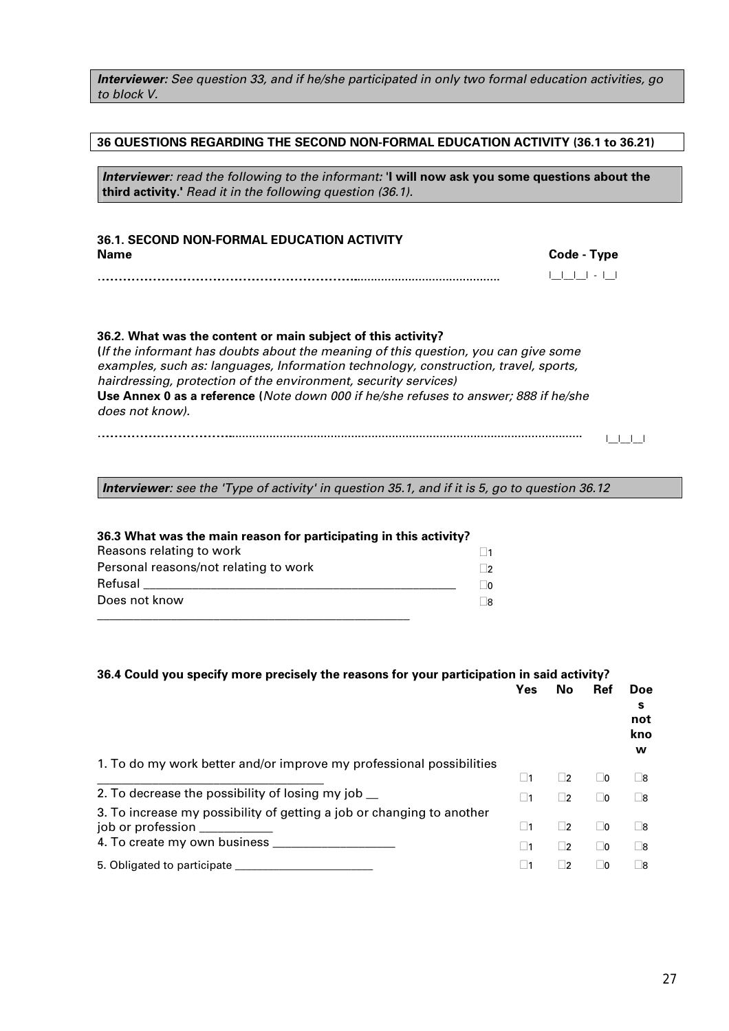#### *Interviewer: See question 33, and if he/she participated in only two formal education activities, go to block V.*

#### **36 QUESTIONS REGARDING THE SECOND NON-FORMAL EDUCATION ACTIVITY (36.1 to 36.21)**

*Interviewer: read the following to the informant:* '**I will now ask you some questions about the third activity.'** *Read it in the following question (36.1).* 

#### **36.1. SECOND NON-FORMAL EDUCATION ACTIVITY Name Code - Type**

#### **36.2. What was the content or main subject of this activity?**

**(***If the informant has doubts about the meaning of this question, you can give some examples, such as: languages, Information technology, construction, travel, sports, hairdressing, protection of the environment, security services)* **Use Annex 0 as a reference (***Note down 000 if he/she refuses to answer; 888 if he/she does not know).*

……………………………………………………………………………………………………………………………………………………………............................................ |\_\_|\_\_|\_\_| - |\_\_|

#### ………………………………….…………………………………………......................................................................................................... |\_\_|\_\_|\_\_|

*Interviewer: see the 'Type of activity' in question 35.1, and if it is 5, go to question 36.12* 

#### **36.3 What was the main reason for participating in this activity?**  Reasons relating to work  $\Box$  1 Personal reasons/not relating to work  $\Box$ 2 Refusal \_\_\_\_\_\_\_\_\_\_\_\_\_\_\_\_\_\_\_\_\_\_\_\_\_\_\_\_\_\_\_\_\_\_\_\_\_\_\_\_\_\_\_\_\_\_\_\_\_\_\_ 0 Does not know \_\_\_\_\_\_\_\_\_\_\_\_\_\_\_\_\_\_\_\_\_\_\_\_\_\_\_\_\_\_\_\_\_\_\_\_\_\_\_\_\_\_\_\_\_\_\_\_\_\_\_  $\Box$ 8

#### **36.4 Could you specify more precisely the reasons for your participation in said activity? Ref** Doe **s not kno w**  1. To do my work better and/or improve my professional possibilities \_\_\_\_\_\_\_\_\_\_\_\_\_\_\_\_\_\_\_\_\_\_\_\_\_\_\_\_\_\_\_\_\_\_\_\_\_ <sup>1</sup> <sup>2</sup> <sup>0</sup> <sup>8</sup> 2. To decrease the possibility of losing my job  $\Box$  1  $\Box$   $\Box$  1  $\Box$  2  $\Box$  0  $\Box$  8 3. To increase my possibility of getting a job or changing to another job or profession  $\Box$   $\Box$   $\Box$   $\Box$ 4. To create my own business \_\_\_\_\_\_\_\_\_\_\_\_\_\_\_\_\_\_\_\_ <sup>1</sup> <sup>2</sup> <sup>0</sup> <sup>8</sup> 5. Obligated to participate  $\Box$

| 36.4 Could you specify more precisely the reasons for your participation in said a | Yes | -N |
|------------------------------------------------------------------------------------|-----|----|
|                                                                                    |     |    |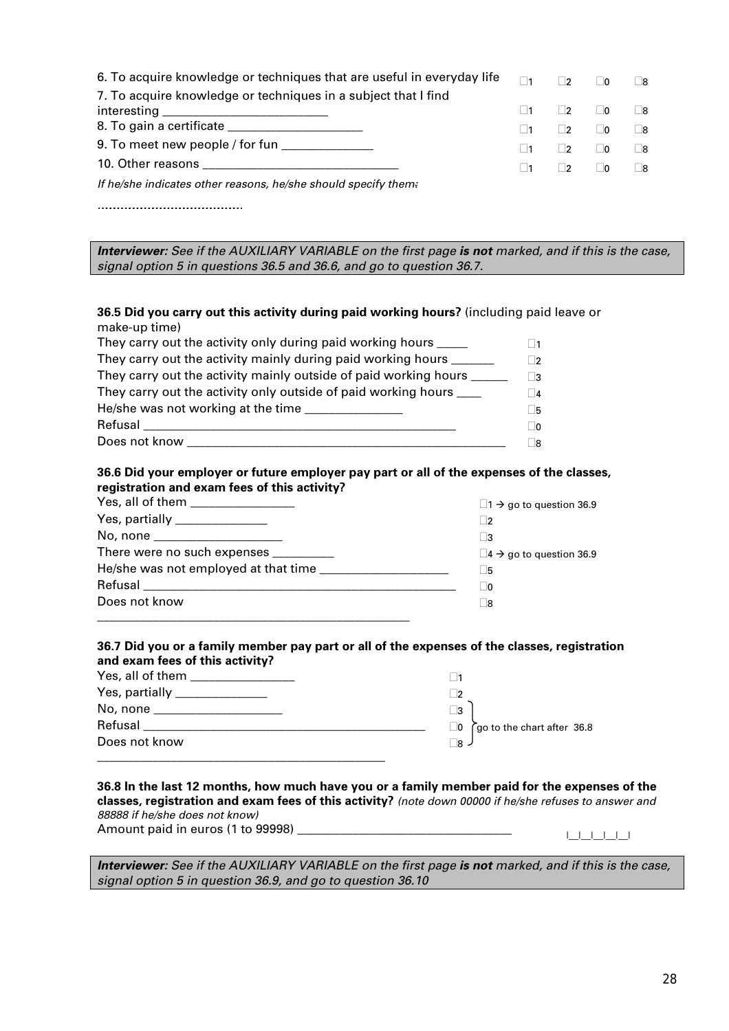| 6. To acquire knowledge or techniques that are useful in everyday life | $\Box$ 1 | $\Box$    | ∣∣∩            | 8                        |
|------------------------------------------------------------------------|----------|-----------|----------------|--------------------------|
| 7. To acquire knowledge or techniques in a subject that I find         |          |           |                |                          |
|                                                                        |          | $\vert$ 2 | $\overline{0}$ | $\overline{\phantom{a}}$ |
|                                                                        |          | $\vert$ 2 | $\overline{0}$ | 8                        |
| 9. To meet new people / for fun ______________                         |          | $\vert$ 2 | ∣∣∩            | R                        |
|                                                                        |          | $\vert$ 2 | $\overline{0}$ | $\overline{\phantom{a}}$ |
| If he/she indicates other reasons, he/she should specify them:         |          |           |                |                          |

*………………………………………………………………………………………………*

*Interviewer: See if the AUXILIARY VARIABLE on the first page is not marked, and if this is the case, signal option 5 in questions 36.5 and 36.6, and go to question 36.7.* 

#### **36.5 Did you carry out this activity during paid working hours?** (including paid leave or make-up time)

| They carry out the activity only during paid working hours           | $\vert$ 1      |
|----------------------------------------------------------------------|----------------|
| They carry out the activity mainly during paid working hours __      | - 12           |
| They carry out the activity mainly outside of paid working hours __  | ר.∃            |
| They carry out the activity only outside of paid working hours _____ | $\overline{4}$ |
| He/she was not working at the time                                   | Π5             |
| Refusal                                                              | $\Box$ 0       |
| Does not know                                                        | -8             |

#### **36.6 Did your employer or future employer pay part or all of the expenses of the classes, registration and exam fees of this activity?**

| Yes, all of them _________________    | $\Box$ 1 $\rightarrow$ go to question 36.9 |
|---------------------------------------|--------------------------------------------|
| Yes, partially _______________        | 2                                          |
| No, none ______________________       | ∣ 3                                        |
| There were no such expenses _________ | $\Box$ 4 $\rightarrow$ go to question 36.9 |
|                                       | l 5                                        |
|                                       | l 0                                        |
| Does not know                         | ∣ 8                                        |
|                                       |                                            |

#### **36.7 Did you or a family member pay part or all of the expenses of the classes, registration and exam fees of this activity?**

| Yes, all of them _             |                                              |
|--------------------------------|----------------------------------------------|
| Yes, partially _______________ | $\overline{2}$                               |
| No, none __________________    | $\vert$ 3                                    |
| Refusal                        | go to the chart after 36.8<br>$\overline{0}$ |
| Does not know                  | $8 -$                                        |
|                                |                                              |

#### **36.8 In the last 12 months, how much have you or a family member paid for the expenses of the classes, registration and exam fees of this activity?** *(note down 00000 if he/she refuses to answer and 88888 if he/she does not know)*

Amount paid in euros (1 to 99998) \_\_\_\_\_\_\_\_\_\_\_\_\_\_\_\_\_\_\_\_\_\_\_\_\_\_\_\_\_\_\_\_\_\_\_ |\_\_|\_\_|\_\_|\_\_|\_\_|

*Interviewer:* See if the AUXILIARY VARIABLE on the first page is not marked, and if this is the case, *signal option 5 in question 36.9, and go to question 36.10*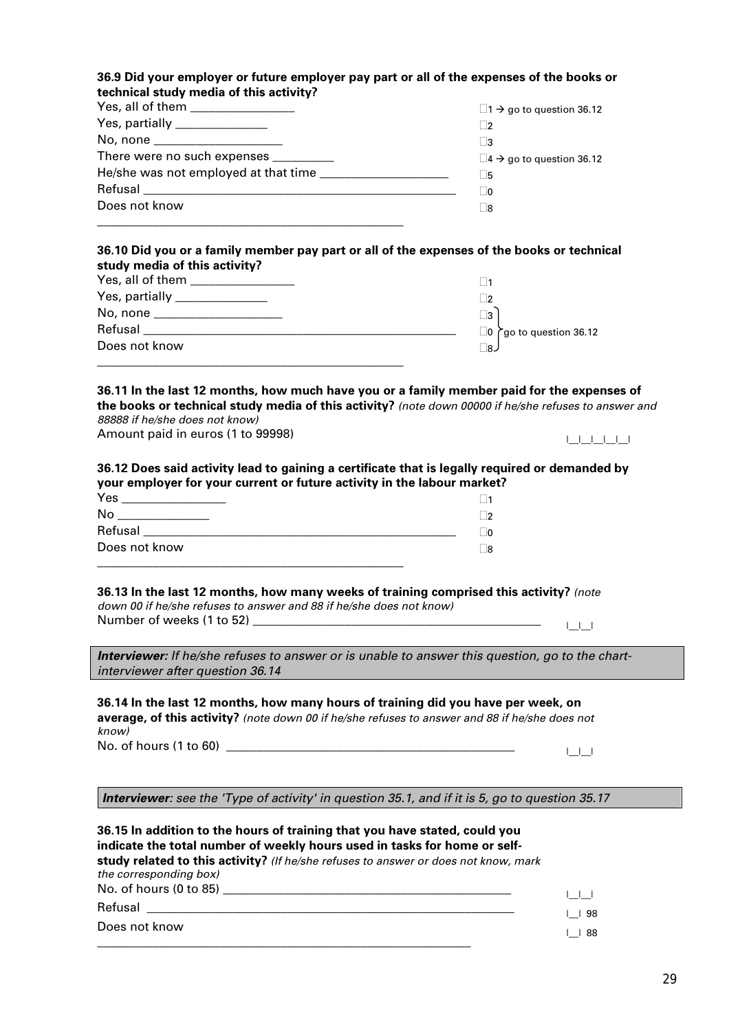| 36.9 Did your employer or future employer pay part or all of the expenses of the books or |  |
|-------------------------------------------------------------------------------------------|--|
| technical study media of this activity?                                                   |  |
| Voorallaftham                                                                             |  |

| Yes, all of them _________________    | $\Box$ 1 $\rightarrow$ go to question 36.12    |
|---------------------------------------|------------------------------------------------|
| Yes, partially _______________        |                                                |
| No, none _______________________      | ∣ 3                                            |
| There were no such expenses _________ | $\square$ 4 $\rightarrow$ go to question 36.12 |
|                                       | ⊩ 5⊧                                           |
|                                       | - 10                                           |
| Does not know                         | - 18                                           |
|                                       |                                                |

#### **36.10 Did you or a family member pay part or all of the expenses of the books or technical study media of this activity?**

| Yes, all of them <b>New York Control</b> |                                      |
|------------------------------------------|--------------------------------------|
| Yes, partially _______________           |                                      |
| No, none ___________________             | $\vert$ 3                            |
| Refusal                                  | $\Box$ 0 $\cap$ go to question 36.12 |
| Does not know                            | ⊥ 18⇒                                |
|                                          |                                      |

**36.11 In the last 12 months, how much have you or a family member paid for the expenses of the books or technical study media of this activity?** *(note down 00000 if he/she refuses to answer and 88888 if he/she does not know)*

Amount paid in euros (1 to 99998)

#### **36.12 Does said activity lead to gaining a certificate that is legally required or demanded by your employer for your current or future activity in the labour market?**

| Yes           |   |
|---------------|---|
| No            | n |
| Refusal       |   |
| Does not know | R |
|               |   |

**36.13 In the last 12 months, how many weeks of training comprised this activity?** *(note down 00 if he/she refuses to answer and 88 if he/she does not know)* Number of weeks (1 to 52) \_\_\_\_\_\_\_\_\_\_\_\_\_\_\_\_\_\_\_\_\_\_\_\_\_\_\_\_\_\_\_\_\_\_\_\_\_\_\_\_\_\_\_\_\_\_\_ |\_\_|\_\_|

*Interviewer: If he/she refuses to answer or is unable to answer this question, go to the chartinterviewer after question 36.14* 

**36.14 In the last 12 months, how many hours of training did you have per week, on average, of this activity?** *(note down 00 if he/she refuses to answer and 88 if he/she does not know)* No. of hours (1 to 60) \_\_\_\_\_\_\_\_\_\_\_\_\_\_\_\_\_\_\_\_\_\_\_\_\_\_\_\_\_\_\_\_\_\_\_\_\_\_\_\_\_\_\_\_\_\_\_ |\_\_|\_\_|

*Interviewer: see the 'Type of activity' in question 35.1, and if it is 5, go to question 35.17*

**36.15 In addition to the hours of training that you have stated, could you indicate the total number of weekly hours used in tasks for home or selfstudy related to this activity?** *(If he/she refuses to answer or does not know, mark the corresponding box)* No. of hours (0 to 85) \_\_\_\_\_\_\_\_\_\_\_\_\_\_\_\_\_\_\_\_\_\_\_\_\_\_\_\_\_\_\_\_\_\_\_\_\_\_\_\_\_\_\_\_\_\_\_ |\_\_|\_\_| Refusal \_\_\_\_\_\_\_\_\_\_\_\_\_\_\_\_\_\_\_\_\_\_\_\_\_\_\_\_\_\_\_\_\_\_\_\_\_\_\_\_\_\_\_\_\_\_\_\_\_\_\_\_\_\_\_\_\_\_\_\_ |\_\_| 98 Does not know \_\_\_\_\_\_\_\_\_\_\_\_\_\_\_\_\_\_\_\_\_\_\_\_\_\_\_\_\_\_\_\_\_\_\_\_\_\_\_\_\_\_\_\_\_\_\_\_\_\_\_\_\_\_\_\_\_\_\_\_\_ |\_\_| 88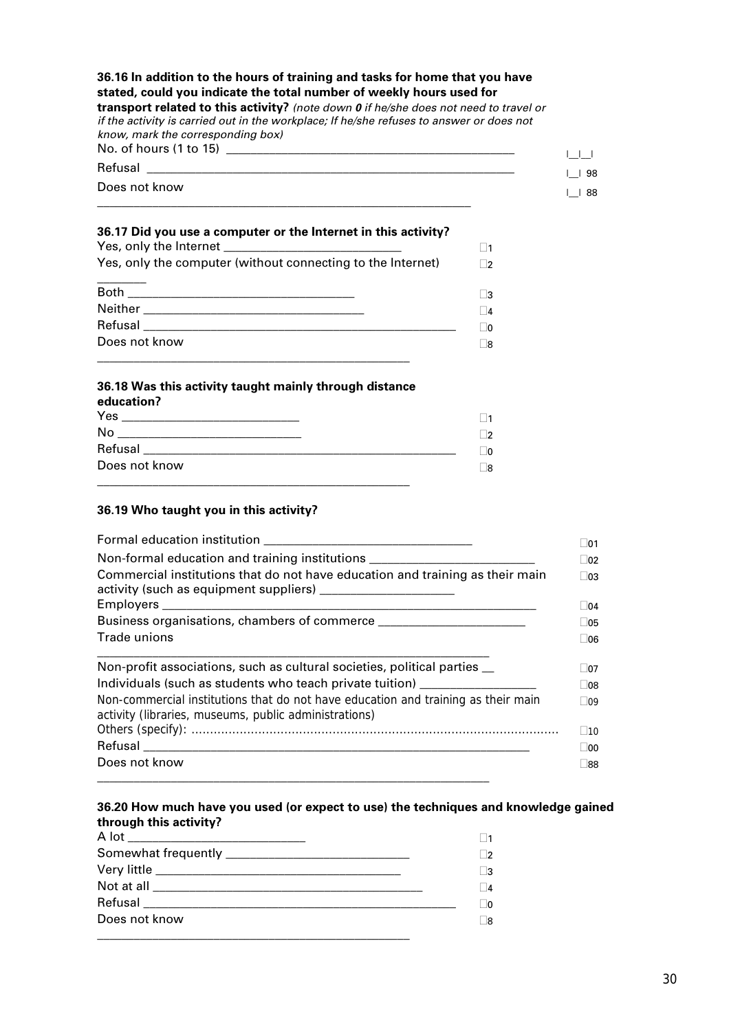| 36.16 In addition to the hours of training and tasks for home that you have<br>stated, could you indicate the total number of weekly hours used for<br><b>transport related to this activity?</b> (note down $\boldsymbol{0}$ if he/she does not need to travel or<br>if the activity is carried out in the workplace; If he/she refuses to answer or does not<br>know, mark the corresponding box)<br>No. of hours (1 to 15) ____________________ |                     |
|----------------------------------------------------------------------------------------------------------------------------------------------------------------------------------------------------------------------------------------------------------------------------------------------------------------------------------------------------------------------------------------------------------------------------------------------------|---------------------|
| Refusal                                                                                                                                                                                                                                                                                                                                                                                                                                            |                     |
| Does not know                                                                                                                                                                                                                                                                                                                                                                                                                                      | $1$ 198<br>$ $   88 |
|                                                                                                                                                                                                                                                                                                                                                                                                                                                    |                     |

#### **36.17 Did you use a computer or the Internet in this activity?**

| Yes, only the computer (without connecting to the Internet) | $\sqrt{2}$     |
|-------------------------------------------------------------|----------------|
|                                                             |                |
|                                                             | $\overline{A}$ |
|                                                             | - IN           |
| Does not know                                               |                |
|                                                             |                |

#### **36.18 Was this activity taught mainly through distance education?**

| Yes           | -11 |
|---------------|-----|
| No            | 7   |
| Refusal       | ]0  |
| Does not know | _8  |
|               |     |

#### **36.19 Who taught you in this activity?**

|                                                                                                                                            | ∣ ∣01                        |
|--------------------------------------------------------------------------------------------------------------------------------------------|------------------------------|
| Non-formal education and training institutions _________________________________                                                           | $\vert$ 02                   |
| Commercial institutions that do not have education and training as their main                                                              | $\Box$ 03<br>$\vert$ 04      |
| Business organisations, chambers of commerce ______________________                                                                        | $\Box$ 05                    |
| <b>Trade unions</b>                                                                                                                        | 106                          |
| Non-profit associations, such as cultural societies, political parties _<br>Individuals (such as students who teach private tuition)       | $\Box$ 07<br>$\overline{08}$ |
| Non-commercial institutions that do not have education and training as their main<br>activity (libraries, museums, public administrations) | $\Box$ 09<br>$\vert$ 10      |
|                                                                                                                                            | $\overline{00}$              |
| Does not know                                                                                                                              | ∟88                          |

#### **36.20 How much have you used (or expect to use) the techniques and knowledge gained through this activity?**

| A lot _______________________________ |  |
|---------------------------------------|--|
|                                       |  |
|                                       |  |
|                                       |  |
|                                       |  |
| Does not know                         |  |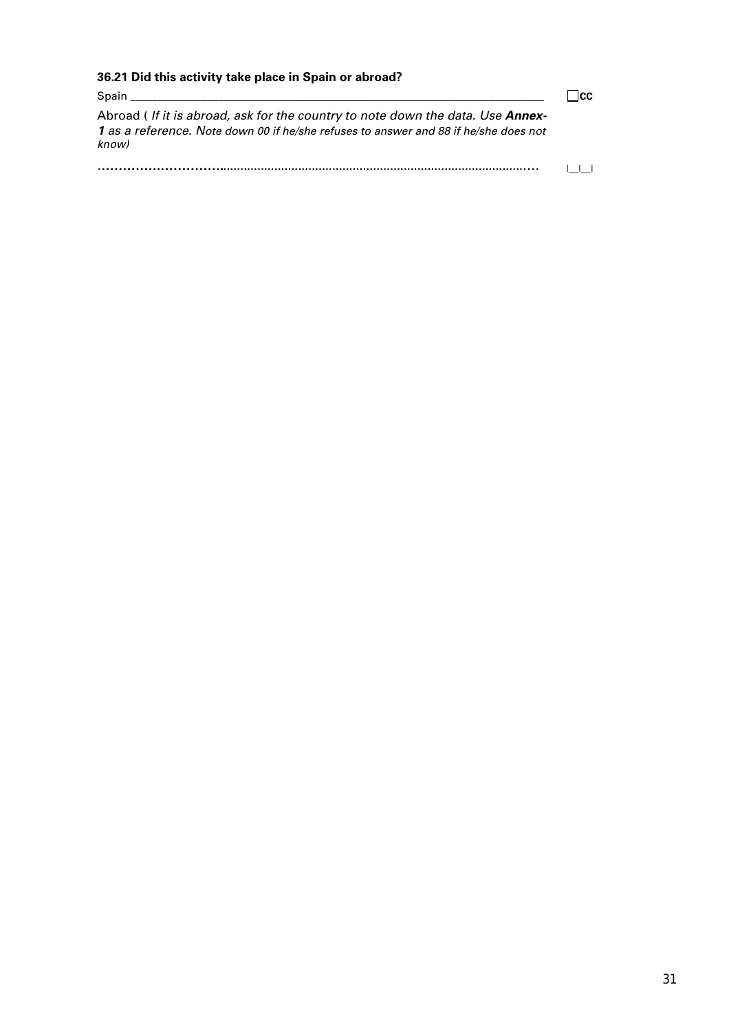| 36.21 Did this activity take place in Spain or abroad?                                                                                                                                                                        |  |
|-------------------------------------------------------------------------------------------------------------------------------------------------------------------------------------------------------------------------------|--|
| Spain and the contract of the contract of the contract of the contract of the contract of the contract of the contract of the contract of the contract of the contract of the contract of the contract of the contract of the |  |
| Abroad <i>(If it is abroad, ask for the country to note down the data. Use Annex-</i><br>1 as a reference. Note down 00 if he/she refuses to answer and 88 if he/she does not<br>know)                                        |  |
|                                                                                                                                                                                                                               |  |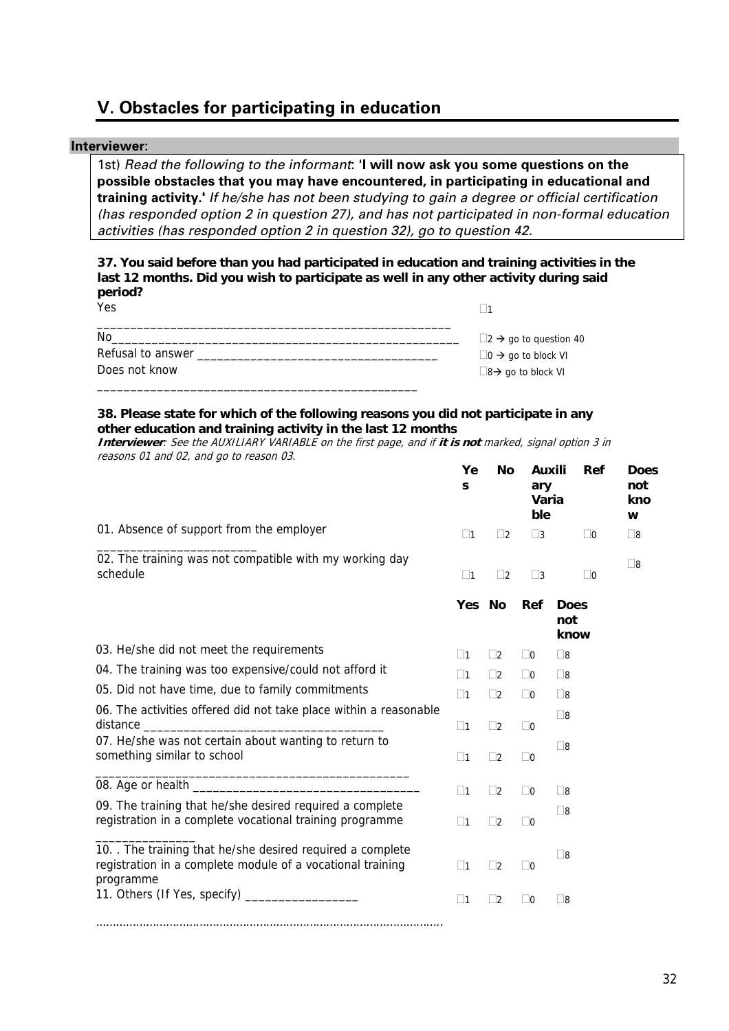# **V. Obstacles for participating in education**

#### **Interviewer**:

1st) *Read the following to the informant*: '**I will now ask you some questions on the possible obstacles that you may have encountered, in participating in educational and training activity.'** *If he/she has not been studying to gain a degree or official certification (has responded option 2 in question 27), and has not participated in non-formal education activities (has responded option 2 in question 32), go to question 42.* 

**37. You said before than you had participated in education and training activities in the last 12 months. Did you wish to participate as well in any other activity during said period?**  $V_{\alpha e}$  $\Box$ 

| 1 G.D             |                                          |
|-------------------|------------------------------------------|
| No                | $\Box$ 2 $\rightarrow$ go to question 40 |
| Refusal to answer | $\Box$ 0 $\rightarrow$ go to block VI    |
| Does not know     | $\Box$ 8 $\rightarrow$ go to block VI    |
|                   |                                          |

#### **38. Please state for which of the following reasons you did not participate in any other education and training activity in the last 12 months**

**Interviewer**: See the AUXILIARY VARIABLE on the first page, and if **it is not** marked, signal option 3 in reasons 01 and 02, and go to reason 03.

|                                                                                                                                     | Ye<br>S     | <b>No</b>   | Auxili<br>ary<br>Varia<br>ble | Ref                        | <b>Does</b><br>not<br>kno<br>W |
|-------------------------------------------------------------------------------------------------------------------------------------|-------------|-------------|-------------------------------|----------------------------|--------------------------------|
| 01. Absence of support from the employer                                                                                            | $\Box$ 1    | $\Box$ 2    | $\Box$ 3                      | $\Box$ 0                   | $\square$ 8                    |
| 02. The training was not compatible with my working day<br>schedule                                                                 | $\Box$ 1    | $\Box$ 2    | $\square$ 3                   | $\Box$ 0                   | $\square$                      |
|                                                                                                                                     | Yes No      |             | Ref                           | <b>Does</b><br>not<br>know |                                |
| 03. He/she did not meet the requirements                                                                                            | $\square$ 1 | $\Box$ 2    | $\Box$ 0                      | $\square$ 8                |                                |
| 04. The training was too expensive/could not afford it                                                                              | $\square$ 1 | $\square$ 2 | $\Box$ 0                      | $\square$ 8                |                                |
| 05. Did not have time, due to family commitments                                                                                    | $\Box$ 1    | $\Box$ 2    | $\Box$ 0                      | $\square$ 8                |                                |
| 06. The activities offered did not take place within a reasonable                                                                   | $\square$ 1 | $\Box$ 2    | $\Box$ 0                      | $\square$ 8                |                                |
| 07. He/she was not certain about wanting to return to<br>something similar to school                                                | $\Box$ 1    | $\Box$ 2    | $\Box$ 0                      | $\square$ 8                |                                |
|                                                                                                                                     | $\square$ 1 | $\Box$ 2    | $\Box$ 0                      | $\square$ 8                |                                |
| 09. The training that he/she desired required a complete<br>registration in a complete vocational training programme                | $\Box$ 1    | $\Box$ 2    | $\Box$ 0                      | $\square$ 8                |                                |
| 10. The training that he/she desired required a complete<br>registration in a complete module of a vocational training<br>programme | $\Box$ 1    | $\Box$ 2    | $\Box$ 0                      | $\square$ 8                |                                |
| 11. Others (If Yes, specify) ____________________                                                                                   | $\square$ 1 | $\square$ 2 | $\Box$ 0                      | $\square$ 8                |                                |
|                                                                                                                                     |             |             |                               |                            |                                |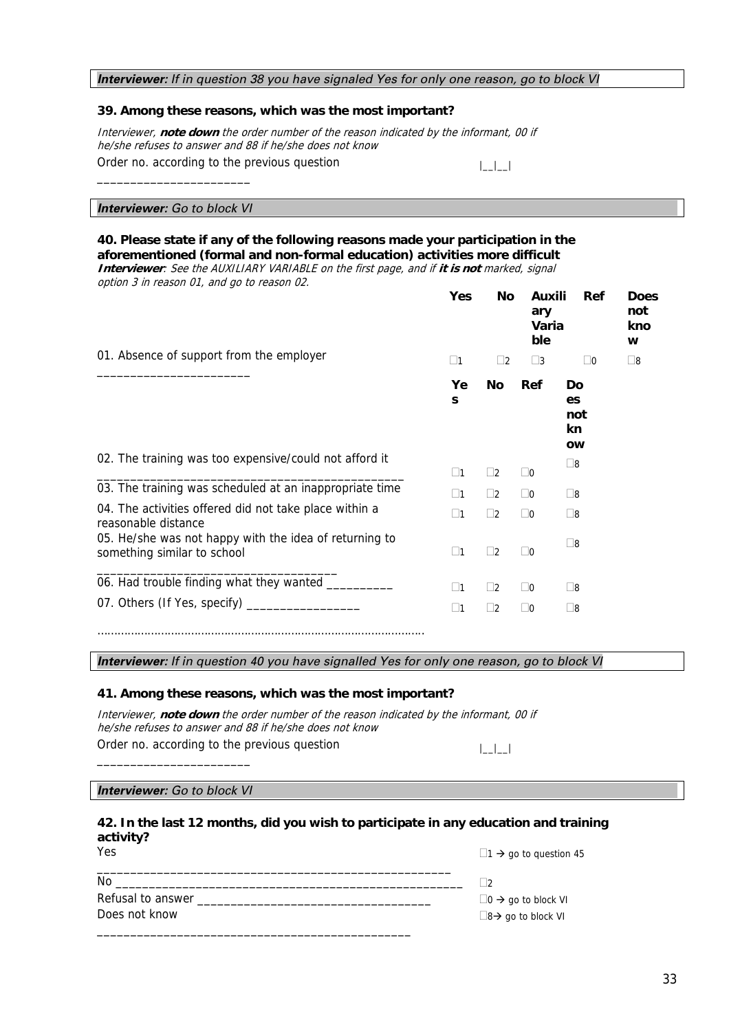#### *Interviewer: If in question 38 you have signaled Yes for only one reason, go to block VI*

#### **39. Among these reasons, which was the most important?**

Interviewer, **note down** the order number of the reason indicated by the informant, 00 if he/she refuses to answer and 88 if he/she does not know Order no. according to the previous question  $|$ 

#### *Interviewer: Go to block VI*

\_\_\_\_\_\_\_\_\_\_\_\_\_\_\_\_\_\_\_\_\_\_\_

#### **40. Please state if any of the following reasons made your participation in the aforementioned (formal and non-formal education) activities more difficult**

**Interviewer**: See the AUXILIARY VARIABLE on the first page, and if **it is not** marked, signal option 3 in reason 01, and go to reason 02.

|                                                                                       | Yes                | No          | Auxili<br>ary<br>Varia<br>ble | Ref                                | <b>Does</b><br>not<br>kno<br>w |
|---------------------------------------------------------------------------------------|--------------------|-------------|-------------------------------|------------------------------------|--------------------------------|
| 01. Absence of support from the employer                                              | $\Box$ 1           | $\Box$ 2    | $\square$ 3                   | $\square$ 0                        | $\square$ 8                    |
|                                                                                       | Ye<br>$\mathbf{s}$ | No          | Ref                           | Do<br>es<br>not<br>kn<br><b>OW</b> |                                |
| 02. The training was too expensive/could not afford it                                | $\square$ 1        | $\square$   | $\Box$ 0                      | $\square$ 8                        |                                |
| 03. The training was scheduled at an inappropriate time                               | $\square$ 1        | $\Box$ 2    | $\Box$ 0                      | $\Box$ 8                           |                                |
| 04. The activities offered did not take place within a<br>reasonable distance         | $\square$ 1        | $\Box$ 2    | $\Box$ 0                      | $\square$ 8                        |                                |
| 05. He/she was not happy with the idea of returning to<br>something similar to school | $\square$ 1        | $\Box$ 2    | $\Box$ 0                      | $\square$ 8                        |                                |
| 06. Had trouble finding what they wanted _________                                    | $\square$ 1        | $\square$ 2 | $\Box$ 0                      | $\square$ 8                        |                                |
|                                                                                       | $\square$ 1        | $\square$   | $\Box$ 0                      | $\Box$ 8                           |                                |
|                                                                                       |                    |             |                               |                                    |                                |

*Interviewer: If in question 40 you have signalled Yes for only one reason, go to block VI* 

#### **41. Among these reasons, which was the most important?**

Interviewer, **note down** the order number of the reason indicated by the informant, 00 if he/she refuses to answer and 88 if he/she does not know Order no. according to the previous question  $|$ 

#### *Interviewer: Go to block VI*

\_\_\_\_\_\_\_\_\_\_\_\_\_\_\_\_\_\_\_\_\_\_\_

#### **42. In the last 12 months, did you wish to participate in any education and training activity?**

| ۰.<br>۰.<br>$\sim$<br>$\sim$ |
|------------------------------|
|------------------------------|

 $\Box$ 1  $\rightarrow$  go to question 45

| No                |                                       |
|-------------------|---------------------------------------|
| Refusal to answer | $\Box$ 0 $\rightarrow$ go to block VI |
| Does not know     | $\Box$ 8 $\rightarrow$ go to block VI |
|                   |                                       |

\_\_\_\_\_\_\_\_\_\_\_\_\_\_\_\_\_\_\_\_\_\_\_\_\_\_\_\_\_\_\_\_\_\_\_\_\_\_\_\_\_\_\_\_\_\_\_\_\_\_\_\_\_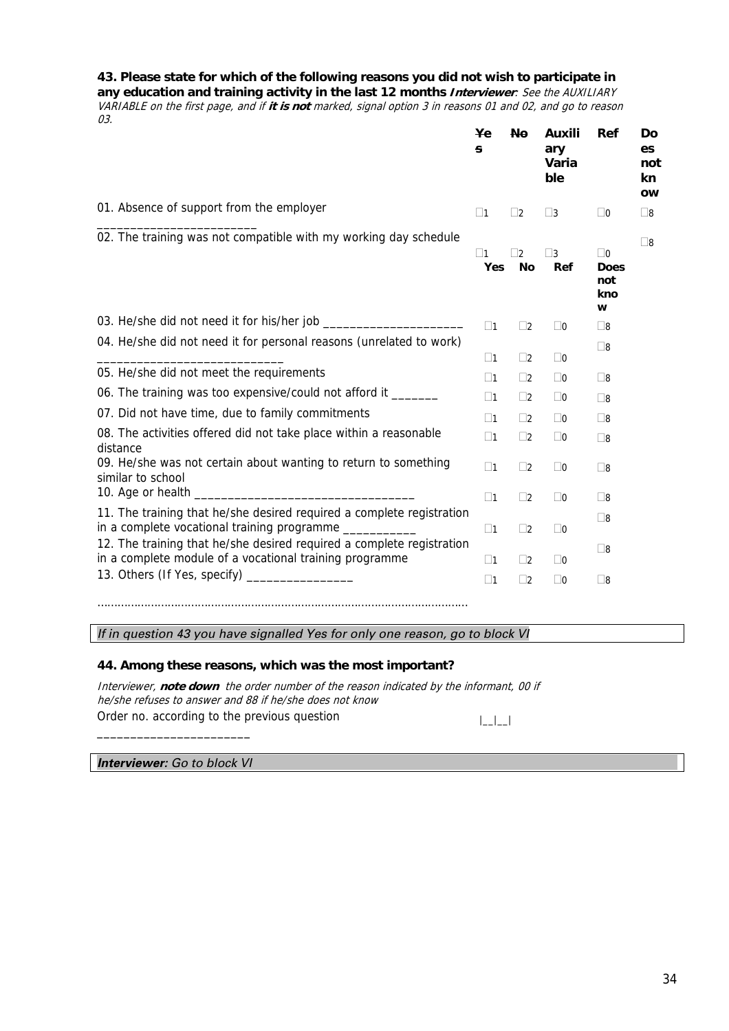#### **43. Please state for which of the following reasons you did not wish to participate in**

**any education and training activity in the last 12 months Interviewer**: See the AUXILIARY VARIABLE on the first page, and if **it is not** marked, signal option 3 in reasons 01 and 02, and go to reason 03.

|                                                                                                                                   | <b>Ye</b><br>s  | <b>No</b>      | Auxili<br>ary<br>Varia<br>ble | Ref                                        | Do<br>es<br>not<br>kn<br><b>OW</b> |
|-----------------------------------------------------------------------------------------------------------------------------------|-----------------|----------------|-------------------------------|--------------------------------------------|------------------------------------|
| 01. Absence of support from the employer                                                                                          | $\square$ 1     | $\vert$ 2      | $\square$ 3                   | $\Box$ 0                                   | $\Box$ 8                           |
| 02. The training was not compatible with my working day schedule                                                                  | $\Box$ 1<br>Yes | 7<br><b>No</b> | $\Box$ 3<br>Ref               | $\Box$ 0<br><b>Does</b><br>not<br>kno<br>W | $\square$ 8                        |
|                                                                                                                                   | $\square$ 1     | $\Box$ 2       | $\square$ 0                   | $\square$ 8                                |                                    |
| 04. He/she did not need it for personal reasons (unrelated to work)                                                               | $\square$ 1     | $\Box$ 2       | $\Box$ 0                      | $\square$ 8                                |                                    |
| 05. He/she did not meet the requirements                                                                                          | $\square$ 1     | $\Box$ 2       | $\Box$ 0                      | $\square$ 8                                |                                    |
| 06. The training was too expensive/could not afford it ______                                                                     | $\square$ 1     | $\Box$ 2       | $\Box$ 0                      | $\square$ 8                                |                                    |
| 07. Did not have time, due to family commitments                                                                                  | $\square$ 1     | $\Box$ 2       | $\Box$ 0                      | $\square$ 8                                |                                    |
| 08. The activities offered did not take place within a reasonable<br>distance                                                     | $\square$ 1     | $\Box$ 2       | $\Box$ 0                      | $\square$ 8                                |                                    |
| 09. He/she was not certain about wanting to return to something<br>similar to school                                              | $\square$ 1     | $\Box$ 2       | $\Box$ 0                      | $\square$ 8                                |                                    |
|                                                                                                                                   | $\square$ 1     | $\Box$ 2       | $\Box$ 0                      | $\square$ 8                                |                                    |
| 11. The training that he/she desired required a complete registration<br>in a complete vocational training programme ____________ | $\square$ 1     | $\Box$ 2       | $\Box$ 0                      | $\square$ 8                                |                                    |
| 12. The training that he/she desired required a complete registration<br>in a complete module of a vocational training programme  | $\Box$ 1        | $\Box$ 2       | $\square$ 0                   | $\square$ 8                                |                                    |
| 13. Others (If Yes, specify) __________________                                                                                   | $\Box$ 1        | $\Box$ 2       | $\Box$ 0                      | $\square$ 8                                |                                    |
|                                                                                                                                   |                 |                |                               |                                            |                                    |

*If in question 43 you have signalled Yes for only one reason, go to block VI* 

#### **44. Among these reasons, which was the most important?**

Interviewer, **note down** the order number of the reason indicated by the informant, 00 if he/she refuses to answer and 88 if he/she does not know Order no. according to the previous question  $|$ 

#### *Interviewer: Go to block VI*

\_\_\_\_\_\_\_\_\_\_\_\_\_\_\_\_\_\_\_\_\_\_\_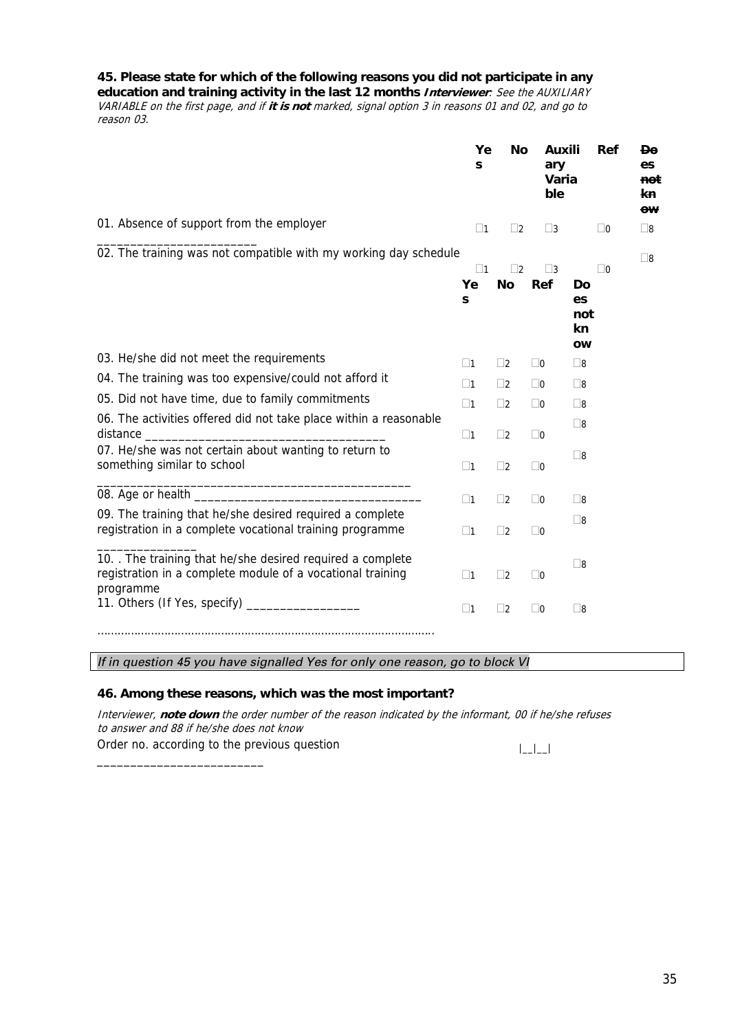**45. Please state for which of the following reasons you did not participate in any** 

**education and training activity in the last 12 months Interviewer**: See the AUXILIARY VARIABLE on the first page, and if **it is not** marked, signal option 3 in reasons 01 and 02, and go to reason 03.

|                                                                                                                                     | Ye<br>S            | No          | Auxili<br>ary<br>Varia<br>ble | Ref                                | <b>Do</b><br>es<br>not<br>kn.<br>ow |
|-------------------------------------------------------------------------------------------------------------------------------------|--------------------|-------------|-------------------------------|------------------------------------|-------------------------------------|
| 01. Absence of support from the employer                                                                                            | $\square$ 1        | $\Box$ 2    | $\square$ 3                   | $\Box$ 0                           | $\square$ 8                         |
| 02. The training was not compatible with my working day schedule                                                                    | $\square$ 1        | $\square$ 2 | $\square$ 3                   | $\square$ 0                        | $\square$ 8                         |
|                                                                                                                                     | Ye<br>$\mathbf{s}$ | <b>No</b>   | Ref                           | Do<br>es<br>not<br>kn<br><b>OW</b> |                                     |
| 03. He/she did not meet the requirements                                                                                            | $\Box$ 1           | $\Box$ 2    | $\Box$ 0                      | $\square$ 8                        |                                     |
| 04. The training was too expensive/could not afford it                                                                              | $\Box$ 1           | $\Box$ 2    | $\Box$ 0                      | $\square$ 8                        |                                     |
| 05. Did not have time, due to family commitments                                                                                    | $\Box$ 1           | $\Box$ 2    | $\Box$ 0                      | $\square$ 8                        |                                     |
| 06. The activities offered did not take place within a reasonable                                                                   | $\square$ 1        | $\Box$ 2    | $\Box$ 0                      | $\square$ 8                        |                                     |
| 07. He/she was not certain about wanting to return to<br>something similar to school                                                | $\square$ 1        | $\Box$ 2    | $\square$ 0                   | $\square$ 8                        |                                     |
|                                                                                                                                     | $\Box$ 1           | $\Box$ 2    | $\Box$ 0                      | $\square$ 8                        |                                     |
| 09. The training that he/she desired required a complete<br>registration in a complete vocational training programme                | $\square$ 1        | $\Box$ 2    | $\Box$ 0                      | $\square$ 8                        |                                     |
| 10. The training that he/she desired required a complete<br>registration in a complete module of a vocational training<br>programme | $\Box$ 1           | $\Box$ 2    | $\Box$ 0                      | $\square$ 8                        |                                     |
| 11. Others (If Yes, specify) __________________                                                                                     | $\square$ 1        | $\square$   | $\Box$ 0                      | $\square$ 8                        |                                     |
|                                                                                                                                     |                    |             |                               |                                    |                                     |

*If in question 45 you have signalled Yes for only one reason, go to block VI* 

#### **46. Among these reasons, which was the most important?**

\_\_\_\_\_\_\_\_\_\_\_\_\_\_\_\_\_\_\_\_\_\_\_\_\_

Interviewer, **note down** the order number of the reason indicated by the informant, 00 if he/she refuses to answer and 88 if he/she does not know Order no. according to the previous question

 $|$ \_ $|$ \_ $|$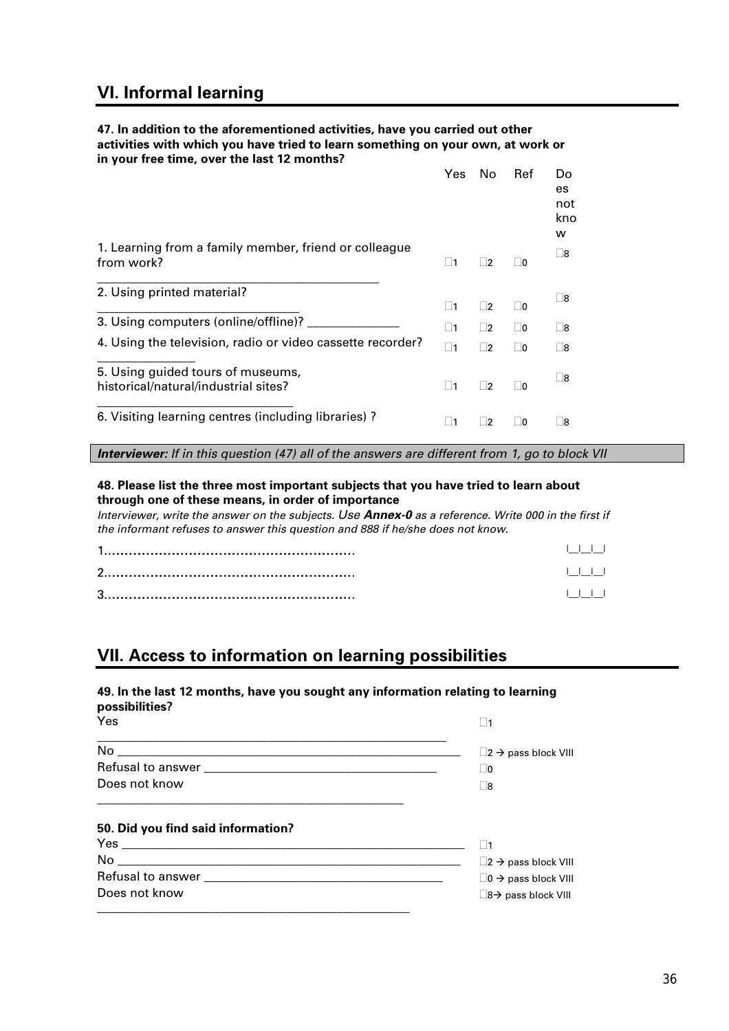# **VI. Informal learning**

#### **47. In addition to the aforementioned activities, have you carried out other activities with which you have tried to learn something on your own, at work or in your free time, over the last 12 months?**

|                                                                           | Yes.      | No.            | Ref            | Do<br>es<br>not<br>kno<br>w |
|---------------------------------------------------------------------------|-----------|----------------|----------------|-----------------------------|
| 1. Learning from a family member, friend or colleague<br>from work?       | $\vert$ 1 | $\vert$ 2      | $ 0\rangle$    | l 8                         |
| 2. Using printed material?                                                | $\vert$ 1 | - 2            | $ 0\rangle$    | 8                           |
| 3. Using computers (online/offline)?                                      | $\vert$ 1 | $\vert$ 2      | O              | Γ8                          |
| 4. Using the television, radio or video cassette recorder?                | 11        | $\sqrt{2}$     | $\overline{0}$ | Γ8                          |
| 5. Using guided tours of museums,<br>historical/natural/industrial sites? | $\vert$ 1 | $\sqcup$ 2     | $\sqcup$ 0     | $\square$ 8                 |
| 6. Visiting learning centres (including libraries) ?                      | 11        | $\overline{2}$ | -10            | - 18                        |

*Interviewer: If in this question (47) all of the answers are different from 1, go to block VII* 

#### **48. Please list the three most important subjects that you have tried to learn about through one of these means, in order of importance**

*Interviewer, write the answer on the subjects. Use Annex-0 as a reference. Write 000 in the first if the informant refuses to answer this question and 888 if he/she does not know.*

| . |
|---|
| . |

# **VII. Access to information on learning possibilities**

\_\_\_\_\_\_\_\_\_\_\_\_\_\_\_\_\_\_\_\_\_\_\_\_\_\_\_\_\_\_\_\_\_\_\_\_\_\_\_\_\_\_\_\_\_\_\_\_\_\_\_

#### **49. In the last 12 months, have you sought any information relating to learning possibilities?**

| Yes                                |                                           |
|------------------------------------|-------------------------------------------|
|                                    | $\Box$ 2 $\rightarrow$ pass block VIII    |
|                                    | $\sqcup$ 0                                |
| Does not know                      | 8                                         |
| 50. Did you find said information? |                                           |
|                                    |                                           |
|                                    | $\Box$ 2 $\rightarrow$ pass block VIII    |
|                                    | $\square$ 0 $\rightarrow$ pass block VIII |
| Does not know                      | $\square$ 8 $\rightarrow$ pass block VIII |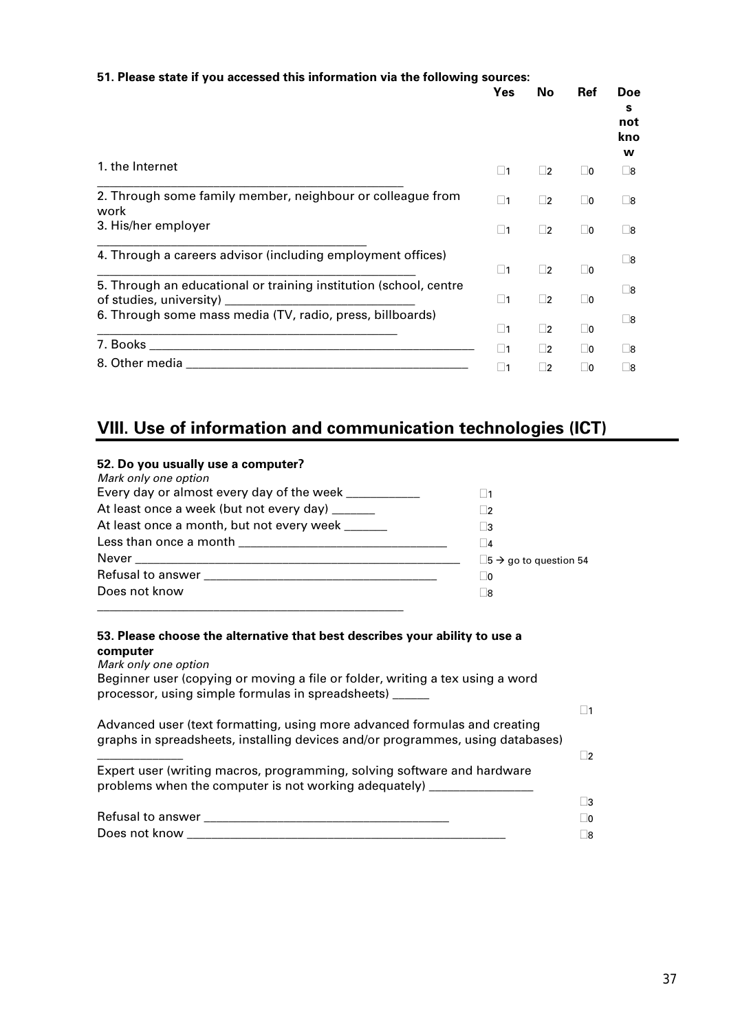| 51. Please state if you accessed this information via the following sources:                                    |             |             |             |                              |
|-----------------------------------------------------------------------------------------------------------------|-------------|-------------|-------------|------------------------------|
|                                                                                                                 | Yes         | No.         | Ref         | Doe<br>s.<br>not<br>kno<br>w |
| 1. the Internet                                                                                                 | $\Box$ 1    | $\Box$      | $\Box$ 0    | Γ8                           |
| 2. Through some family member, neighbour or colleague from<br>work                                              | $\square$ 1 | $\Box$ 2    | $\square$ 0 | $\square$ 8                  |
| 3. His/her employer                                                                                             | $\Box$ 1    | $\Box$ 2    | $\Box$ 0    | Γ8                           |
| 4. Through a careers advisor (including employment offices)                                                     |             |             |             | Γ8                           |
|                                                                                                                 | $\Box$ 1    | $\square$ 2 | $\Box$ 0    |                              |
| 5. Through an educational or training institution (school, centre                                               | $\square$ 1 | $\Box$ 2    | $\Box$ 0    | $\square$ 8                  |
| 6. Through some mass media (TV, radio, press, billboards)                                                       | $\Box$ 1    | $\square$ 2 | $\Box$ 0    | $\square$ 8                  |
|                                                                                                                 | 1           | $\Box$      | $\Box$ 0    | $\square$ 8                  |
| 8. Other media and a state of the state of the state of the state of the state of the state of the state of the | $\Box$ 1    | □2          | $\Box$ 0    | $\square$ 8                  |

# **VIII. Use of information and communication technologies (ICT)**

#### **52. Do you usually use a computer?**

| Mark only one option                                 |                                          |
|------------------------------------------------------|------------------------------------------|
| Every day or almost every day of the week __________ |                                          |
| At least once a week (but not every day) _____       | $\overline{2}$                           |
| At least once a month, but not every week            | 3                                        |
|                                                      | 4                                        |
|                                                      | $\Box$ 5 $\rightarrow$ go to question 54 |
|                                                      | ∣ ∣0                                     |
| Does not know                                        | 8                                        |
|                                                      |                                          |

#### **53. Please choose the alternative that best describes your ability to use a computer**

*Mark only one option*  Beginner user (copying or moving a file or folder, writing a tex using a word processor, using simple formulas in spreadsheets) \_\_\_\_\_\_  $\square$ 1 Advanced user (text formatting, using more advanced formulas and creating graphs in spreadsheets, installing devices and/or programmes, using databases)  $\overline{\phantom{a}}$  2 Expert user (writing macros, programming, solving software and hardware problems when the computer is not working adequately)  $\Box$ 3 Refusal to answer \_\_\_\_\_\_\_\_\_\_\_\_\_\_\_\_\_\_\_\_\_\_\_\_\_\_\_\_\_\_\_\_\_\_\_\_\_\_\_\_ 0

| .<br>ко<br>.<br>. | O<br>. . |
|-------------------|----------|
| -<br>۱W           | R        |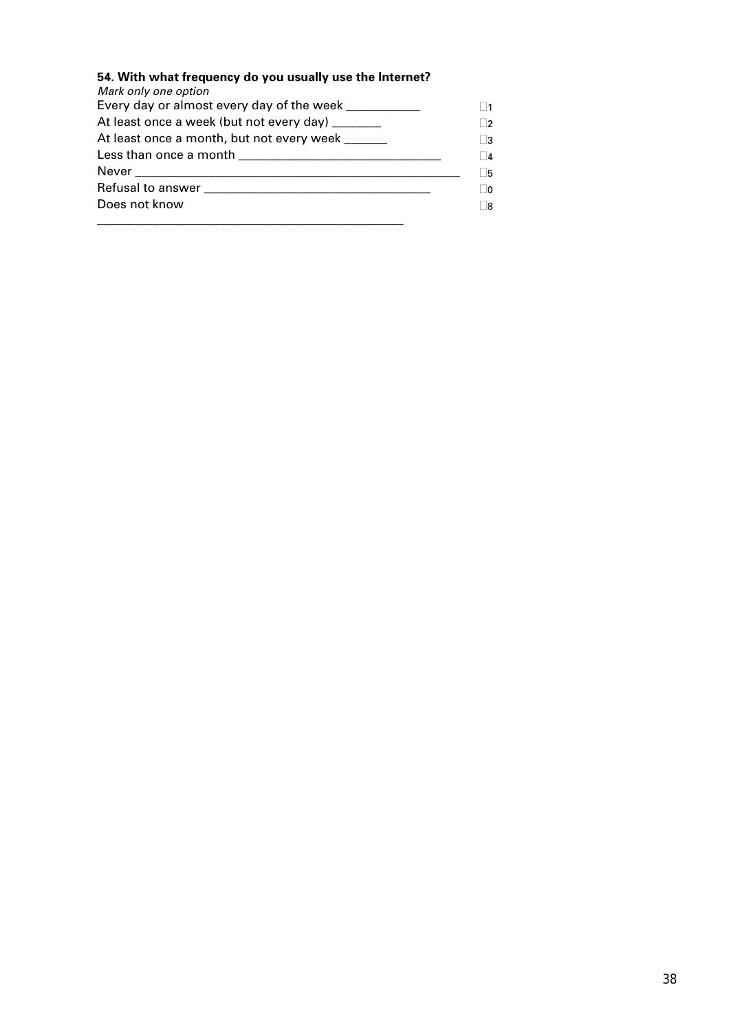## **54. With what frequency do you usually use the Internet?**

| Mark only one option                                  |        |
|-------------------------------------------------------|--------|
| Every day or almost every day of the week ___________ |        |
| At least once a week (but not every day) ______       | 2      |
| At least once a month, but not every week ______      | 3      |
|                                                       | $\Box$ |
|                                                       | Γ5     |
|                                                       | ∣∣∩    |
| Does not know                                         |        |
|                                                       |        |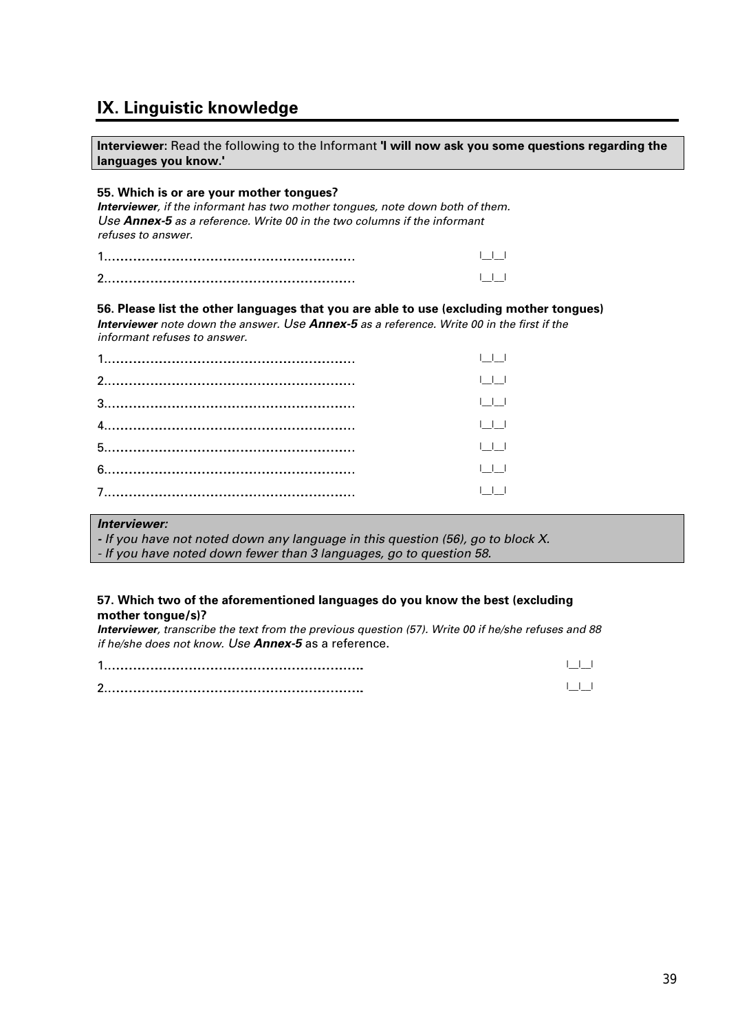# **IX. Linguistic knowledge**

**Interviewer:** Read the following to the Informant **'I will now ask you some questions regarding the languages you know.'** 

#### **55. Which is or are your mother tongues?**

*Interviewer, if the informant has two mother tongues, note down both of them. Use Annex-5 as a reference. Write 00 in the two columns if the informant refuses to answer.* 

| $\sqrt{2}$ |  |
|------------|--|

#### **56. Please list the other languages that you are able to use (excluding mother tongues)**

*Interviewer note down the answer. Use Annex-5 as a reference. Write 00 in the first if the informant refuses to answer.*

| $\mathbf{1}$ $\mathbf{1}$ $\mathbf{1}$ |
|----------------------------------------|
| $\Box$                                 |
| $\perp$ $\perp$                        |
| $\Box$                                 |
| $\Box$                                 |
| $\Box$                                 |
|                                        |

#### *Interviewer:*

*- If you have not noted down any language in this question (56), go to block X.* 

*- If you have noted down fewer than 3 languages, go to question 58.* 

#### **57. Which two of the aforementioned languages do you know the best (excluding mother tongue/s)?**

*Interviewer, transcribe the text from the previous question (57). Write 00 if he/she refuses and 88 if he/she does not know. Use Annex-5* as a reference.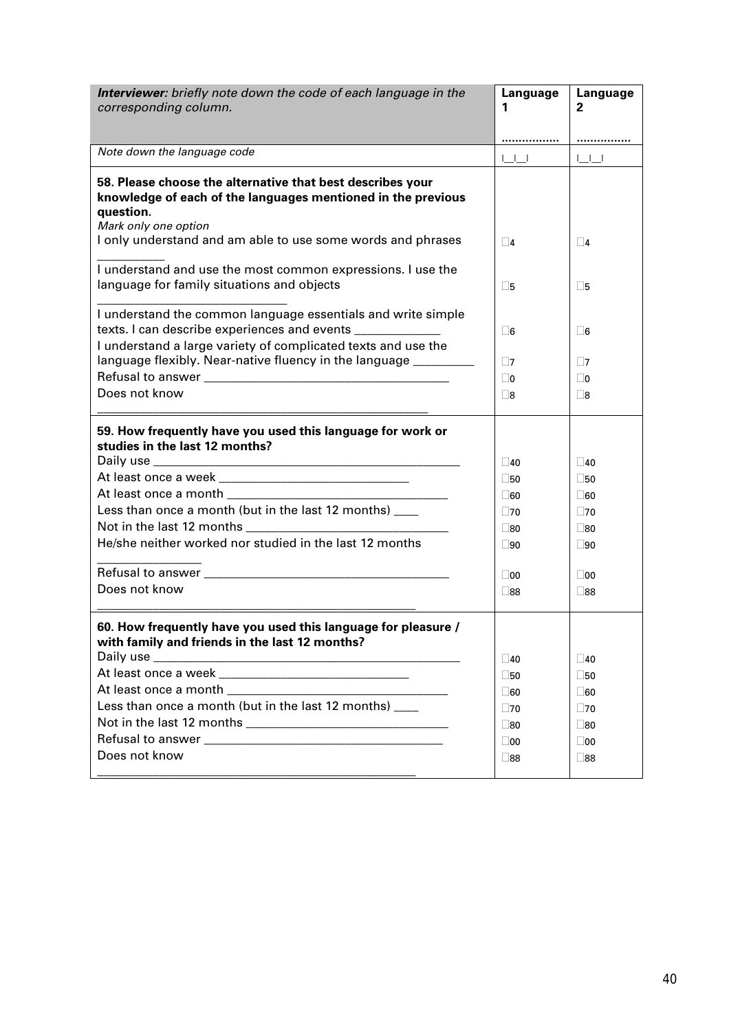| Interviewer: briefly note down the code of each language in the                                                 | Language                                                                                                                     | Language                                                                                                                 |
|-----------------------------------------------------------------------------------------------------------------|------------------------------------------------------------------------------------------------------------------------------|--------------------------------------------------------------------------------------------------------------------------|
| corresponding column.                                                                                           | 1                                                                                                                            | 2                                                                                                                        |
|                                                                                                                 |                                                                                                                              |                                                                                                                          |
| Note down the language code                                                                                     | <br>$\begin{array}{c} \begin{array}{c} \begin{array}{c} \end{array} \\ \begin{array}{c} \end{array} \end{array} \end{array}$ | $\begin{array}{c} \begin{array}{c} \begin{array}{c} \end{array} \\ \begin{array}{c} \end{array} \end{array} \end{array}$ |
|                                                                                                                 |                                                                                                                              |                                                                                                                          |
| 58. Please choose the alternative that best describes your                                                      |                                                                                                                              |                                                                                                                          |
| knowledge of each of the languages mentioned in the previous<br>question.                                       |                                                                                                                              |                                                                                                                          |
| Mark only one option                                                                                            |                                                                                                                              |                                                                                                                          |
| I only understand and am able to use some words and phrases                                                     | $\Box$                                                                                                                       | $\Box$ 4                                                                                                                 |
|                                                                                                                 |                                                                                                                              |                                                                                                                          |
| I understand and use the most common expressions. I use the                                                     |                                                                                                                              |                                                                                                                          |
| language for family situations and objects                                                                      | $\square$ 5                                                                                                                  | $\square$ 5                                                                                                              |
| I understand the common language essentials and write simple                                                    |                                                                                                                              |                                                                                                                          |
| texts. I can describe experiences and events _______________                                                    | $\Box$ 6                                                                                                                     | $\Box$ 6                                                                                                                 |
| I understand a large variety of complicated texts and use the                                                   |                                                                                                                              |                                                                                                                          |
| language flexibly. Near-native fluency in the language _________                                                | $\square$ 7                                                                                                                  | $\Box$                                                                                                                   |
|                                                                                                                 | $\Box$ 0                                                                                                                     | $\sqcup$ 0                                                                                                               |
| Does not know                                                                                                   | $\square$ 8                                                                                                                  | $\square$ 8                                                                                                              |
|                                                                                                                 |                                                                                                                              |                                                                                                                          |
| 59. How frequently have you used this language for work or                                                      |                                                                                                                              |                                                                                                                          |
| studies in the last 12 months?                                                                                  |                                                                                                                              |                                                                                                                          |
|                                                                                                                 | $\sqrt{40}$<br>$\square$ 50                                                                                                  | $\Box$ 40<br>$\square$ 50                                                                                                |
|                                                                                                                 | $\Box$ 60                                                                                                                    | $\Box$ 60                                                                                                                |
| Less than once a month (but in the last 12 months) ___                                                          | $\Box$ 70                                                                                                                    | $\square$ 70                                                                                                             |
| Not in the last 12 months Not in the last 12 months                                                             | $\square$ 80                                                                                                                 | $\Box$ 80                                                                                                                |
| He/she neither worked nor studied in the last 12 months                                                         | $\Box$ 90                                                                                                                    | $\Box$ 90                                                                                                                |
|                                                                                                                 |                                                                                                                              |                                                                                                                          |
|                                                                                                                 | $\Box$ 00                                                                                                                    | $\Box$ 00                                                                                                                |
| Does not know                                                                                                   | $\Box$ 88                                                                                                                    | $\Box$ 88                                                                                                                |
|                                                                                                                 |                                                                                                                              |                                                                                                                          |
| 60. How frequently have you used this language for pleasure /<br>with family and friends in the last 12 months? |                                                                                                                              |                                                                                                                          |
| Daily use _                                                                                                     | $\Box$ 40                                                                                                                    | $\Box$ 40                                                                                                                |
|                                                                                                                 | $\Box$ 50                                                                                                                    | $\square$ 50                                                                                                             |
| At least once a month <b>At least once a month</b>                                                              | $\square$ 60                                                                                                                 | $\square$ 60                                                                                                             |
| Less than once a month (but in the last 12 months)                                                              | $\Box$ 70                                                                                                                    | $\square$ 70                                                                                                             |
|                                                                                                                 | $\square$ 80                                                                                                                 | $\square$ 80                                                                                                             |
|                                                                                                                 | $\square$ 00                                                                                                                 | $\square$ 00                                                                                                             |
| Does not know                                                                                                   | $\square$ 88                                                                                                                 | $\square$ 88                                                                                                             |
|                                                                                                                 |                                                                                                                              |                                                                                                                          |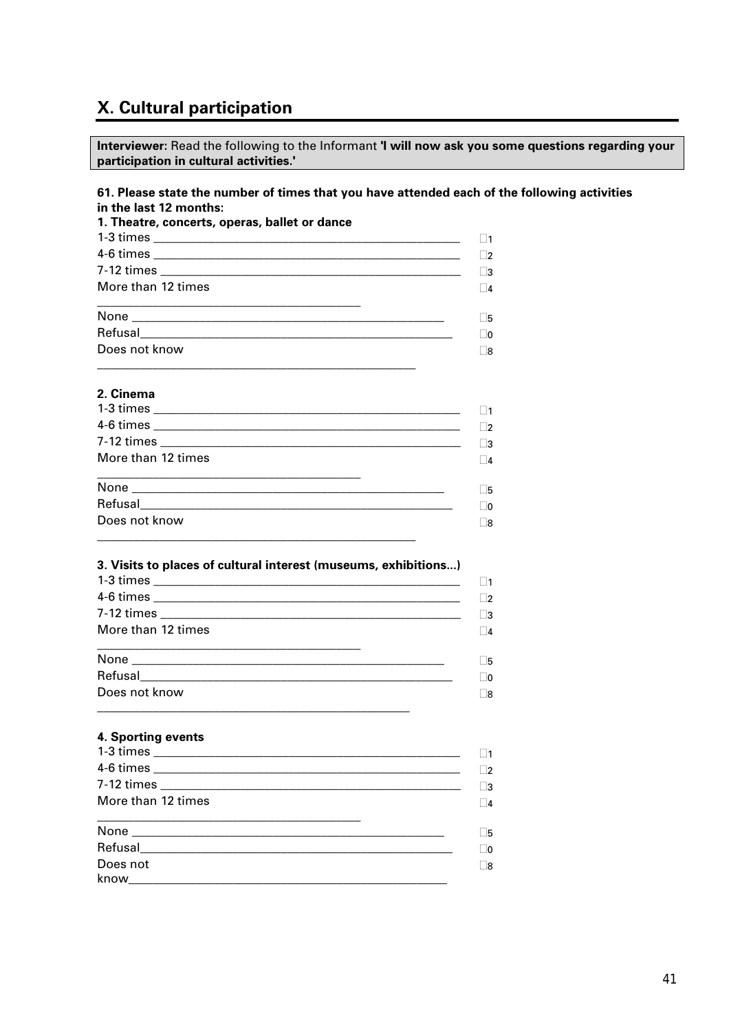# X. Cultural participation

Interviewer: Read the following to the Informant 'I will now ask you some questions regarding your participation in cultural activities.'

#### 61. Please state the number of times that you have attended each of the following activities in the last 12 months:

| 1. Theatre, concerts, operas, ballet or dance |             |
|-----------------------------------------------|-------------|
|                                               | $\Box$ 1    |
|                                               | ר⊏          |
|                                               | ∃3          |
| More than 12 times                            | $\sqsupset$ |
|                                               | □5          |
|                                               | $\lnot$ o   |
| Does not know                                 | ר           |

#### 2. Cinema

|                    | 1           |
|--------------------|-------------|
|                    | □੭          |
| More than 12 times | ∟з          |
|                    | $\Box$ 4    |
|                    |             |
|                    | $\square$ 5 |
|                    | $\Box$ 0    |

#### 3. Visits to places of cultural interest (museums, exhibitions...)

|                    | $\vert$ 1   |
|--------------------|-------------|
|                    | - 12        |
|                    | - 3         |
| More than 12 times | $\Box$ 4    |
|                    | $\square$ 5 |
|                    | $\Box$ 0    |
| Does not know      | -18         |
|                    |             |

#### 4. Sporting events

|                    | $\vert$ 2 |
|--------------------|-----------|
|                    | $\vert$ 3 |
| More than 12 times | $\vert$ 4 |
|                    | - 15      |
|                    | - 0       |
| Does not           | - 18      |
|                    |           |
|                    |           |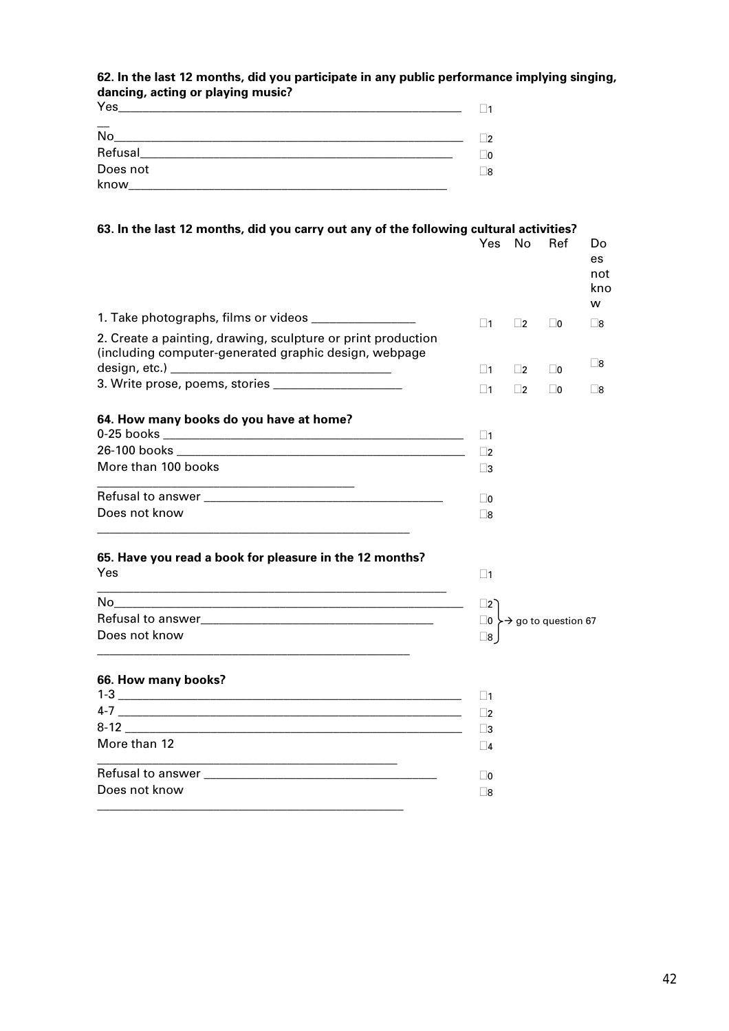#### **62. In the last 12 months, did you participate in any public performance implying singing, dancing, acting or playing music?**

| Yes              | $\blacksquare$ |
|------------------|----------------|
| $\overline{N}$   | 72             |
| Refusal          | 20             |
| Does not<br>know | _8             |

#### **63. In the last 12 months, did you carry out any of the following cultural activities?**

|                                                                                                                       | Yes.        | No        | Ref            | Do<br>es.<br>not<br>kno<br>w |
|-----------------------------------------------------------------------------------------------------------------------|-------------|-----------|----------------|------------------------------|
|                                                                                                                       | $\Box$ 1    | $\vert$ 2 | $\overline{0}$ | Γ8                           |
| 2. Create a painting, drawing, sculpture or print production<br>(including computer-generated graphic design, webpage |             |           |                |                              |
|                                                                                                                       | $\vert$ 11  | $\vert$ 2 | $\Box$ 0       | $\square$ 8                  |
| 3. Write prose, poems, stories ______________________                                                                 | $\Box$ 1    | $\Box$ 2  | $\Box$ 0       | <u>8</u>                     |
| 64. How many books do you have at home?                                                                               |             |           |                |                              |
|                                                                                                                       | $\Box$ 1    |           |                |                              |
|                                                                                                                       | $\Box$ 2    |           |                |                              |
| More than 100 books                                                                                                   | <u>  3</u>  |           |                |                              |
| <u> 1989 - Johann John Stein, markin fan it ferskearre fan it ferskearre fan it ferskearre fan it ferskearre fan</u>  | $\square$ 0 |           |                |                              |
| Does not know                                                                                                         | $\square$ 8 |           |                |                              |
|                                                                                                                       |             |           |                |                              |

#### **65. Have you read a book for pleasure in the 12 months?**  Yes

| No                | ∃ว                                         |
|-------------------|--------------------------------------------|
| Refusal to answer | $\Box$ 0 $\rightarrow$ 9 go to question 67 |
| Does not know     | _8                                         |
|                   |                                            |

 $\Box$ 1

#### **66. How many books?**

| $1 - 3$<br><u> 1980 - Jan James James, president filozof, martin eta biztanleria (h. 1980).</u> |    |
|-------------------------------------------------------------------------------------------------|----|
|                                                                                                 |    |
|                                                                                                 |    |
| More than 12                                                                                    |    |
|                                                                                                 |    |
| Does not know                                                                                   | 18 |
|                                                                                                 |    |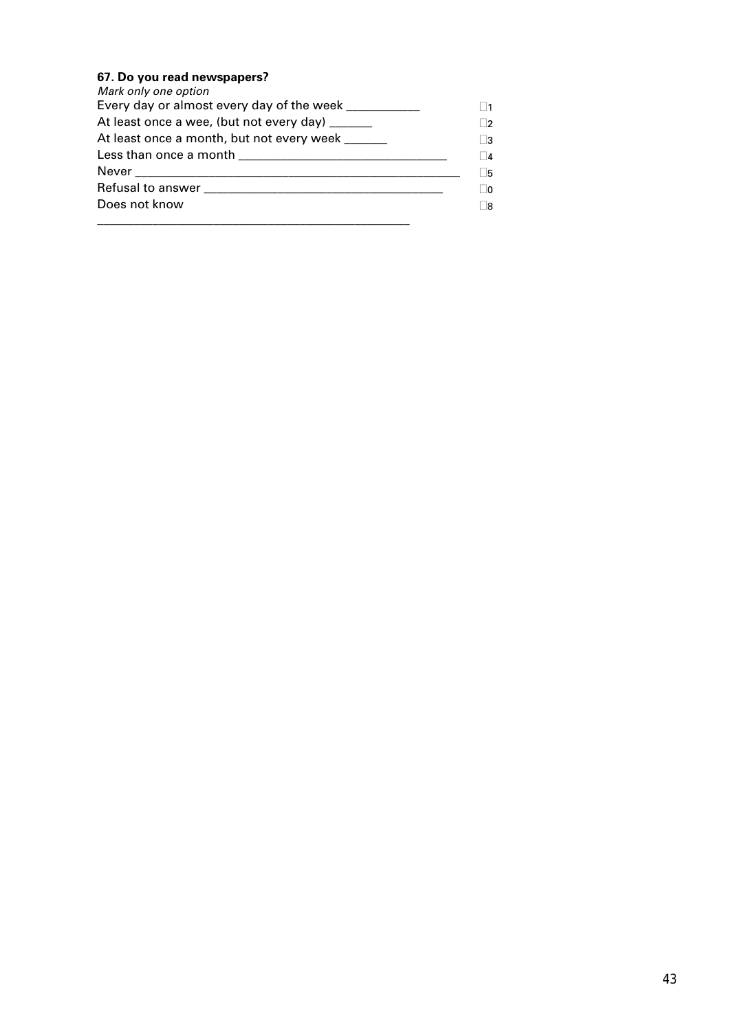#### **67. Do you read newspapers?**

| Mark only one option                                  |           |
|-------------------------------------------------------|-----------|
| Every day or almost every day of the week ___________ | $\vert$ 1 |
| At least once a wee, (but not every day) ______       | $\Box$ 2  |
| At least once a month, but not every week             | $\Box$ 3  |
|                                                       | $\Box$ 4  |
|                                                       | Γ5        |
|                                                       | $\Box$ 0  |
| Does not know                                         | Γ8        |
|                                                       |           |